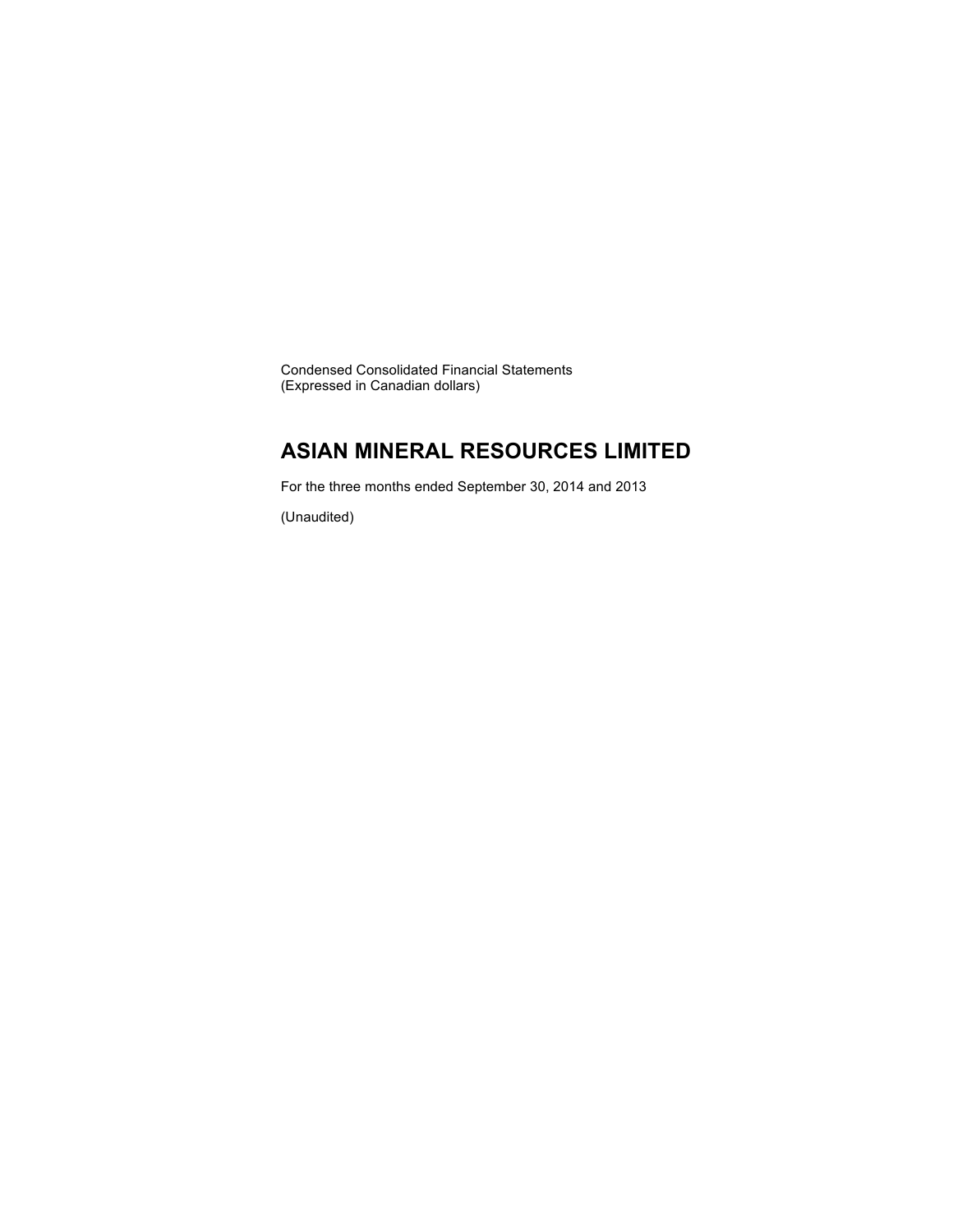Condensed Consolidated Financial Statements (Expressed in Canadian dollars)

### **ASIAN MINERAL RESOURCES LIMITED**

For the three months ended September 30, 2014 and 2013

(Unaudited)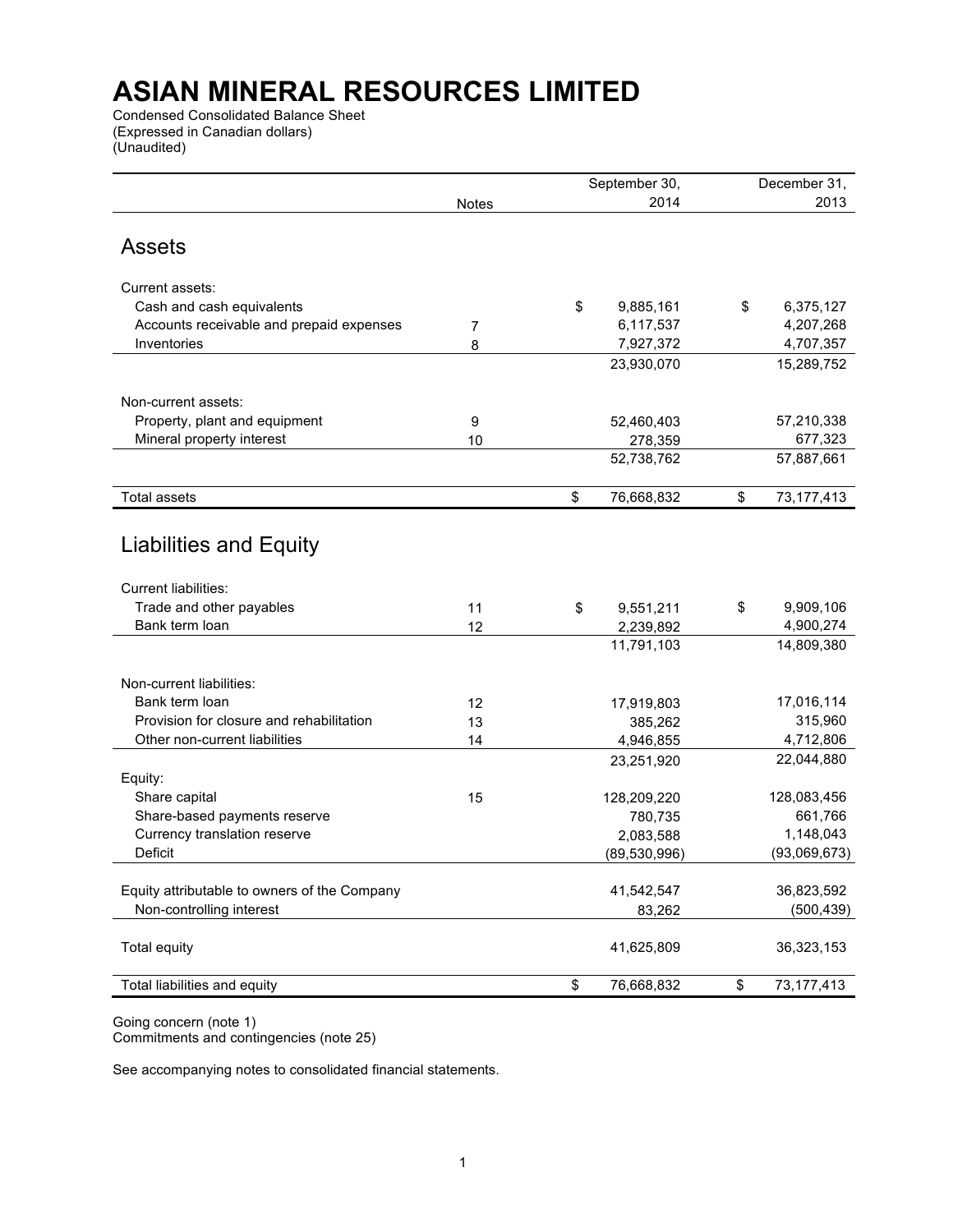Condensed Consolidated Balance Sheet (Expressed in Canadian dollars) (Unaudited)

| 2014<br>2013<br><b>Notes</b><br><b>Assets</b><br>Current assets:<br>\$<br>Cash and cash equivalents<br>9,885,161<br>\$<br>6,375,127<br>Accounts receivable and prepaid expenses<br>6,117,537<br>4,207,268<br>7<br>Inventories<br>7,927,372<br>4,707,357<br>8<br>23,930,070<br>15,289,752<br>Non-current assets:<br>Property, plant and equipment<br>57,210,338<br>9<br>52,460,403<br>Mineral property interest<br>677,323<br>10<br>278,359<br>52,738,762<br>57,887,661<br><b>Total assets</b><br>73, 177, 413<br>\$<br>76,668,832<br>\$<br>Liabilities and Equity<br><b>Current liabilities:</b><br>Trade and other payables<br>\$<br>9,909,106<br>11<br>\$<br>9,551,211<br>Bank term loan<br>4,900,274<br>12<br>2,239,892<br>11,791,103<br>14,809,380<br>Non-current liabilities:<br>Bank term loan<br>17,016,114<br>12<br>17,919,803<br>Provision for closure and rehabilitation<br>315,960<br>13<br>385,262<br>4,712,806<br>Other non-current liabilities<br>14<br>4,946,855<br>22,044,880<br>23,251,920<br>Equity:<br>Share capital<br>128,083,456<br>15<br>128,209,220<br>Share-based payments reserve<br>661,766<br>780,735<br>Currency translation reserve<br>1,148,043<br>2,083,588<br>Deficit<br>(93,069,673)<br>(89, 530, 996)<br>41,542,547<br>36,823,592<br>Equity attributable to owners of the Company<br>Non-controlling interest<br>(500, 439)<br>83,262<br>41,625,809<br>Total equity<br>36,323,153<br>76,668,832<br>Total liabilities and equity<br>\$<br>\$<br>73, 177, 413 |  | September 30, | December 31, |
|------------------------------------------------------------------------------------------------------------------------------------------------------------------------------------------------------------------------------------------------------------------------------------------------------------------------------------------------------------------------------------------------------------------------------------------------------------------------------------------------------------------------------------------------------------------------------------------------------------------------------------------------------------------------------------------------------------------------------------------------------------------------------------------------------------------------------------------------------------------------------------------------------------------------------------------------------------------------------------------------------------------------------------------------------------------------------------------------------------------------------------------------------------------------------------------------------------------------------------------------------------------------------------------------------------------------------------------------------------------------------------------------------------------------------------------------------------------------------------------------|--|---------------|--------------|
|                                                                                                                                                                                                                                                                                                                                                                                                                                                                                                                                                                                                                                                                                                                                                                                                                                                                                                                                                                                                                                                                                                                                                                                                                                                                                                                                                                                                                                                                                                |  |               |              |
|                                                                                                                                                                                                                                                                                                                                                                                                                                                                                                                                                                                                                                                                                                                                                                                                                                                                                                                                                                                                                                                                                                                                                                                                                                                                                                                                                                                                                                                                                                |  |               |              |
|                                                                                                                                                                                                                                                                                                                                                                                                                                                                                                                                                                                                                                                                                                                                                                                                                                                                                                                                                                                                                                                                                                                                                                                                                                                                                                                                                                                                                                                                                                |  |               |              |
|                                                                                                                                                                                                                                                                                                                                                                                                                                                                                                                                                                                                                                                                                                                                                                                                                                                                                                                                                                                                                                                                                                                                                                                                                                                                                                                                                                                                                                                                                                |  |               |              |
|                                                                                                                                                                                                                                                                                                                                                                                                                                                                                                                                                                                                                                                                                                                                                                                                                                                                                                                                                                                                                                                                                                                                                                                                                                                                                                                                                                                                                                                                                                |  |               |              |
|                                                                                                                                                                                                                                                                                                                                                                                                                                                                                                                                                                                                                                                                                                                                                                                                                                                                                                                                                                                                                                                                                                                                                                                                                                                                                                                                                                                                                                                                                                |  |               |              |
|                                                                                                                                                                                                                                                                                                                                                                                                                                                                                                                                                                                                                                                                                                                                                                                                                                                                                                                                                                                                                                                                                                                                                                                                                                                                                                                                                                                                                                                                                                |  |               |              |
|                                                                                                                                                                                                                                                                                                                                                                                                                                                                                                                                                                                                                                                                                                                                                                                                                                                                                                                                                                                                                                                                                                                                                                                                                                                                                                                                                                                                                                                                                                |  |               |              |
|                                                                                                                                                                                                                                                                                                                                                                                                                                                                                                                                                                                                                                                                                                                                                                                                                                                                                                                                                                                                                                                                                                                                                                                                                                                                                                                                                                                                                                                                                                |  |               |              |
|                                                                                                                                                                                                                                                                                                                                                                                                                                                                                                                                                                                                                                                                                                                                                                                                                                                                                                                                                                                                                                                                                                                                                                                                                                                                                                                                                                                                                                                                                                |  |               |              |
|                                                                                                                                                                                                                                                                                                                                                                                                                                                                                                                                                                                                                                                                                                                                                                                                                                                                                                                                                                                                                                                                                                                                                                                                                                                                                                                                                                                                                                                                                                |  |               |              |
|                                                                                                                                                                                                                                                                                                                                                                                                                                                                                                                                                                                                                                                                                                                                                                                                                                                                                                                                                                                                                                                                                                                                                                                                                                                                                                                                                                                                                                                                                                |  |               |              |
|                                                                                                                                                                                                                                                                                                                                                                                                                                                                                                                                                                                                                                                                                                                                                                                                                                                                                                                                                                                                                                                                                                                                                                                                                                                                                                                                                                                                                                                                                                |  |               |              |
|                                                                                                                                                                                                                                                                                                                                                                                                                                                                                                                                                                                                                                                                                                                                                                                                                                                                                                                                                                                                                                                                                                                                                                                                                                                                                                                                                                                                                                                                                                |  |               |              |
|                                                                                                                                                                                                                                                                                                                                                                                                                                                                                                                                                                                                                                                                                                                                                                                                                                                                                                                                                                                                                                                                                                                                                                                                                                                                                                                                                                                                                                                                                                |  |               |              |
|                                                                                                                                                                                                                                                                                                                                                                                                                                                                                                                                                                                                                                                                                                                                                                                                                                                                                                                                                                                                                                                                                                                                                                                                                                                                                                                                                                                                                                                                                                |  |               |              |
|                                                                                                                                                                                                                                                                                                                                                                                                                                                                                                                                                                                                                                                                                                                                                                                                                                                                                                                                                                                                                                                                                                                                                                                                                                                                                                                                                                                                                                                                                                |  |               |              |
|                                                                                                                                                                                                                                                                                                                                                                                                                                                                                                                                                                                                                                                                                                                                                                                                                                                                                                                                                                                                                                                                                                                                                                                                                                                                                                                                                                                                                                                                                                |  |               |              |
|                                                                                                                                                                                                                                                                                                                                                                                                                                                                                                                                                                                                                                                                                                                                                                                                                                                                                                                                                                                                                                                                                                                                                                                                                                                                                                                                                                                                                                                                                                |  |               |              |
|                                                                                                                                                                                                                                                                                                                                                                                                                                                                                                                                                                                                                                                                                                                                                                                                                                                                                                                                                                                                                                                                                                                                                                                                                                                                                                                                                                                                                                                                                                |  |               |              |
|                                                                                                                                                                                                                                                                                                                                                                                                                                                                                                                                                                                                                                                                                                                                                                                                                                                                                                                                                                                                                                                                                                                                                                                                                                                                                                                                                                                                                                                                                                |  |               |              |
|                                                                                                                                                                                                                                                                                                                                                                                                                                                                                                                                                                                                                                                                                                                                                                                                                                                                                                                                                                                                                                                                                                                                                                                                                                                                                                                                                                                                                                                                                                |  |               |              |
|                                                                                                                                                                                                                                                                                                                                                                                                                                                                                                                                                                                                                                                                                                                                                                                                                                                                                                                                                                                                                                                                                                                                                                                                                                                                                                                                                                                                                                                                                                |  |               |              |
|                                                                                                                                                                                                                                                                                                                                                                                                                                                                                                                                                                                                                                                                                                                                                                                                                                                                                                                                                                                                                                                                                                                                                                                                                                                                                                                                                                                                                                                                                                |  |               |              |
|                                                                                                                                                                                                                                                                                                                                                                                                                                                                                                                                                                                                                                                                                                                                                                                                                                                                                                                                                                                                                                                                                                                                                                                                                                                                                                                                                                                                                                                                                                |  |               |              |
|                                                                                                                                                                                                                                                                                                                                                                                                                                                                                                                                                                                                                                                                                                                                                                                                                                                                                                                                                                                                                                                                                                                                                                                                                                                                                                                                                                                                                                                                                                |  |               |              |
|                                                                                                                                                                                                                                                                                                                                                                                                                                                                                                                                                                                                                                                                                                                                                                                                                                                                                                                                                                                                                                                                                                                                                                                                                                                                                                                                                                                                                                                                                                |  |               |              |
|                                                                                                                                                                                                                                                                                                                                                                                                                                                                                                                                                                                                                                                                                                                                                                                                                                                                                                                                                                                                                                                                                                                                                                                                                                                                                                                                                                                                                                                                                                |  |               |              |
|                                                                                                                                                                                                                                                                                                                                                                                                                                                                                                                                                                                                                                                                                                                                                                                                                                                                                                                                                                                                                                                                                                                                                                                                                                                                                                                                                                                                                                                                                                |  |               |              |
|                                                                                                                                                                                                                                                                                                                                                                                                                                                                                                                                                                                                                                                                                                                                                                                                                                                                                                                                                                                                                                                                                                                                                                                                                                                                                                                                                                                                                                                                                                |  |               |              |
|                                                                                                                                                                                                                                                                                                                                                                                                                                                                                                                                                                                                                                                                                                                                                                                                                                                                                                                                                                                                                                                                                                                                                                                                                                                                                                                                                                                                                                                                                                |  |               |              |
|                                                                                                                                                                                                                                                                                                                                                                                                                                                                                                                                                                                                                                                                                                                                                                                                                                                                                                                                                                                                                                                                                                                                                                                                                                                                                                                                                                                                                                                                                                |  |               |              |

Going concern (note 1) Commitments and contingencies (note 25)

See accompanying notes to consolidated financial statements.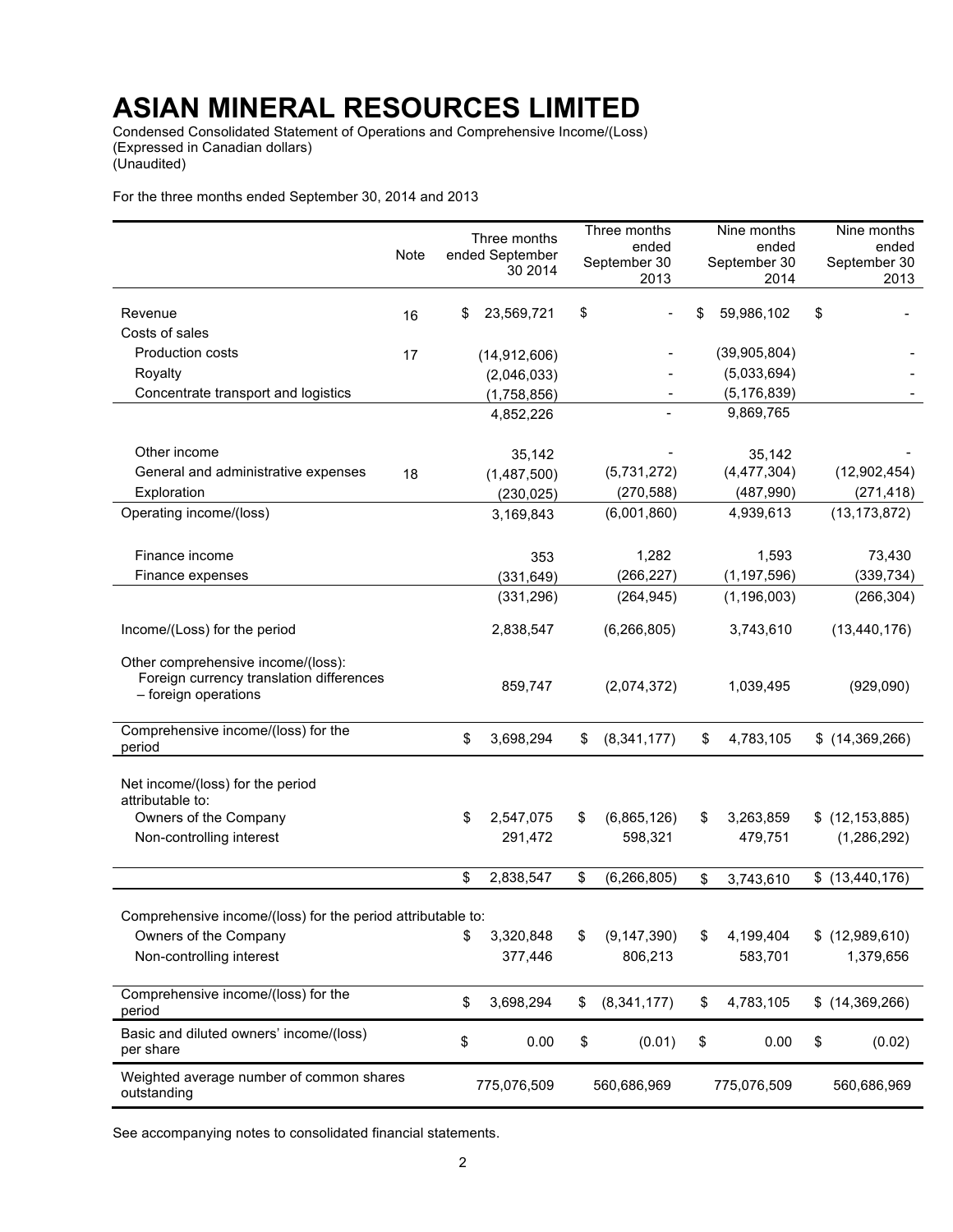Condensed Consolidated Statement of Operations and Comprehensive Income/(Loss) (Expressed in Canadian dollars) (Unaudited)

For the three months ended September 30, 2014 and 2013

|                                                                                                           | <b>Note</b> | Three months<br>ended September<br>30 2014 | Three months<br>ended<br>September 30<br>2013 |    | Nine months<br>ended<br>September 30<br>2014 | Nine months<br>ended<br>September 30<br>2013 |
|-----------------------------------------------------------------------------------------------------------|-------------|--------------------------------------------|-----------------------------------------------|----|----------------------------------------------|----------------------------------------------|
|                                                                                                           |             |                                            |                                               |    |                                              |                                              |
| Revenue                                                                                                   | 16          | \$<br>23,569,721                           | \$                                            | S  | 59,986,102                                   | \$                                           |
| Costs of sales                                                                                            |             |                                            |                                               |    |                                              |                                              |
| <b>Production costs</b>                                                                                   | 17          | (14, 912, 606)                             |                                               |    | (39,905,804)                                 |                                              |
| Royalty                                                                                                   |             | (2,046,033)                                |                                               |    | (5,033,694)                                  |                                              |
| Concentrate transport and logistics                                                                       |             | (1,758,856)                                |                                               |    | (5, 176, 839)                                |                                              |
|                                                                                                           |             | 4,852,226                                  |                                               |    | 9,869,765                                    |                                              |
| Other income                                                                                              |             | 35,142                                     |                                               |    | 35,142                                       |                                              |
| General and administrative expenses                                                                       | 18          | (1,487,500)                                | (5,731,272)                                   |    | (4, 477, 304)                                | (12,902,454)                                 |
| Exploration                                                                                               |             | (230, 025)                                 | (270, 588)                                    |    | (487, 990)                                   | (271, 418)                                   |
| Operating income/(loss)                                                                                   |             | 3,169,843                                  | (6,001,860)                                   |    | 4,939,613                                    | (13, 173, 872)                               |
| Finance income                                                                                            |             | 353                                        | 1,282                                         |    | 1,593                                        | 73,430                                       |
| Finance expenses                                                                                          |             | (331, 649)                                 | (266, 227)                                    |    | (1, 197, 596)                                | (339, 734)                                   |
|                                                                                                           |             | (331, 296)                                 | (264, 945)                                    |    | (1, 196, 003)                                | (266, 304)                                   |
| Income/(Loss) for the period                                                                              |             | 2,838,547                                  | (6, 266, 805)                                 |    | 3,743,610                                    | (13, 440, 176)                               |
| Other comprehensive income/(loss):<br>Foreign currency translation differences<br>- foreign operations    |             | 859,747                                    | (2,074,372)                                   |    | 1,039,495                                    | (929,090)                                    |
| Comprehensive income/(loss) for the<br>period                                                             |             | \$<br>3,698,294                            | \$<br>(8,341,177)                             | \$ | 4,783,105                                    | $$$ (14,369,266)                             |
| Net income/(loss) for the period<br>attributable to:<br>Owners of the Company<br>Non-controlling interest |             | \$<br>2,547,075<br>291,472                 | \$<br>(6,865,126)<br>598,321                  | \$ | 3,263,859<br>479,751                         | \$(12, 153, 885)<br>(1,286,292)              |
|                                                                                                           |             | \$<br>2,838,547                            | \$<br>(6, 266, 805)                           | \$ | 3,743,610                                    | \$(13, 440, 176)                             |
| Comprehensive income/(loss) for the period attributable to:                                               |             |                                            |                                               |    |                                              |                                              |
| Owners of the Company<br>Non-controlling interest                                                         |             | \$<br>3,320,848<br>377,446                 | \$<br>(9, 147, 390)<br>806,213                | \$ | 4,199,404<br>583,701                         | \$(12,989,610)<br>1,379,656                  |
| Comprehensive income/(loss) for the<br>period                                                             |             | \$<br>3,698,294                            | \$<br>(8, 341, 177)                           | \$ | 4,783,105                                    | $$$ (14,369,266)                             |
| Basic and diluted owners' income/(loss)<br>per share                                                      |             | \$<br>0.00                                 | \$<br>(0.01)                                  | \$ | 0.00                                         | \$<br>(0.02)                                 |
| Weighted average number of common shares<br>outstanding                                                   |             | 775,076,509                                | 560,686,969                                   |    | 775,076,509                                  | 560,686,969                                  |

See accompanying notes to consolidated financial statements.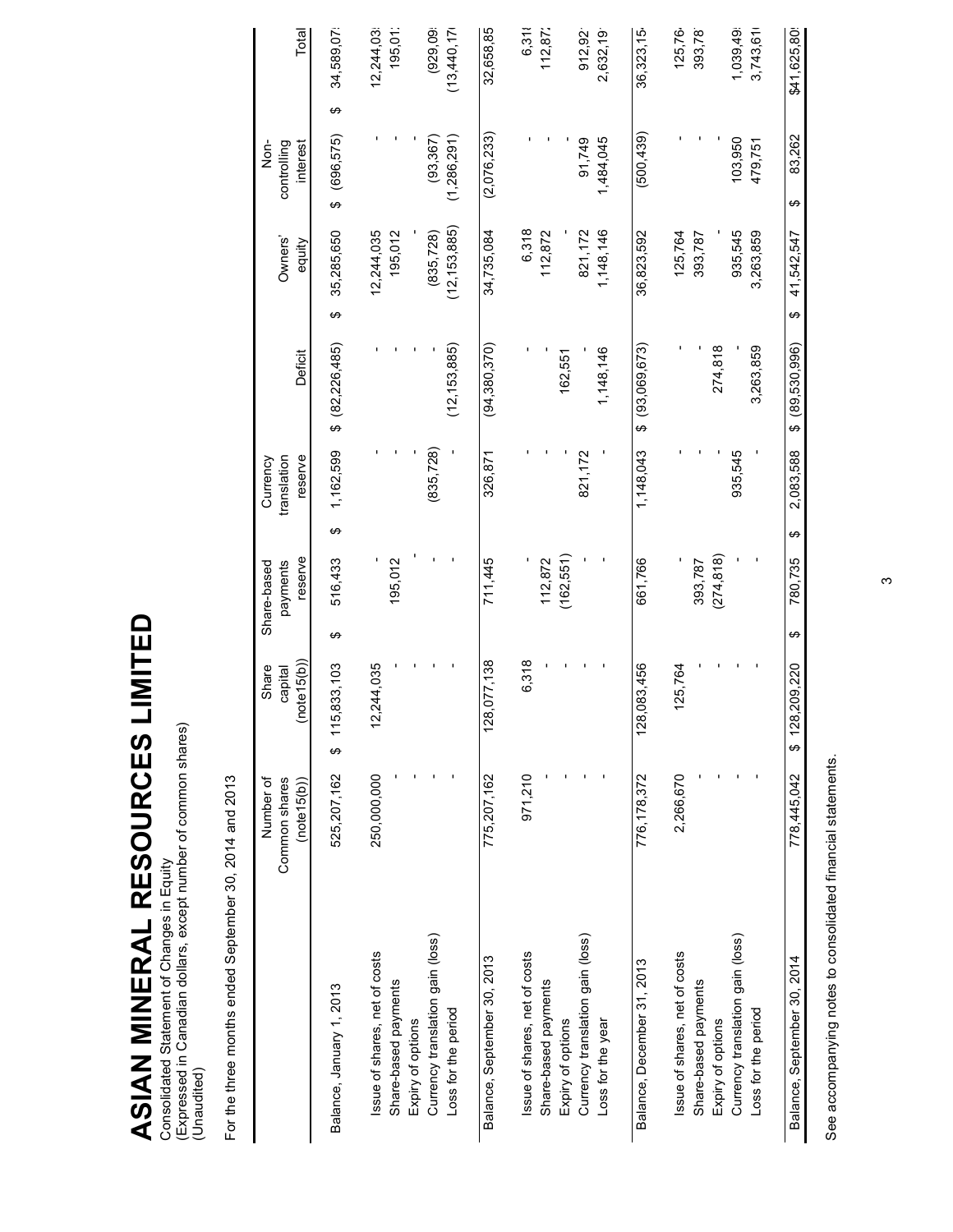# ASIAN MINERAL RESOURCES LIMITED **ASIAN MINERAL RESOURCES LIMITED**

Consolidated Statement of Changes in Equity<br>(Expressed in Canadian dollars, except number of common shares)<br>(Unaudited) (Expressed in Canadian dollars, except number of common shares) Consolidated Statement of Changes in Equity (Unaudited)

For the three months ended September 30, 2014 and 2013 For the three months ended September 30, 2014 and 2013

|                                  | Number of<br>Common shares<br>(note15(b)) | note(15(b))<br>Share<br>capital | reserve<br>payments<br>Share-based |   | reserve<br>Currency<br>translation | Deficit             | Owners'<br>equity | interest<br>Non-<br>controlling | Total          |
|----------------------------------|-------------------------------------------|---------------------------------|------------------------------------|---|------------------------------------|---------------------|-------------------|---------------------------------|----------------|
| Balance, January 1, 2013         | 525,207,162                               | 115,833,103<br>မာ               | 516,433<br>↮                       | ↮ | 1,162,599                          | (82, 226, 485)<br>ക | 35,285,650<br>↮   | (696, 575)<br>↔                 | 34,589,07<br>↮ |
| ssue of shares, net of costs     | 250,000,000                               | 244,035                         |                                    |   |                                    |                     | 12,244,035        |                                 | 12,244,03      |
| Share-based payments             |                                           |                                 | 195,012                            |   |                                    |                     | 195,012           |                                 | 195,01:        |
| Expiry of options                |                                           |                                 |                                    |   |                                    |                     |                   |                                 |                |
| Currency translation gain (loss) |                                           |                                 |                                    |   | (835, 728)                         |                     | (835, 728)        | (93, 367)                       | (929.09)       |
| Loss for the period              |                                           |                                 |                                    |   |                                    | (12, 153, 885)      | (12, 153, 885)    | (1,286,291)                     | (13,440,17)    |
| Balance, September 30, 2013      | 775,207,162                               | 128,077,138                     | 711,445                            |   | 326,871                            | (94, 380, 370)      | 34,735,084        | (2,076,233)                     | 32,658,85      |
| ssue of shares, net of costs     | 971,210                                   | 6,318                           |                                    |   |                                    |                     | 6,318             |                                 | 6,31           |
| Share-based payments             |                                           |                                 | 112,872                            |   |                                    |                     | 112,872           |                                 | 112,872        |
| Expiry of options                |                                           |                                 | (162, 551)                         |   |                                    | 162,551             |                   |                                 |                |
| Currency translation gain (loss) |                                           |                                 |                                    |   | 821,172                            |                     | 821,172           | 91,749                          | 912,92         |
| Loss for the year                |                                           |                                 |                                    |   |                                    | 1,148,146           | 1,148,146         | 1,484,045                       | 2,632,19       |
| Balance, December 31, 2013       | 776, 178, 372                             | 128,083,456                     | 661,766                            |   | 1,148,043                          | (93,069,673)<br>ക   | 36,823,592        | (500, 439)                      | 36,323,15      |
| Issue of shares, net of costs    | 2,266,670                                 | 125,764                         |                                    |   |                                    |                     | 125,764           |                                 | 125,76         |
| Share-based payments             |                                           |                                 | 393,787                            |   |                                    |                     | 393,787           |                                 | 393,78         |
| Expiry of options                |                                           |                                 | (274, 818)                         |   |                                    | 274,818             |                   |                                 |                |
| Currency translation gain (loss) |                                           |                                 |                                    |   | 935,545                            |                     | 935,545           | 103,950                         | 1,039,49       |
| Loss for the period              |                                           |                                 |                                    |   |                                    | 3,263,859           | 3,263,859         | 479,751                         | 3,743,61       |
| Balance, September 30, 2014      | 778,445,042                               | 1,209,220<br>128<br>↮           | 780,735<br>↮                       | ↮ | 2,083,588                          | (89, 530, 996)<br>ക | 41,542,547<br>↮   | 83,262<br>↮                     | \$41,625,80    |

See accompanying notes to consolidated financial statements. See accompanying notes to consolidated financial statements.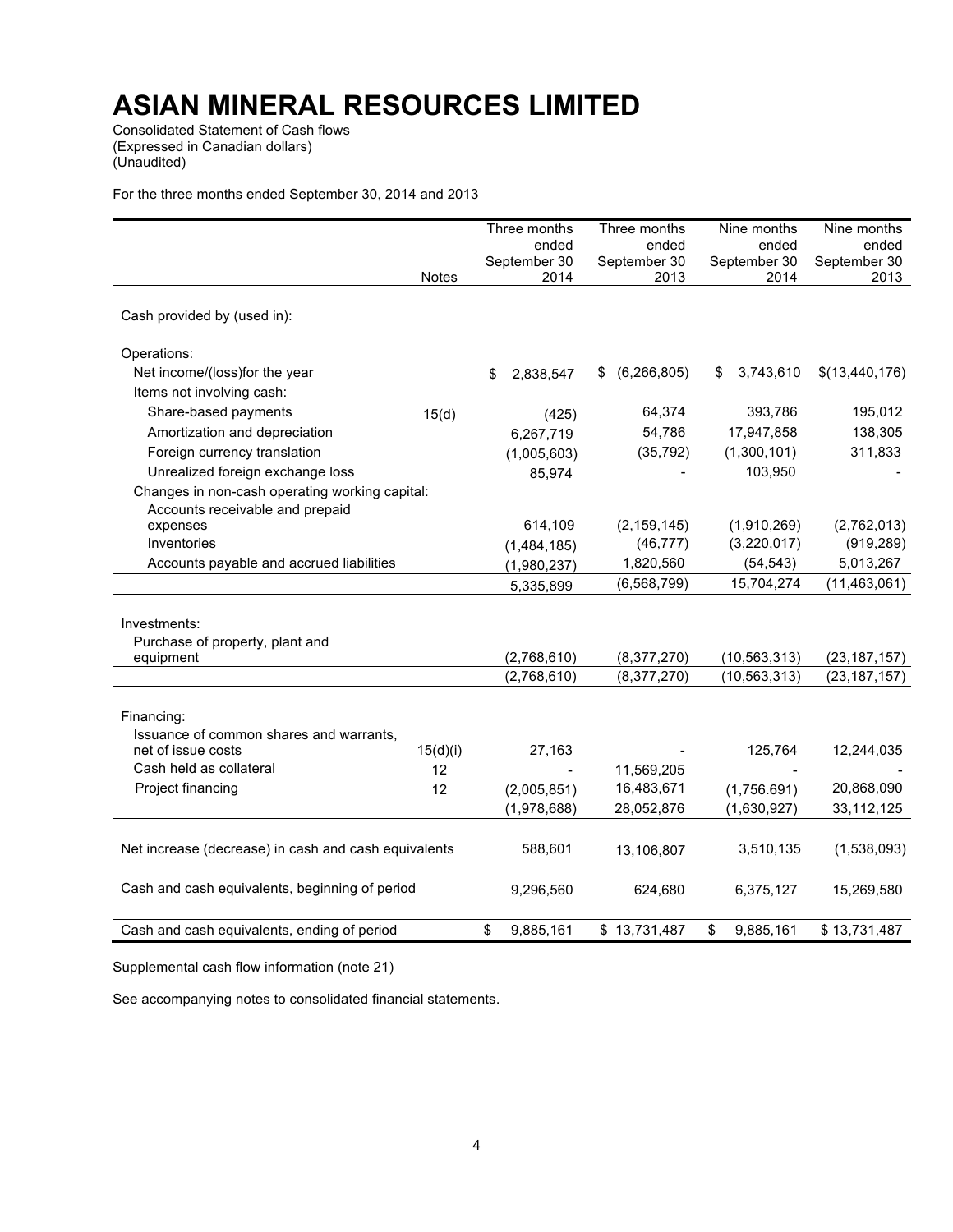Consolidated Statement of Cash flows (Expressed in Canadian dollars) (Unaudited)

For the three months ended September 30, 2014 and 2013

|                                                      |              | Three months         | Three months        | Nine months     | Nine months          |
|------------------------------------------------------|--------------|----------------------|---------------------|-----------------|----------------------|
|                                                      |              | ended                | ended               | ended           | ended                |
|                                                      |              | September 30<br>2014 | September 30        | September 30    | September 30<br>2013 |
|                                                      | <b>Notes</b> |                      | 2013                | 2014            |                      |
| Cash provided by (used in):                          |              |                      |                     |                 |                      |
| Operations:                                          |              |                      |                     |                 |                      |
| Net income/(loss)for the year                        |              | \$<br>2,838,547      | (6, 266, 805)<br>\$ | 3,743,610<br>\$ | \$(13,440,176)       |
| Items not involving cash:                            |              |                      |                     |                 |                      |
| Share-based payments                                 | 15(d)        | (425)                | 64,374              | 393,786         | 195,012              |
| Amortization and depreciation                        |              | 6,267,719            | 54,786              | 17,947,858      | 138,305              |
| Foreign currency translation                         |              | (1,005,603)          | (35, 792)           | (1,300,101)     | 311,833              |
| Unrealized foreign exchange loss                     |              | 85,974               |                     | 103,950         |                      |
| Changes in non-cash operating working capital:       |              |                      |                     |                 |                      |
| Accounts receivable and prepaid                      |              |                      |                     |                 |                      |
| expenses                                             |              | 614,109              | (2, 159, 145)       | (1,910,269)     | (2,762,013)          |
| Inventories                                          |              | (1,484,185)          | (46, 777)           | (3,220,017)     | (919, 289)           |
| Accounts payable and accrued liabilities             |              | (1,980,237)          | 1,820,560           | (54, 543)       | 5,013,267            |
|                                                      |              | 5,335,899            | (6, 568, 799)       | 15,704,274      | (11, 463, 061)       |
|                                                      |              |                      |                     |                 |                      |
| Investments:                                         |              |                      |                     |                 |                      |
| Purchase of property, plant and                      |              |                      |                     |                 |                      |
| equipment                                            |              | (2,768,610)          | (8,377,270)         | (10, 563, 313)  | (23, 187, 157)       |
|                                                      |              | (2,768,610)          | (8,377,270)         | (10, 563, 313)  | (23, 187, 157)       |
|                                                      |              |                      |                     |                 |                      |
| Financing:                                           |              |                      |                     |                 |                      |
| Issuance of common shares and warrants,              |              |                      |                     |                 |                      |
| net of issue costs<br>Cash held as collateral        | 15(d)(i)     | 27,163               |                     | 125,764         | 12,244,035           |
|                                                      | 12           |                      | 11,569,205          |                 |                      |
| Project financing                                    | 12           | (2,005,851)          | 16,483,671          | (1,756.691)     | 20,868,090           |
|                                                      |              | (1,978,688)          | 28,052,876          | (1,630,927)     | 33,112,125           |
| Net increase (decrease) in cash and cash equivalents |              | 588,601              | 13.106.807          | 3,510,135       | (1,538,093)          |
|                                                      |              |                      |                     |                 |                      |
| Cash and cash equivalents, beginning of period       |              | 9,296,560            | 624,680             | 6,375,127       | 15,269,580           |
|                                                      |              |                      |                     |                 |                      |
| Cash and cash equivalents, ending of period          |              | \$<br>9,885,161      | \$13,731,487        | \$<br>9,885,161 | \$13,731,487         |

Supplemental cash flow information (note 21)

See accompanying notes to consolidated financial statements.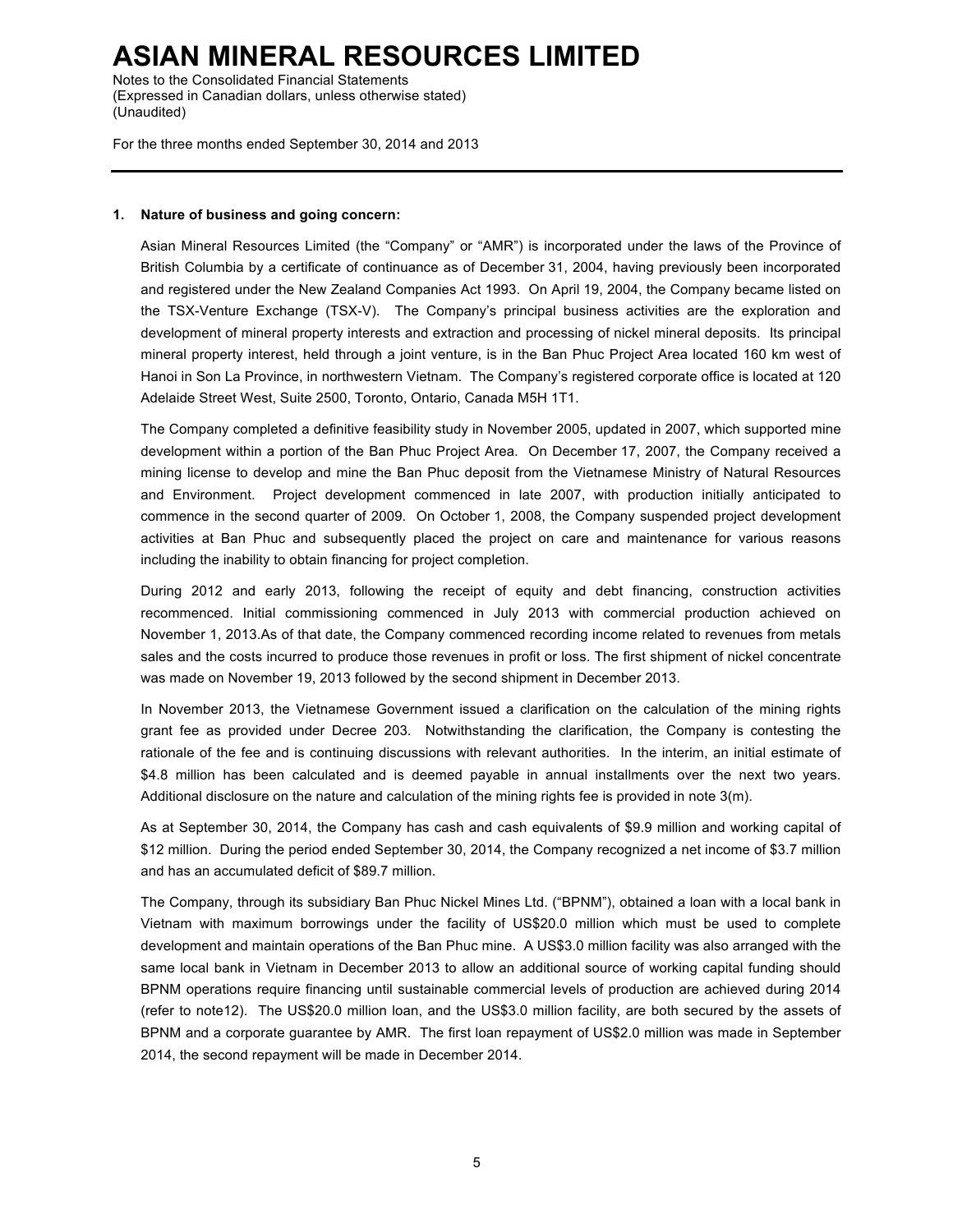Notes to the Consolidated Financial Statements (Expressed in Canadian dollars, unless otherwise stated) (Unaudited)

For the three months ended September 30, 2014 and 2013

#### **1. Nature of business and going concern:**

Asian Mineral Resources Limited (the "Company" or "AMR") is incorporated under the laws of the Province of British Columbia by a certificate of continuance as of December 31, 2004, having previously been incorporated and registered under the New Zealand Companies Act 1993. On April 19, 2004, the Company became listed on the TSX-Venture Exchange (TSX-V). The Company's principal business activities are the exploration and development of mineral property interests and extraction and processing of nickel mineral deposits. Its principal mineral property interest, held through a joint venture, is in the Ban Phuc Project Area located 160 km west of Hanoi in Son La Province, in northwestern Vietnam. The Company's registered corporate office is located at 120 Adelaide Street West, Suite 2500, Toronto, Ontario, Canada M5H 1T1.

The Company completed a definitive feasibility study in November 2005, updated in 2007, which supported mine development within a portion of the Ban Phuc Project Area. On December 17, 2007, the Company received a mining license to develop and mine the Ban Phuc deposit from the Vietnamese Ministry of Natural Resources and Environment. Project development commenced in late 2007, with production initially anticipated to commence in the second quarter of 2009. On October 1, 2008, the Company suspended project development activities at Ban Phuc and subsequently placed the project on care and maintenance for various reasons including the inability to obtain financing for project completion.

During 2012 and early 2013, following the receipt of equity and debt financing, construction activities recommenced. Initial commissioning commenced in July 2013 with commercial production achieved on November 1, 2013.As of that date, the Company commenced recording income related to revenues from metals sales and the costs incurred to produce those revenues in profit or loss. The first shipment of nickel concentrate was made on November 19, 2013 followed by the second shipment in December 2013.

In November 2013, the Vietnamese Government issued a clarification on the calculation of the mining rights grant fee as provided under Decree 203. Notwithstanding the clarification, the Company is contesting the rationale of the fee and is continuing discussions with relevant authorities. In the interim, an initial estimate of \$4.8 million has been calculated and is deemed payable in annual installments over the next two years. Additional disclosure on the nature and calculation of the mining rights fee is provided in note  $3(m)$ .

As at September 30, 2014, the Company has cash and cash equivalents of \$9.9 million and working capital of \$12 million. During the period ended September 30, 2014, the Company recognized a net income of \$3.7 million and has an accumulated deficit of \$89.7 million.

The Company, through its subsidiary Ban Phuc Nickel Mines Ltd. ("BPNM"), obtained a loan with a local bank in Vietnam with maximum borrowings under the facility of US\$20.0 million which must be used to complete development and maintain operations of the Ban Phuc mine. A US\$3.0 million facility was also arranged with the same local bank in Vietnam in December 2013 to allow an additional source of working capital funding should BPNM operations require financing until sustainable commercial levels of production are achieved during 2014 (refer to note12). The US\$20.0 million loan, and the US\$3.0 million facility, are both secured by the assets of BPNM and a corporate guarantee by AMR. The first loan repayment of US\$2.0 million was made in September 2014, the second repayment will be made in December 2014.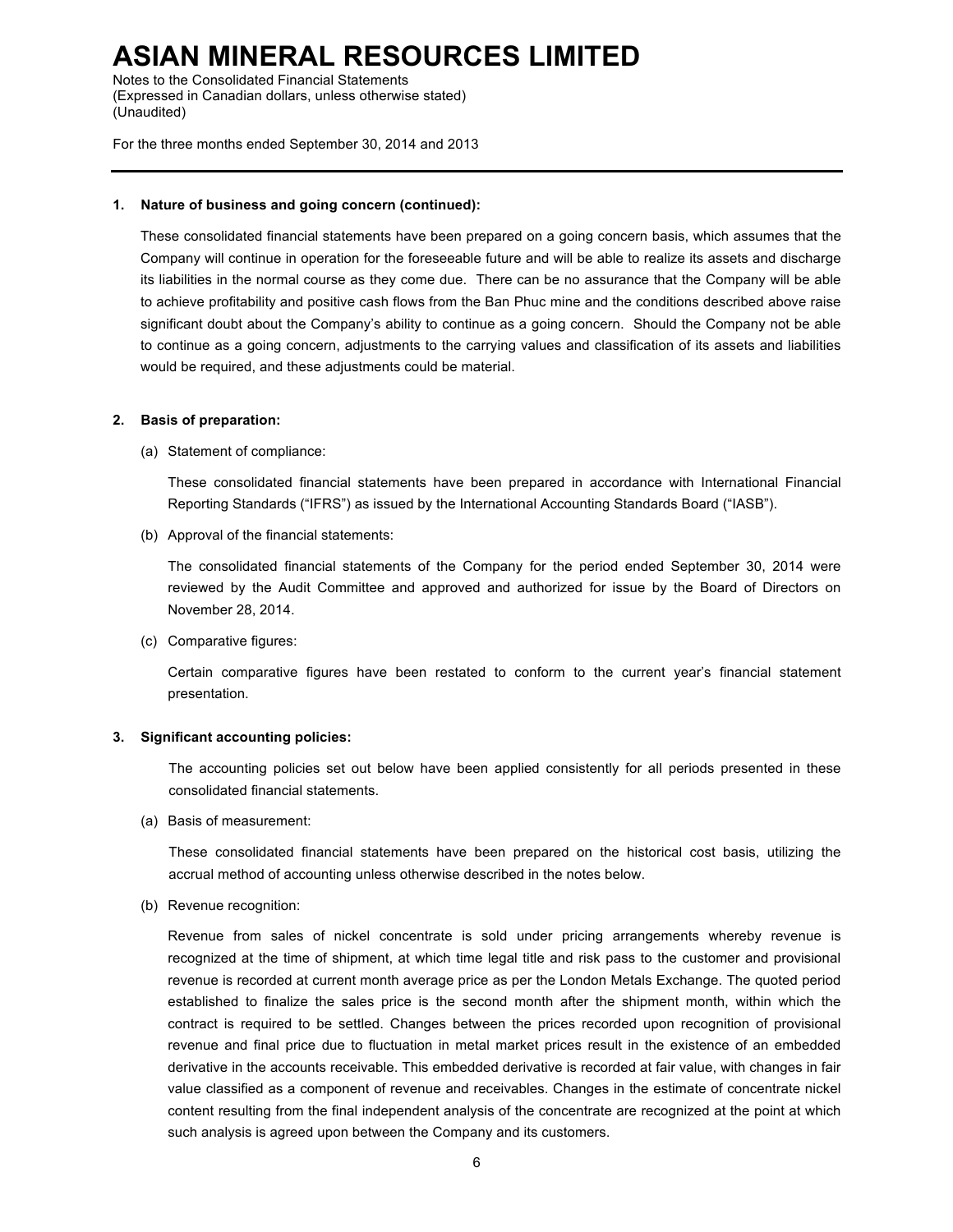Notes to the Consolidated Financial Statements (Expressed in Canadian dollars, unless otherwise stated) (Unaudited)

For the three months ended September 30, 2014 and 2013

#### **1. Nature of business and going concern (continued):**

These consolidated financial statements have been prepared on a going concern basis, which assumes that the Company will continue in operation for the foreseeable future and will be able to realize its assets and discharge its liabilities in the normal course as they come due. There can be no assurance that the Company will be able to achieve profitability and positive cash flows from the Ban Phuc mine and the conditions described above raise significant doubt about the Company's ability to continue as a going concern. Should the Company not be able to continue as a going concern, adjustments to the carrying values and classification of its assets and liabilities would be required, and these adjustments could be material.

#### **2. Basis of preparation:**

(a) Statement of compliance:

These consolidated financial statements have been prepared in accordance with International Financial Reporting Standards ("IFRS") as issued by the International Accounting Standards Board ("IASB").

(b) Approval of the financial statements:

The consolidated financial statements of the Company for the period ended September 30, 2014 were reviewed by the Audit Committee and approved and authorized for issue by the Board of Directors on November 28, 2014.

(c) Comparative figures:

Certain comparative figures have been restated to conform to the current year's financial statement presentation.

#### **3. Significant accounting policies:**

The accounting policies set out below have been applied consistently for all periods presented in these consolidated financial statements.

(a) Basis of measurement:

These consolidated financial statements have been prepared on the historical cost basis, utilizing the accrual method of accounting unless otherwise described in the notes below.

(b) Revenue recognition:

Revenue from sales of nickel concentrate is sold under pricing arrangements whereby revenue is recognized at the time of shipment, at which time legal title and risk pass to the customer and provisional revenue is recorded at current month average price as per the London Metals Exchange. The quoted period established to finalize the sales price is the second month after the shipment month, within which the contract is required to be settled. Changes between the prices recorded upon recognition of provisional revenue and final price due to fluctuation in metal market prices result in the existence of an embedded derivative in the accounts receivable. This embedded derivative is recorded at fair value, with changes in fair value classified as a component of revenue and receivables. Changes in the estimate of concentrate nickel content resulting from the final independent analysis of the concentrate are recognized at the point at which such analysis is agreed upon between the Company and its customers.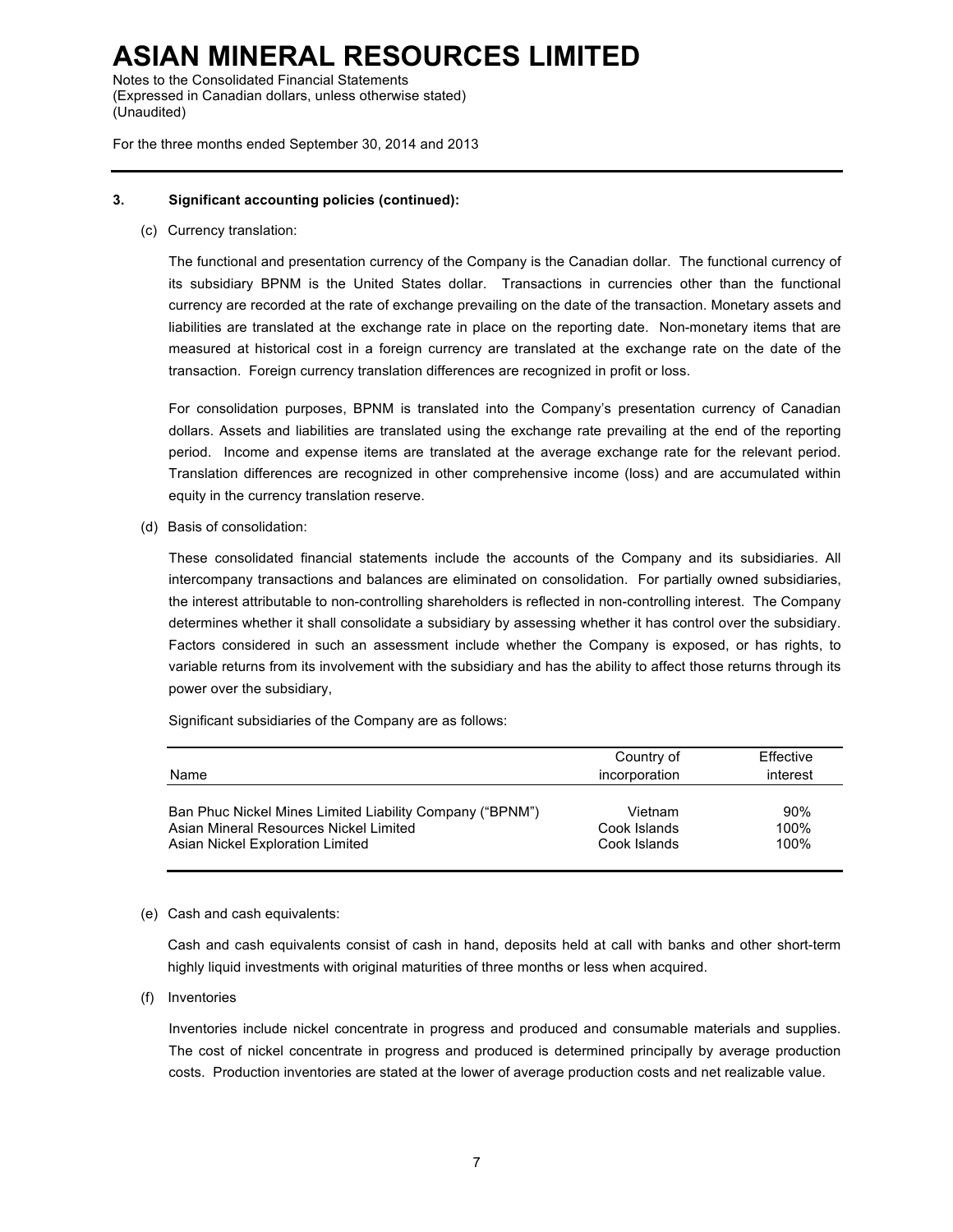Notes to the Consolidated Financial Statements (Expressed in Canadian dollars, unless otherwise stated) (Unaudited)

For the three months ended September 30, 2014 and 2013

#### **3. Significant accounting policies (continued):**

(c) Currency translation:

The functional and presentation currency of the Company is the Canadian dollar. The functional currency of its subsidiary BPNM is the United States dollar. Transactions in currencies other than the functional currency are recorded at the rate of exchange prevailing on the date of the transaction. Monetary assets and liabilities are translated at the exchange rate in place on the reporting date. Non-monetary items that are measured at historical cost in a foreign currency are translated at the exchange rate on the date of the transaction. Foreign currency translation differences are recognized in profit or loss.

For consolidation purposes, BPNM is translated into the Company's presentation currency of Canadian dollars. Assets and liabilities are translated using the exchange rate prevailing at the end of the reporting period. Income and expense items are translated at the average exchange rate for the relevant period. Translation differences are recognized in other comprehensive income (loss) and are accumulated within equity in the currency translation reserve.

(d) Basis of consolidation:

These consolidated financial statements include the accounts of the Company and its subsidiaries. All intercompany transactions and balances are eliminated on consolidation. For partially owned subsidiaries, the interest attributable to non-controlling shareholders is reflected in non-controlling interest. The Company determines whether it shall consolidate a subsidiary by assessing whether it has control over the subsidiary. Factors considered in such an assessment include whether the Company is exposed, or has rights, to variable returns from its involvement with the subsidiary and has the ability to affect those returns through its power over the subsidiary,

Significant subsidiaries of the Company are as follows:

| Name                                                     | Country of<br>incorporation | Effective<br>interest |
|----------------------------------------------------------|-----------------------------|-----------------------|
| Ban Phuc Nickel Mines Limited Liability Company ("BPNM") | Vietnam                     | 90%                   |
| Asian Mineral Resources Nickel Limited                   | Cook Islands                | 100%                  |
| Asian Nickel Exploration Limited                         | Cook Islands                | 100%                  |

#### (e) Cash and cash equivalents:

Cash and cash equivalents consist of cash in hand, deposits held at call with banks and other short-term highly liquid investments with original maturities of three months or less when acquired.

(f) Inventories

Inventories include nickel concentrate in progress and produced and consumable materials and supplies. The cost of nickel concentrate in progress and produced is determined principally by average production costs. Production inventories are stated at the lower of average production costs and net realizable value.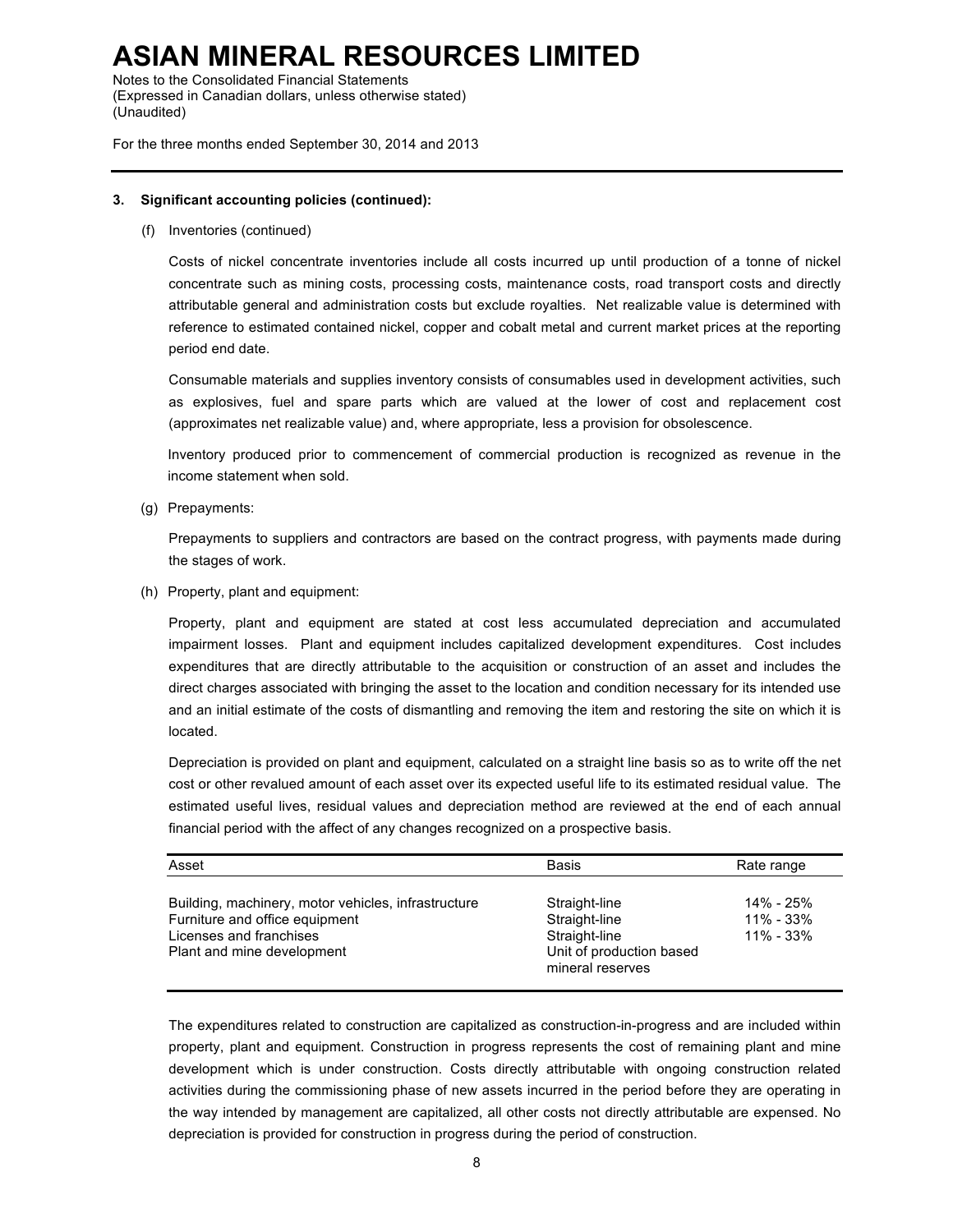Notes to the Consolidated Financial Statements (Expressed in Canadian dollars, unless otherwise stated) (Unaudited)

For the three months ended September 30, 2014 and 2013

#### **3. Significant accounting policies (continued):**

(f) Inventories (continued)

Costs of nickel concentrate inventories include all costs incurred up until production of a tonne of nickel concentrate such as mining costs, processing costs, maintenance costs, road transport costs and directly attributable general and administration costs but exclude royalties. Net realizable value is determined with reference to estimated contained nickel, copper and cobalt metal and current market prices at the reporting period end date.

Consumable materials and supplies inventory consists of consumables used in development activities, such as explosives, fuel and spare parts which are valued at the lower of cost and replacement cost (approximates net realizable value) and, where appropriate, less a provision for obsolescence.

Inventory produced prior to commencement of commercial production is recognized as revenue in the income statement when sold.

(g) Prepayments:

Prepayments to suppliers and contractors are based on the contract progress, with payments made during the stages of work.

(h) Property, plant and equipment:

Property, plant and equipment are stated at cost less accumulated depreciation and accumulated impairment losses. Plant and equipment includes capitalized development expenditures. Cost includes expenditures that are directly attributable to the acquisition or construction of an asset and includes the direct charges associated with bringing the asset to the location and condition necessary for its intended use and an initial estimate of the costs of dismantling and removing the item and restoring the site on which it is located.

Depreciation is provided on plant and equipment, calculated on a straight line basis so as to write off the net cost or other revalued amount of each asset over its expected useful life to its estimated residual value. The estimated useful lives, residual values and depreciation method are reviewed at the end of each annual financial period with the affect of any changes recognized on a prospective basis.

| Asset                                                                                                                                          | <b>Basis</b>                                                                                    | Rate range                                  |
|------------------------------------------------------------------------------------------------------------------------------------------------|-------------------------------------------------------------------------------------------------|---------------------------------------------|
| Building, machinery, motor vehicles, infrastructure<br>Furniture and office equipment<br>Licenses and franchises<br>Plant and mine development | Straight-line<br>Straight-line<br>Straight-line<br>Unit of production based<br>mineral reserves | 14% - 25%<br>$11\% - 33\%$<br>$11\% - 33\%$ |

The expenditures related to construction are capitalized as construction-in-progress and are included within property, plant and equipment. Construction in progress represents the cost of remaining plant and mine development which is under construction. Costs directly attributable with ongoing construction related activities during the commissioning phase of new assets incurred in the period before they are operating in the way intended by management are capitalized, all other costs not directly attributable are expensed. No depreciation is provided for construction in progress during the period of construction.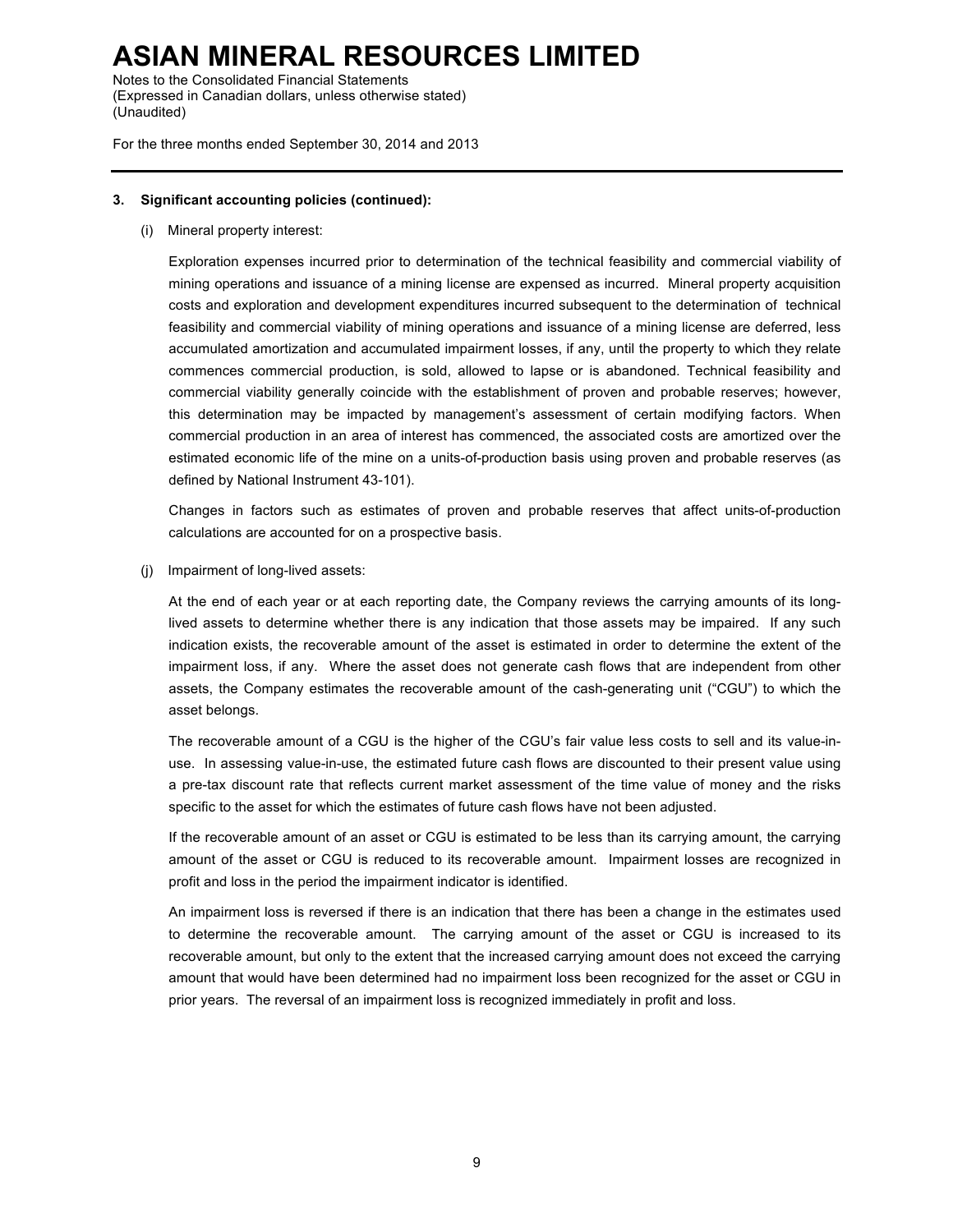Notes to the Consolidated Financial Statements (Expressed in Canadian dollars, unless otherwise stated) (Unaudited)

For the three months ended September 30, 2014 and 2013

#### **3. Significant accounting policies (continued):**

(i) Mineral property interest:

Exploration expenses incurred prior to determination of the technical feasibility and commercial viability of mining operations and issuance of a mining license are expensed as incurred. Mineral property acquisition costs and exploration and development expenditures incurred subsequent to the determination of technical feasibility and commercial viability of mining operations and issuance of a mining license are deferred, less accumulated amortization and accumulated impairment losses, if any, until the property to which they relate commences commercial production, is sold, allowed to lapse or is abandoned. Technical feasibility and commercial viability generally coincide with the establishment of proven and probable reserves; however, this determination may be impacted by management's assessment of certain modifying factors. When commercial production in an area of interest has commenced, the associated costs are amortized over the estimated economic life of the mine on a units-of-production basis using proven and probable reserves (as defined by National Instrument 43-101).

Changes in factors such as estimates of proven and probable reserves that affect units-of-production calculations are accounted for on a prospective basis.

(j) Impairment of long-lived assets:

At the end of each year or at each reporting date, the Company reviews the carrying amounts of its longlived assets to determine whether there is any indication that those assets may be impaired. If any such indication exists, the recoverable amount of the asset is estimated in order to determine the extent of the impairment loss, if any. Where the asset does not generate cash flows that are independent from other assets, the Company estimates the recoverable amount of the cash-generating unit ("CGU") to which the asset belongs.

The recoverable amount of a CGU is the higher of the CGU's fair value less costs to sell and its value-inuse. In assessing value-in-use, the estimated future cash flows are discounted to their present value using a pre-tax discount rate that reflects current market assessment of the time value of money and the risks specific to the asset for which the estimates of future cash flows have not been adjusted.

If the recoverable amount of an asset or CGU is estimated to be less than its carrying amount, the carrying amount of the asset or CGU is reduced to its recoverable amount. Impairment losses are recognized in profit and loss in the period the impairment indicator is identified.

An impairment loss is reversed if there is an indication that there has been a change in the estimates used to determine the recoverable amount. The carrying amount of the asset or CGU is increased to its recoverable amount, but only to the extent that the increased carrying amount does not exceed the carrying amount that would have been determined had no impairment loss been recognized for the asset or CGU in prior years. The reversal of an impairment loss is recognized immediately in profit and loss.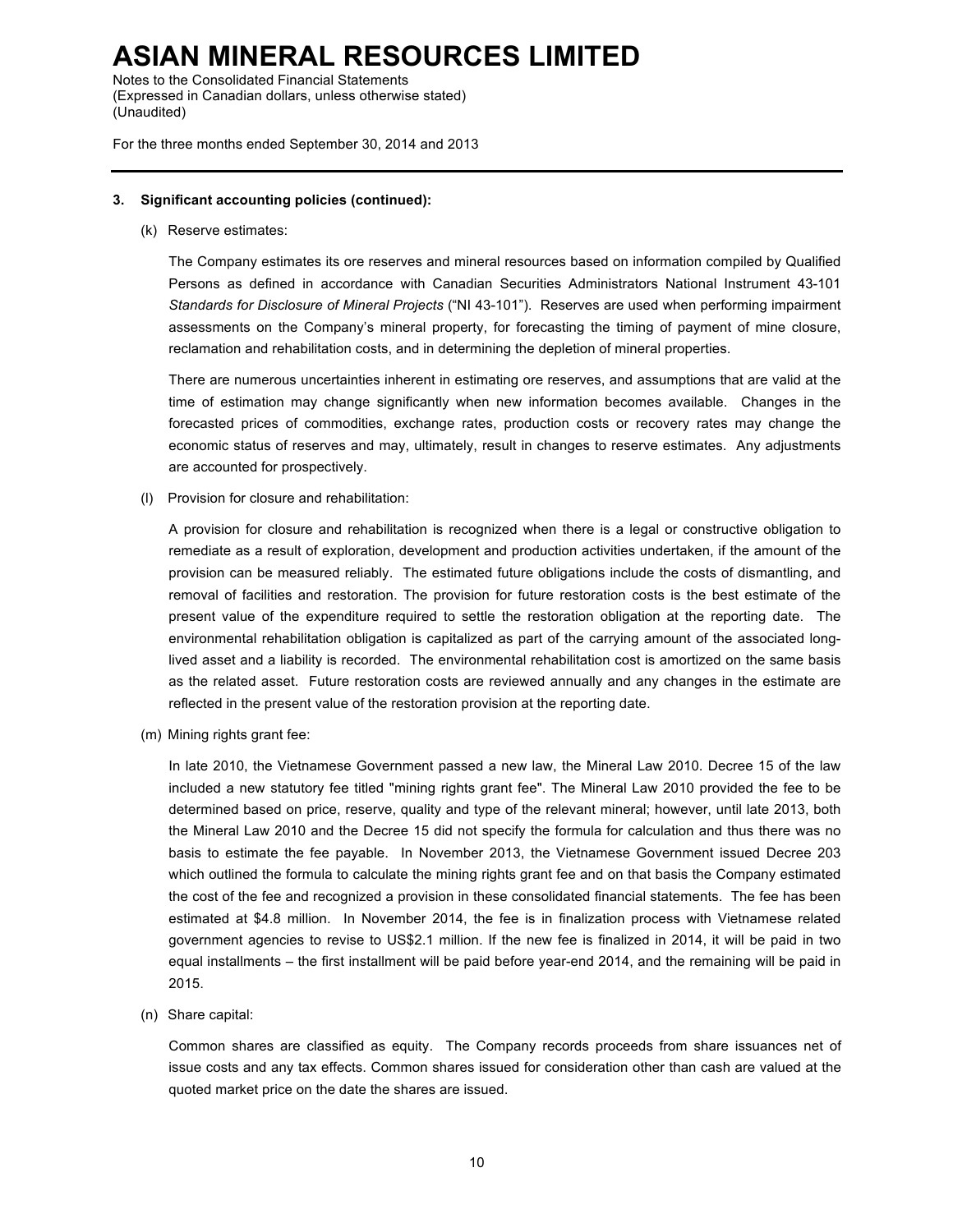Notes to the Consolidated Financial Statements (Expressed in Canadian dollars, unless otherwise stated) (Unaudited)

For the three months ended September 30, 2014 and 2013

#### **3. Significant accounting policies (continued):**

(k) Reserve estimates:

The Company estimates its ore reserves and mineral resources based on information compiled by Qualified Persons as defined in accordance with Canadian Securities Administrators National Instrument 43-101 *Standards for Disclosure of Mineral Projects* ("NI 43-101"). Reserves are used when performing impairment assessments on the Company's mineral property, for forecasting the timing of payment of mine closure, reclamation and rehabilitation costs, and in determining the depletion of mineral properties.

There are numerous uncertainties inherent in estimating ore reserves, and assumptions that are valid at the time of estimation may change significantly when new information becomes available. Changes in the forecasted prices of commodities, exchange rates, production costs or recovery rates may change the economic status of reserves and may, ultimately, result in changes to reserve estimates. Any adjustments are accounted for prospectively.

(l) Provision for closure and rehabilitation:

A provision for closure and rehabilitation is recognized when there is a legal or constructive obligation to remediate as a result of exploration, development and production activities undertaken, if the amount of the provision can be measured reliably. The estimated future obligations include the costs of dismantling, and removal of facilities and restoration. The provision for future restoration costs is the best estimate of the present value of the expenditure required to settle the restoration obligation at the reporting date. The environmental rehabilitation obligation is capitalized as part of the carrying amount of the associated longlived asset and a liability is recorded. The environmental rehabilitation cost is amortized on the same basis as the related asset. Future restoration costs are reviewed annually and any changes in the estimate are reflected in the present value of the restoration provision at the reporting date.

(m) Mining rights grant fee:

In late 2010, the Vietnamese Government passed a new law, the Mineral Law 2010. Decree 15 of the law included a new statutory fee titled "mining rights grant fee". The Mineral Law 2010 provided the fee to be determined based on price, reserve, quality and type of the relevant mineral; however, until late 2013, both the Mineral Law 2010 and the Decree 15 did not specify the formula for calculation and thus there was no basis to estimate the fee payable. In November 2013, the Vietnamese Government issued Decree 203 which outlined the formula to calculate the mining rights grant fee and on that basis the Company estimated the cost of the fee and recognized a provision in these consolidated financial statements. The fee has been estimated at \$4.8 million. In November 2014, the fee is in finalization process with Vietnamese related government agencies to revise to US\$2.1 million. If the new fee is finalized in 2014, it will be paid in two equal installments – the first installment will be paid before year-end 2014, and the remaining will be paid in 2015.

(n) Share capital:

Common shares are classified as equity. The Company records proceeds from share issuances net of issue costs and any tax effects. Common shares issued for consideration other than cash are valued at the quoted market price on the date the shares are issued.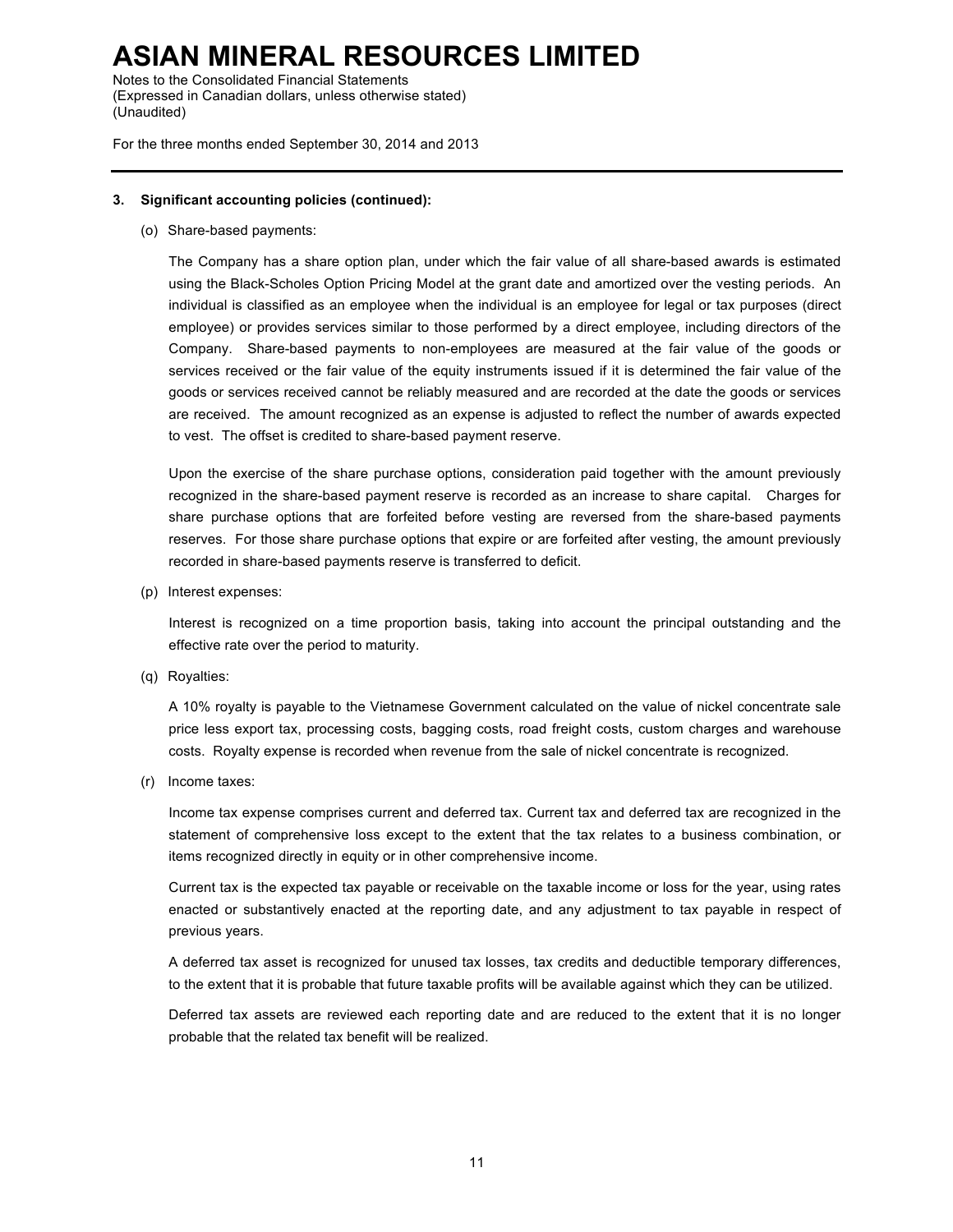Notes to the Consolidated Financial Statements (Expressed in Canadian dollars, unless otherwise stated) (Unaudited)

For the three months ended September 30, 2014 and 2013

#### **3. Significant accounting policies (continued):**

(o) Share-based payments:

The Company has a share option plan, under which the fair value of all share-based awards is estimated using the Black-Scholes Option Pricing Model at the grant date and amortized over the vesting periods. An individual is classified as an employee when the individual is an employee for legal or tax purposes (direct employee) or provides services similar to those performed by a direct employee, including directors of the Company. Share-based payments to non-employees are measured at the fair value of the goods or services received or the fair value of the equity instruments issued if it is determined the fair value of the goods or services received cannot be reliably measured and are recorded at the date the goods or services are received. The amount recognized as an expense is adjusted to reflect the number of awards expected to vest. The offset is credited to share-based payment reserve.

Upon the exercise of the share purchase options, consideration paid together with the amount previously recognized in the share-based payment reserve is recorded as an increase to share capital. Charges for share purchase options that are forfeited before vesting are reversed from the share-based payments reserves. For those share purchase options that expire or are forfeited after vesting, the amount previously recorded in share-based payments reserve is transferred to deficit.

(p) Interest expenses:

Interest is recognized on a time proportion basis, taking into account the principal outstanding and the effective rate over the period to maturity.

(q) Royalties:

A 10% royalty is payable to the Vietnamese Government calculated on the value of nickel concentrate sale price less export tax, processing costs, bagging costs, road freight costs, custom charges and warehouse costs. Royalty expense is recorded when revenue from the sale of nickel concentrate is recognized.

(r) Income taxes:

Income tax expense comprises current and deferred tax. Current tax and deferred tax are recognized in the statement of comprehensive loss except to the extent that the tax relates to a business combination, or items recognized directly in equity or in other comprehensive income.

Current tax is the expected tax payable or receivable on the taxable income or loss for the year, using rates enacted or substantively enacted at the reporting date, and any adjustment to tax payable in respect of previous years.

A deferred tax asset is recognized for unused tax losses, tax credits and deductible temporary differences, to the extent that it is probable that future taxable profits will be available against which they can be utilized.

Deferred tax assets are reviewed each reporting date and are reduced to the extent that it is no longer probable that the related tax benefit will be realized.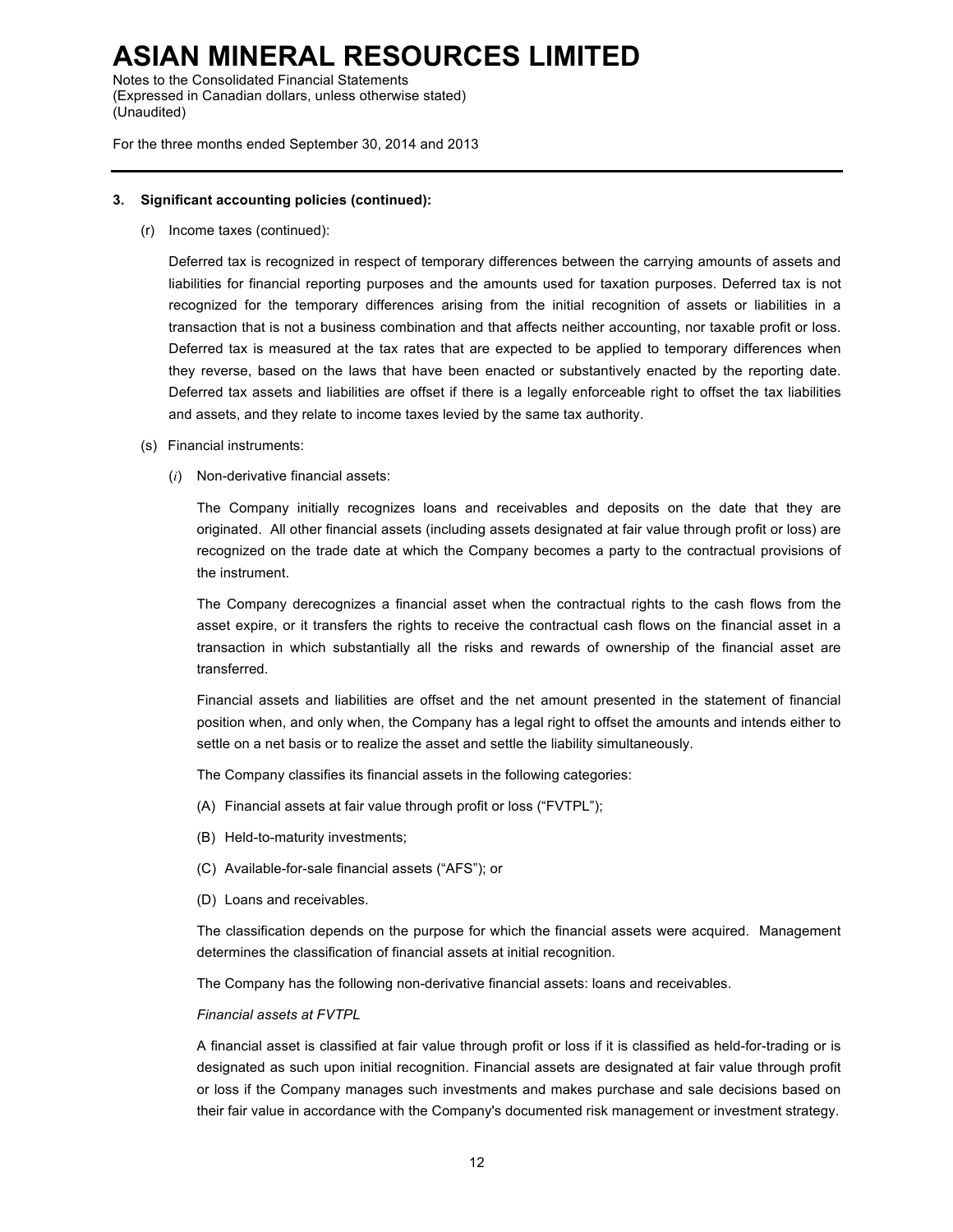Notes to the Consolidated Financial Statements (Expressed in Canadian dollars, unless otherwise stated) (Unaudited)

For the three months ended September 30, 2014 and 2013

#### **3. Significant accounting policies (continued):**

(r) Income taxes (continued):

Deferred tax is recognized in respect of temporary differences between the carrying amounts of assets and liabilities for financial reporting purposes and the amounts used for taxation purposes. Deferred tax is not recognized for the temporary differences arising from the initial recognition of assets or liabilities in a transaction that is not a business combination and that affects neither accounting, nor taxable profit or loss. Deferred tax is measured at the tax rates that are expected to be applied to temporary differences when they reverse, based on the laws that have been enacted or substantively enacted by the reporting date. Deferred tax assets and liabilities are offset if there is a legally enforceable right to offset the tax liabilities and assets, and they relate to income taxes levied by the same tax authority.

- (s) Financial instruments:
	- (*i*) Non-derivative financial assets:

The Company initially recognizes loans and receivables and deposits on the date that they are originated. All other financial assets (including assets designated at fair value through profit or loss) are recognized on the trade date at which the Company becomes a party to the contractual provisions of the instrument.

The Company derecognizes a financial asset when the contractual rights to the cash flows from the asset expire, or it transfers the rights to receive the contractual cash flows on the financial asset in a transaction in which substantially all the risks and rewards of ownership of the financial asset are transferred.

Financial assets and liabilities are offset and the net amount presented in the statement of financial position when, and only when, the Company has a legal right to offset the amounts and intends either to settle on a net basis or to realize the asset and settle the liability simultaneously.

The Company classifies its financial assets in the following categories:

- (A) Financial assets at fair value through profit or loss ("FVTPL");
- (B) Held-to-maturity investments;
- (C) Available-for-sale financial assets ("AFS"); or
- (D) Loans and receivables.

The classification depends on the purpose for which the financial assets were acquired. Management determines the classification of financial assets at initial recognition.

The Company has the following non-derivative financial assets: loans and receivables.

#### *Financial assets at FVTPL*

A financial asset is classified at fair value through profit or loss if it is classified as held-for-trading or is designated as such upon initial recognition. Financial assets are designated at fair value through profit or loss if the Company manages such investments and makes purchase and sale decisions based on their fair value in accordance with the Company's documented risk management or investment strategy.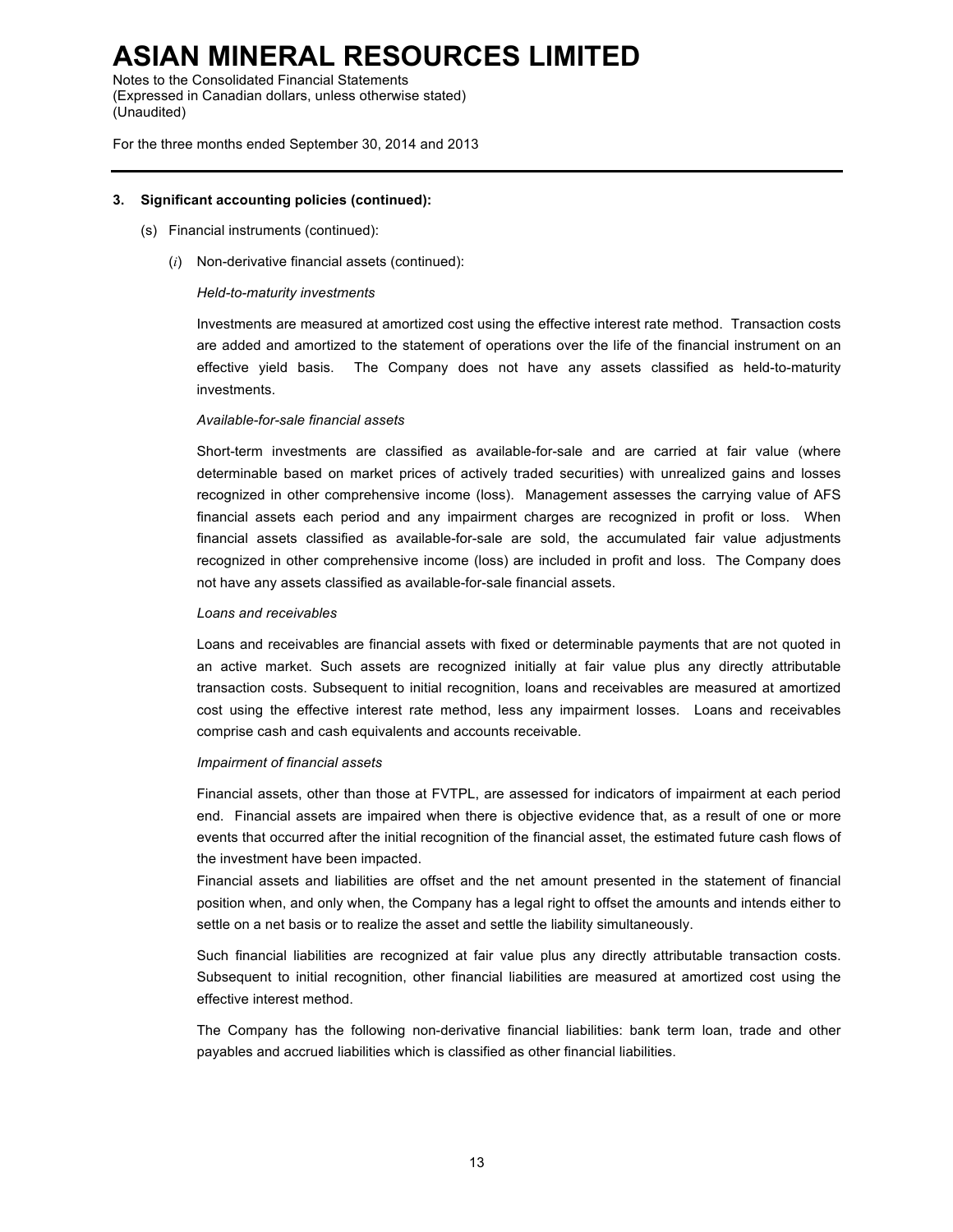Notes to the Consolidated Financial Statements (Expressed in Canadian dollars, unless otherwise stated) (Unaudited)

For the three months ended September 30, 2014 and 2013

#### **3. Significant accounting policies (continued):**

- (s) Financial instruments (continued):
	- (*i*) Non-derivative financial assets (continued):

#### *Held-to-maturity investments*

Investments are measured at amortized cost using the effective interest rate method. Transaction costs are added and amortized to the statement of operations over the life of the financial instrument on an effective yield basis. The Company does not have any assets classified as held-to-maturity investments.

#### *Available-for-sale financial assets*

Short-term investments are classified as available-for-sale and are carried at fair value (where determinable based on market prices of actively traded securities) with unrealized gains and losses recognized in other comprehensive income (loss). Management assesses the carrying value of AFS financial assets each period and any impairment charges are recognized in profit or loss. When financial assets classified as available-for-sale are sold, the accumulated fair value adjustments recognized in other comprehensive income (loss) are included in profit and loss. The Company does not have any assets classified as available-for-sale financial assets.

#### *Loans and receivables*

Loans and receivables are financial assets with fixed or determinable payments that are not quoted in an active market. Such assets are recognized initially at fair value plus any directly attributable transaction costs. Subsequent to initial recognition, loans and receivables are measured at amortized cost using the effective interest rate method, less any impairment losses. Loans and receivables comprise cash and cash equivalents and accounts receivable.

#### *Impairment of financial assets*

Financial assets, other than those at FVTPL, are assessed for indicators of impairment at each period end. Financial assets are impaired when there is objective evidence that, as a result of one or more events that occurred after the initial recognition of the financial asset, the estimated future cash flows of the investment have been impacted.

Financial assets and liabilities are offset and the net amount presented in the statement of financial position when, and only when, the Company has a legal right to offset the amounts and intends either to settle on a net basis or to realize the asset and settle the liability simultaneously.

Such financial liabilities are recognized at fair value plus any directly attributable transaction costs. Subsequent to initial recognition, other financial liabilities are measured at amortized cost using the effective interest method.

The Company has the following non-derivative financial liabilities: bank term loan, trade and other payables and accrued liabilities which is classified as other financial liabilities.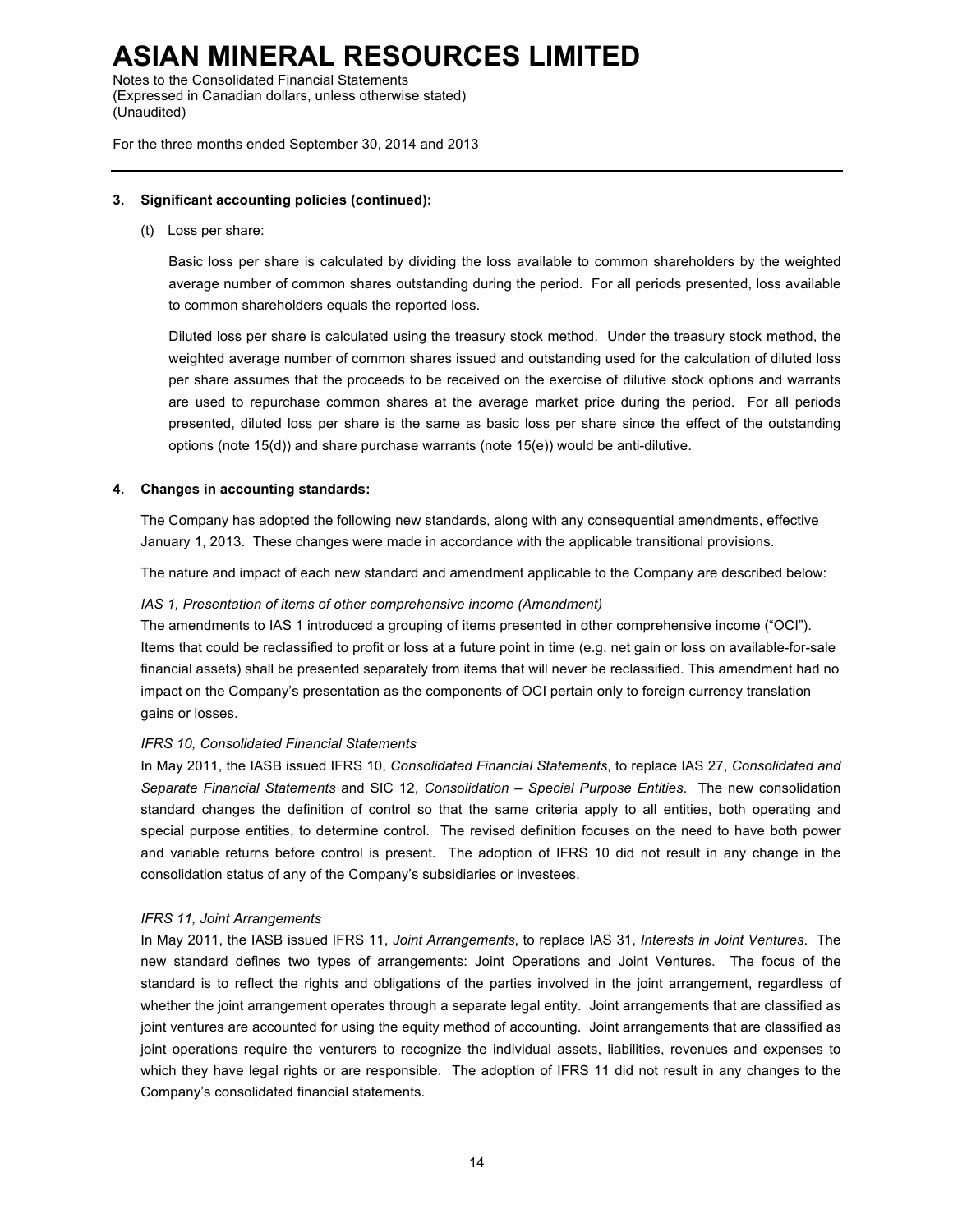Notes to the Consolidated Financial Statements (Expressed in Canadian dollars, unless otherwise stated) (Unaudited)

For the three months ended September 30, 2014 and 2013

#### **3. Significant accounting policies (continued):**

(t) Loss per share:

Basic loss per share is calculated by dividing the loss available to common shareholders by the weighted average number of common shares outstanding during the period. For all periods presented, loss available to common shareholders equals the reported loss.

Diluted loss per share is calculated using the treasury stock method. Under the treasury stock method, the weighted average number of common shares issued and outstanding used for the calculation of diluted loss per share assumes that the proceeds to be received on the exercise of dilutive stock options and warrants are used to repurchase common shares at the average market price during the period. For all periods presented, diluted loss per share is the same as basic loss per share since the effect of the outstanding options (note 15(d)) and share purchase warrants (note 15(e)) would be anti-dilutive.

#### **4. Changes in accounting standards:**

The Company has adopted the following new standards, along with any consequential amendments, effective January 1, 2013. These changes were made in accordance with the applicable transitional provisions.

The nature and impact of each new standard and amendment applicable to the Company are described below:

#### *IAS 1, Presentation of items of other comprehensive income (Amendment)*

The amendments to IAS 1 introduced a grouping of items presented in other comprehensive income ("OCI"). Items that could be reclassified to profit or loss at a future point in time (e.g. net gain or loss on available-for-sale financial assets) shall be presented separately from items that will never be reclassified. This amendment had no impact on the Company's presentation as the components of OCI pertain only to foreign currency translation gains or losses.

#### *IFRS 10, Consolidated Financial Statements*

In May 2011, the IASB issued IFRS 10, *Consolidated Financial Statements*, to replace IAS 27, *Consolidated and Separate Financial Statements* and SIC 12, *Consolidation – Special Purpose Entities*. The new consolidation standard changes the definition of control so that the same criteria apply to all entities, both operating and special purpose entities, to determine control. The revised definition focuses on the need to have both power and variable returns before control is present. The adoption of IFRS 10 did not result in any change in the consolidation status of any of the Company's subsidiaries or investees.

#### *IFRS 11, Joint Arrangements*

In May 2011, the IASB issued IFRS 11, *Joint Arrangements*, to replace IAS 31, *Interests in Joint Ventures*. The new standard defines two types of arrangements: Joint Operations and Joint Ventures. The focus of the standard is to reflect the rights and obligations of the parties involved in the joint arrangement, regardless of whether the joint arrangement operates through a separate legal entity. Joint arrangements that are classified as joint ventures are accounted for using the equity method of accounting. Joint arrangements that are classified as joint operations require the venturers to recognize the individual assets, liabilities, revenues and expenses to which they have legal rights or are responsible. The adoption of IFRS 11 did not result in any changes to the Company's consolidated financial statements.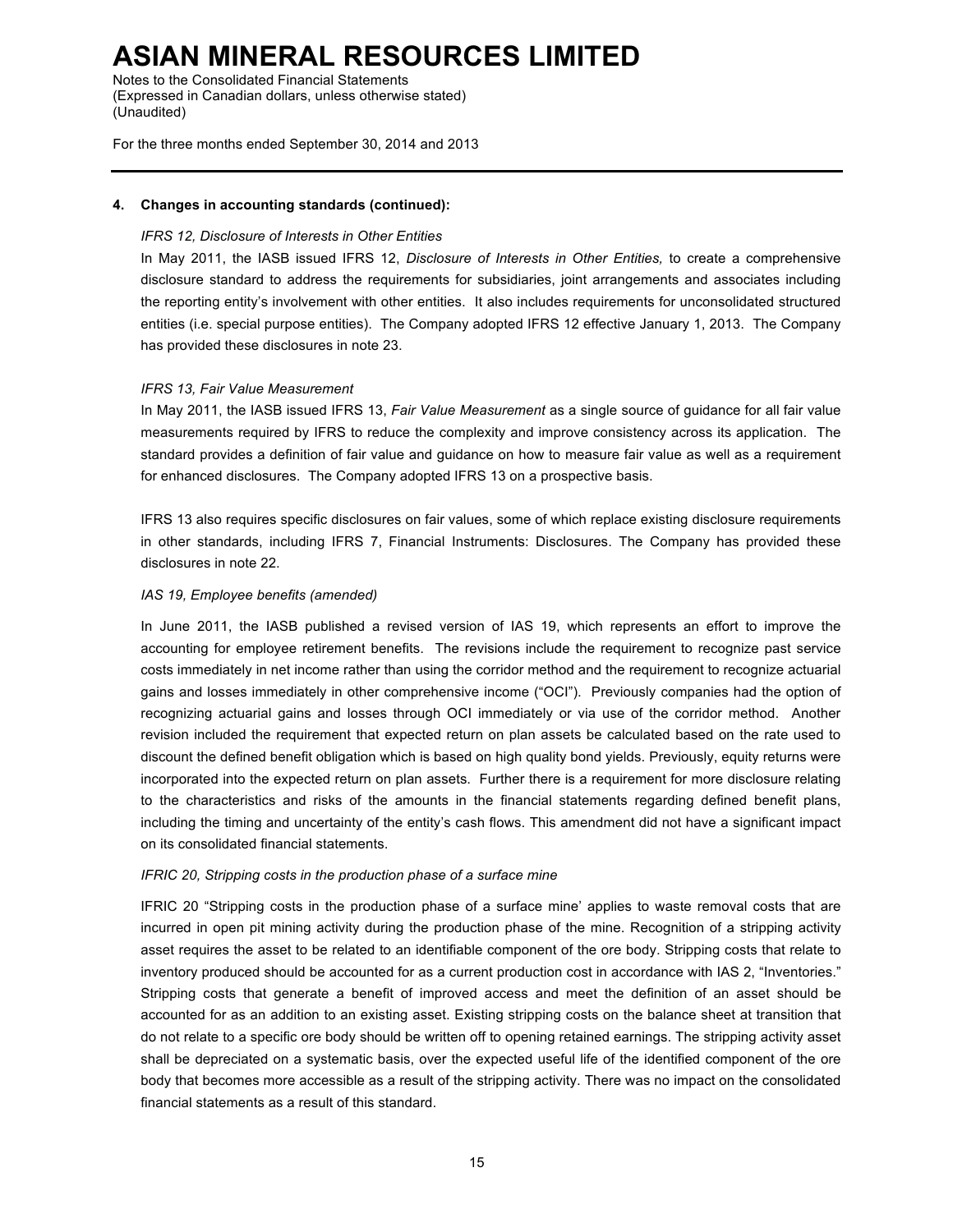Notes to the Consolidated Financial Statements (Expressed in Canadian dollars, unless otherwise stated) (Unaudited)

For the three months ended September 30, 2014 and 2013

#### **4. Changes in accounting standards (continued):**

#### *IFRS 12, Disclosure of Interests in Other Entities*

In May 2011, the IASB issued IFRS 12, *Disclosure of Interests in Other Entities,* to create a comprehensive disclosure standard to address the requirements for subsidiaries, joint arrangements and associates including the reporting entity's involvement with other entities. It also includes requirements for unconsolidated structured entities (i.e. special purpose entities). The Company adopted IFRS 12 effective January 1, 2013. The Company has provided these disclosures in note 23.

#### *IFRS 13, Fair Value Measurement*

In May 2011, the IASB issued IFRS 13, *Fair Value Measurement* as a single source of guidance for all fair value measurements required by IFRS to reduce the complexity and improve consistency across its application. The standard provides a definition of fair value and guidance on how to measure fair value as well as a requirement for enhanced disclosures. The Company adopted IFRS 13 on a prospective basis.

IFRS 13 also requires specific disclosures on fair values, some of which replace existing disclosure requirements in other standards, including IFRS 7, Financial Instruments: Disclosures. The Company has provided these disclosures in note 22.

#### *IAS 19, Employee benefits (amended)*

In June 2011, the IASB published a revised version of IAS 19, which represents an effort to improve the accounting for employee retirement benefits. The revisions include the requirement to recognize past service costs immediately in net income rather than using the corridor method and the requirement to recognize actuarial gains and losses immediately in other comprehensive income ("OCI"). Previously companies had the option of recognizing actuarial gains and losses through OCI immediately or via use of the corridor method. Another revision included the requirement that expected return on plan assets be calculated based on the rate used to discount the defined benefit obligation which is based on high quality bond yields. Previously, equity returns were incorporated into the expected return on plan assets. Further there is a requirement for more disclosure relating to the characteristics and risks of the amounts in the financial statements regarding defined benefit plans, including the timing and uncertainty of the entity's cash flows. This amendment did not have a significant impact on its consolidated financial statements.

#### *IFRIC 20, Stripping costs in the production phase of a surface mine*

IFRIC 20 "Stripping costs in the production phase of a surface mine' applies to waste removal costs that are incurred in open pit mining activity during the production phase of the mine. Recognition of a stripping activity asset requires the asset to be related to an identifiable component of the ore body. Stripping costs that relate to inventory produced should be accounted for as a current production cost in accordance with IAS 2, "Inventories." Stripping costs that generate a benefit of improved access and meet the definition of an asset should be accounted for as an addition to an existing asset. Existing stripping costs on the balance sheet at transition that do not relate to a specific ore body should be written off to opening retained earnings. The stripping activity asset shall be depreciated on a systematic basis, over the expected useful life of the identified component of the ore body that becomes more accessible as a result of the stripping activity. There was no impact on the consolidated financial statements as a result of this standard.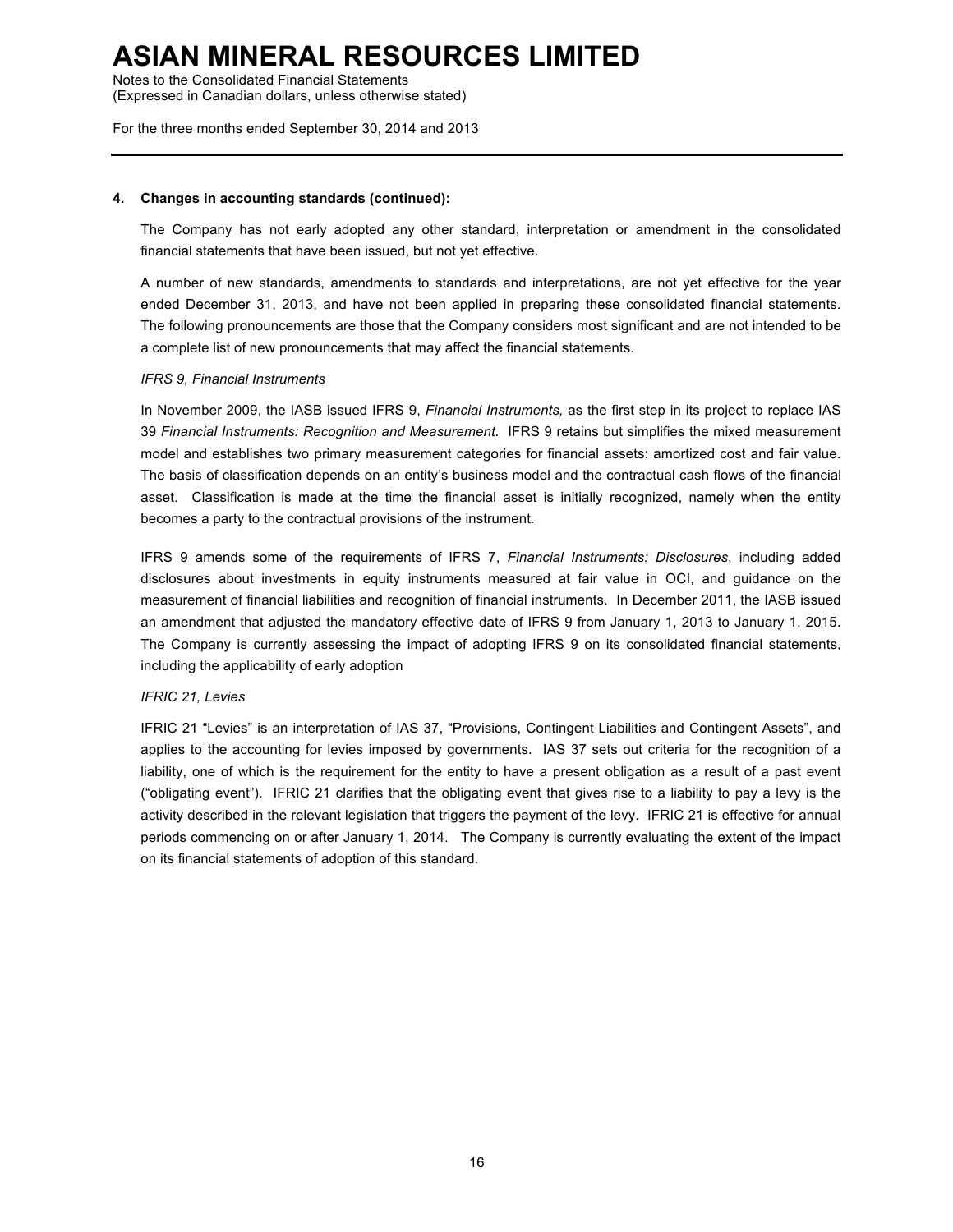Notes to the Consolidated Financial Statements (Expressed in Canadian dollars, unless otherwise stated)

For the three months ended September 30, 2014 and 2013

#### **4. Changes in accounting standards (continued):**

The Company has not early adopted any other standard, interpretation or amendment in the consolidated financial statements that have been issued, but not yet effective.

A number of new standards, amendments to standards and interpretations, are not yet effective for the year ended December 31, 2013, and have not been applied in preparing these consolidated financial statements. The following pronouncements are those that the Company considers most significant and are not intended to be a complete list of new pronouncements that may affect the financial statements.

#### *IFRS 9, Financial Instruments*

In November 2009, the IASB issued IFRS 9, *Financial Instruments,* as the first step in its project to replace IAS 39 *Financial Instruments: Recognition and Measurement*. IFRS 9 retains but simplifies the mixed measurement model and establishes two primary measurement categories for financial assets: amortized cost and fair value. The basis of classification depends on an entity's business model and the contractual cash flows of the financial asset. Classification is made at the time the financial asset is initially recognized, namely when the entity becomes a party to the contractual provisions of the instrument.

IFRS 9 amends some of the requirements of IFRS 7, *Financial Instruments: Disclosures*, including added disclosures about investments in equity instruments measured at fair value in OCI, and guidance on the measurement of financial liabilities and recognition of financial instruments. In December 2011, the IASB issued an amendment that adjusted the mandatory effective date of IFRS 9 from January 1, 2013 to January 1, 2015. The Company is currently assessing the impact of adopting IFRS 9 on its consolidated financial statements, including the applicability of early adoption

#### *IFRIC 21, Levies*

IFRIC 21 "Levies" is an interpretation of IAS 37, "Provisions, Contingent Liabilities and Contingent Assets", and applies to the accounting for levies imposed by governments. IAS 37 sets out criteria for the recognition of a liability, one of which is the requirement for the entity to have a present obligation as a result of a past event ("obligating event"). IFRIC 21 clarifies that the obligating event that gives rise to a liability to pay a levy is the activity described in the relevant legislation that triggers the payment of the levy. IFRIC 21 is effective for annual periods commencing on or after January 1, 2014. The Company is currently evaluating the extent of the impact on its financial statements of adoption of this standard.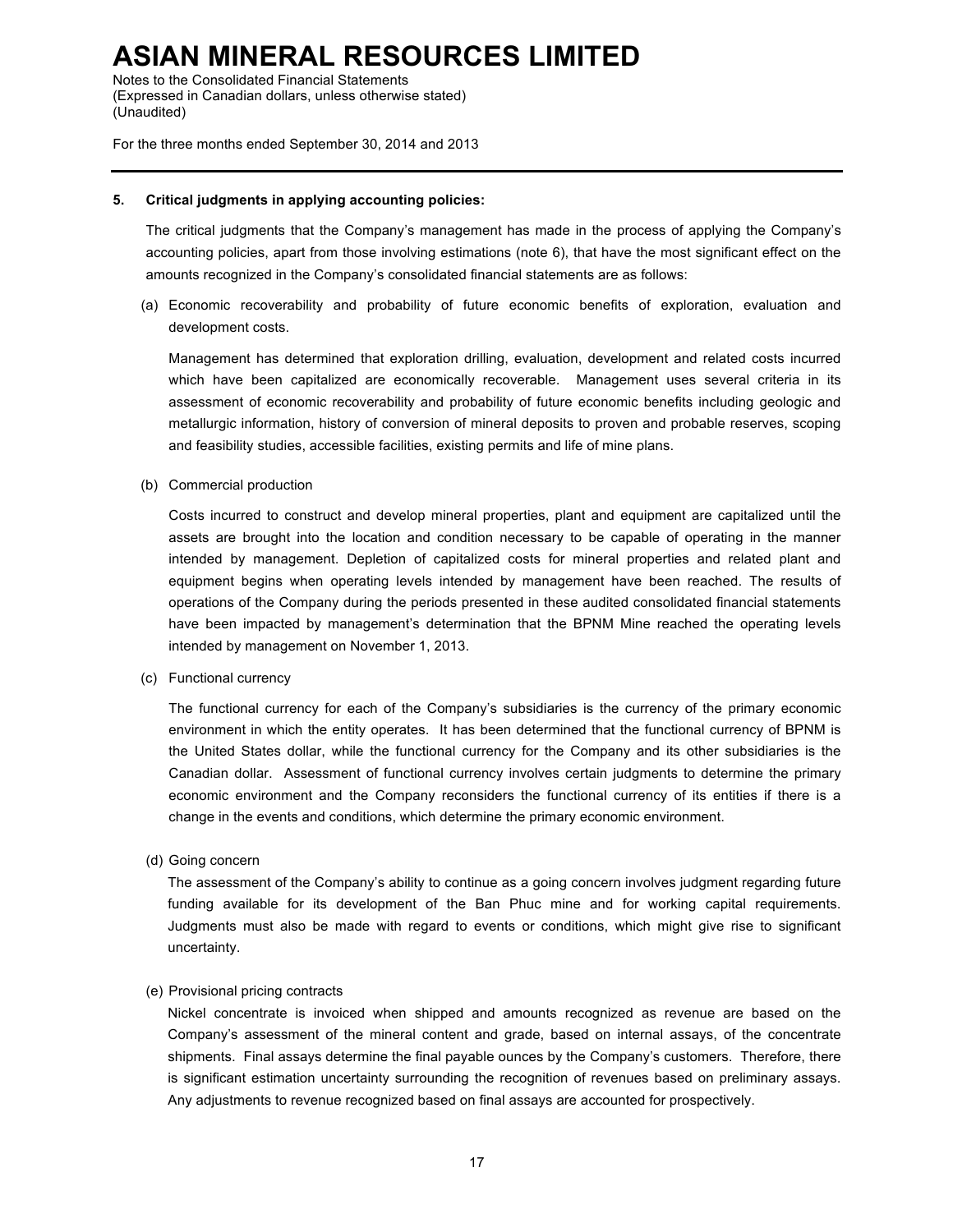Notes to the Consolidated Financial Statements (Expressed in Canadian dollars, unless otherwise stated) (Unaudited)

For the three months ended September 30, 2014 and 2013

#### **5. Critical judgments in applying accounting policies:**

The critical judgments that the Company's management has made in the process of applying the Company's accounting policies, apart from those involving estimations (note 6), that have the most significant effect on the amounts recognized in the Company's consolidated financial statements are as follows:

(a) Economic recoverability and probability of future economic benefits of exploration, evaluation and development costs.

Management has determined that exploration drilling, evaluation, development and related costs incurred which have been capitalized are economically recoverable. Management uses several criteria in its assessment of economic recoverability and probability of future economic benefits including geologic and metallurgic information, history of conversion of mineral deposits to proven and probable reserves, scoping and feasibility studies, accessible facilities, existing permits and life of mine plans.

(b) Commercial production

Costs incurred to construct and develop mineral properties, plant and equipment are capitalized until the assets are brought into the location and condition necessary to be capable of operating in the manner intended by management. Depletion of capitalized costs for mineral properties and related plant and equipment begins when operating levels intended by management have been reached. The results of operations of the Company during the periods presented in these audited consolidated financial statements have been impacted by management's determination that the BPNM Mine reached the operating levels intended by management on November 1, 2013.

(c) Functional currency

The functional currency for each of the Company's subsidiaries is the currency of the primary economic environment in which the entity operates. It has been determined that the functional currency of BPNM is the United States dollar, while the functional currency for the Company and its other subsidiaries is the Canadian dollar. Assessment of functional currency involves certain judgments to determine the primary economic environment and the Company reconsiders the functional currency of its entities if there is a change in the events and conditions, which determine the primary economic environment.

(d) Going concern

The assessment of the Company's ability to continue as a going concern involves judgment regarding future funding available for its development of the Ban Phuc mine and for working capital requirements. Judgments must also be made with regard to events or conditions, which might give rise to significant uncertainty.

#### (e) Provisional pricing contracts

Nickel concentrate is invoiced when shipped and amounts recognized as revenue are based on the Company's assessment of the mineral content and grade, based on internal assays, of the concentrate shipments. Final assays determine the final payable ounces by the Company's customers. Therefore, there is significant estimation uncertainty surrounding the recognition of revenues based on preliminary assays. Any adjustments to revenue recognized based on final assays are accounted for prospectively.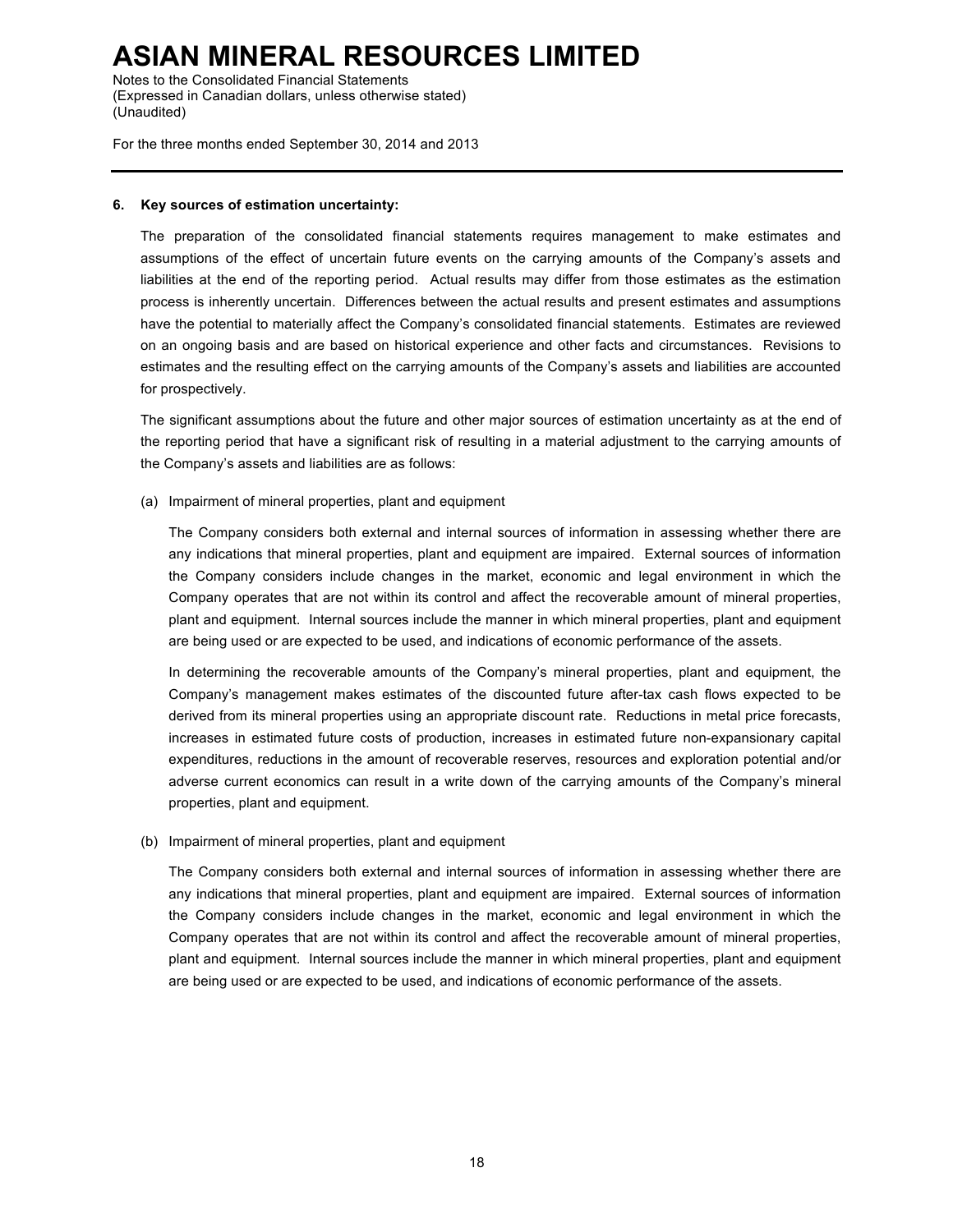Notes to the Consolidated Financial Statements (Expressed in Canadian dollars, unless otherwise stated) (Unaudited)

For the three months ended September 30, 2014 and 2013

#### **6. Key sources of estimation uncertainty:**

The preparation of the consolidated financial statements requires management to make estimates and assumptions of the effect of uncertain future events on the carrying amounts of the Company's assets and liabilities at the end of the reporting period. Actual results may differ from those estimates as the estimation process is inherently uncertain. Differences between the actual results and present estimates and assumptions have the potential to materially affect the Company's consolidated financial statements. Estimates are reviewed on an ongoing basis and are based on historical experience and other facts and circumstances. Revisions to estimates and the resulting effect on the carrying amounts of the Company's assets and liabilities are accounted for prospectively.

The significant assumptions about the future and other major sources of estimation uncertainty as at the end of the reporting period that have a significant risk of resulting in a material adjustment to the carrying amounts of the Company's assets and liabilities are as follows:

(a) Impairment of mineral properties, plant and equipment

The Company considers both external and internal sources of information in assessing whether there are any indications that mineral properties, plant and equipment are impaired. External sources of information the Company considers include changes in the market, economic and legal environment in which the Company operates that are not within its control and affect the recoverable amount of mineral properties, plant and equipment. Internal sources include the manner in which mineral properties, plant and equipment are being used or are expected to be used, and indications of economic performance of the assets.

In determining the recoverable amounts of the Company's mineral properties, plant and equipment, the Company's management makes estimates of the discounted future after-tax cash flows expected to be derived from its mineral properties using an appropriate discount rate. Reductions in metal price forecasts, increases in estimated future costs of production, increases in estimated future non-expansionary capital expenditures, reductions in the amount of recoverable reserves, resources and exploration potential and/or adverse current economics can result in a write down of the carrying amounts of the Company's mineral properties, plant and equipment.

(b) Impairment of mineral properties, plant and equipment

The Company considers both external and internal sources of information in assessing whether there are any indications that mineral properties, plant and equipment are impaired. External sources of information the Company considers include changes in the market, economic and legal environment in which the Company operates that are not within its control and affect the recoverable amount of mineral properties, plant and equipment. Internal sources include the manner in which mineral properties, plant and equipment are being used or are expected to be used, and indications of economic performance of the assets.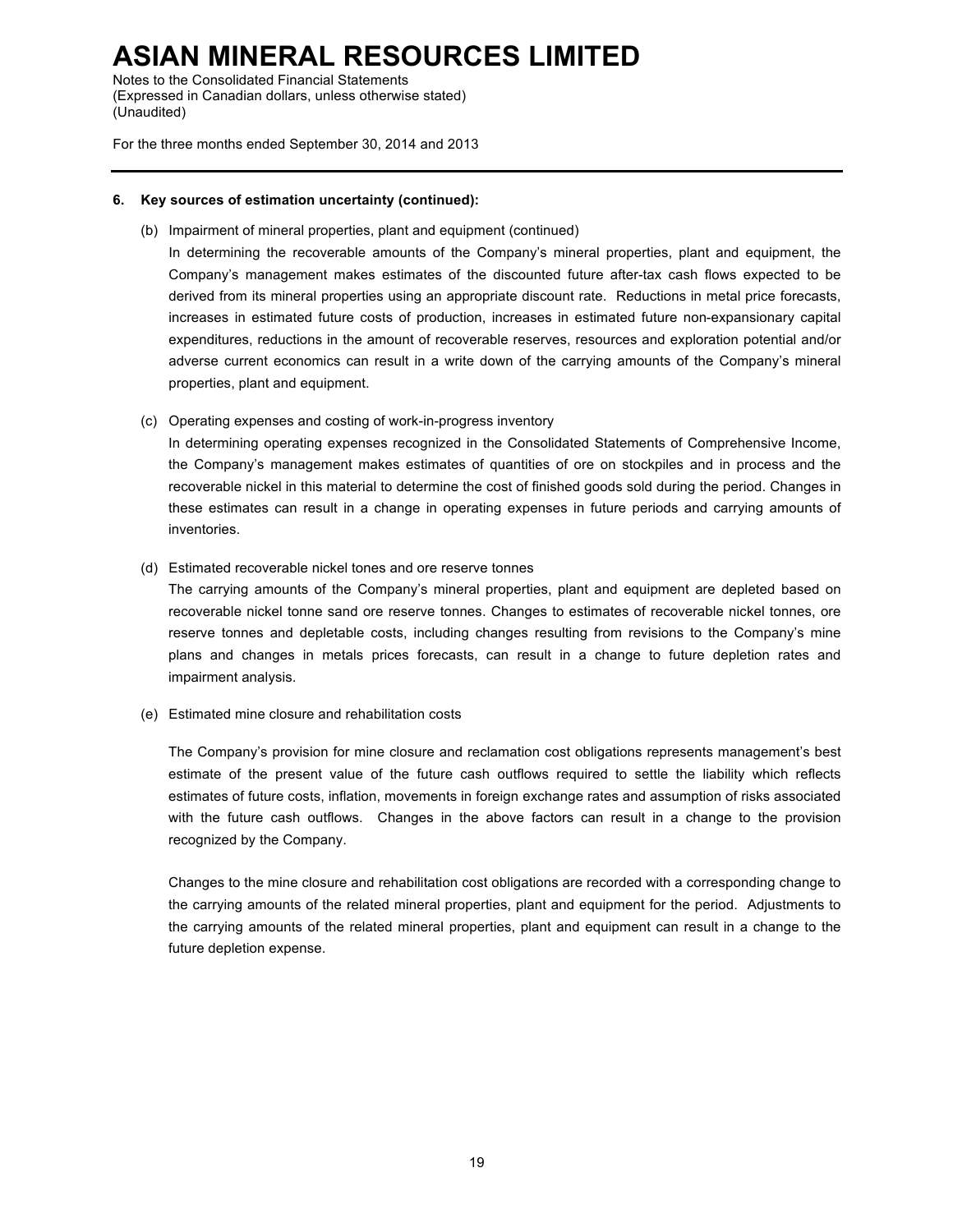Notes to the Consolidated Financial Statements (Expressed in Canadian dollars, unless otherwise stated) (Unaudited)

For the three months ended September 30, 2014 and 2013

#### **6. Key sources of estimation uncertainty (continued):**

(b) Impairment of mineral properties, plant and equipment (continued)

In determining the recoverable amounts of the Company's mineral properties, plant and equipment, the Company's management makes estimates of the discounted future after-tax cash flows expected to be derived from its mineral properties using an appropriate discount rate. Reductions in metal price forecasts, increases in estimated future costs of production, increases in estimated future non-expansionary capital expenditures, reductions in the amount of recoverable reserves, resources and exploration potential and/or adverse current economics can result in a write down of the carrying amounts of the Company's mineral properties, plant and equipment.

(c) Operating expenses and costing of work-in-progress inventory

In determining operating expenses recognized in the Consolidated Statements of Comprehensive Income, the Company's management makes estimates of quantities of ore on stockpiles and in process and the recoverable nickel in this material to determine the cost of finished goods sold during the period. Changes in these estimates can result in a change in operating expenses in future periods and carrying amounts of inventories.

(d) Estimated recoverable nickel tones and ore reserve tonnes

The carrying amounts of the Company's mineral properties, plant and equipment are depleted based on recoverable nickel tonne sand ore reserve tonnes. Changes to estimates of recoverable nickel tonnes, ore reserve tonnes and depletable costs, including changes resulting from revisions to the Company's mine plans and changes in metals prices forecasts, can result in a change to future depletion rates and impairment analysis.

(e) Estimated mine closure and rehabilitation costs

The Company's provision for mine closure and reclamation cost obligations represents management's best estimate of the present value of the future cash outflows required to settle the liability which reflects estimates of future costs, inflation, movements in foreign exchange rates and assumption of risks associated with the future cash outflows. Changes in the above factors can result in a change to the provision recognized by the Company.

Changes to the mine closure and rehabilitation cost obligations are recorded with a corresponding change to the carrying amounts of the related mineral properties, plant and equipment for the period. Adjustments to the carrying amounts of the related mineral properties, plant and equipment can result in a change to the future depletion expense.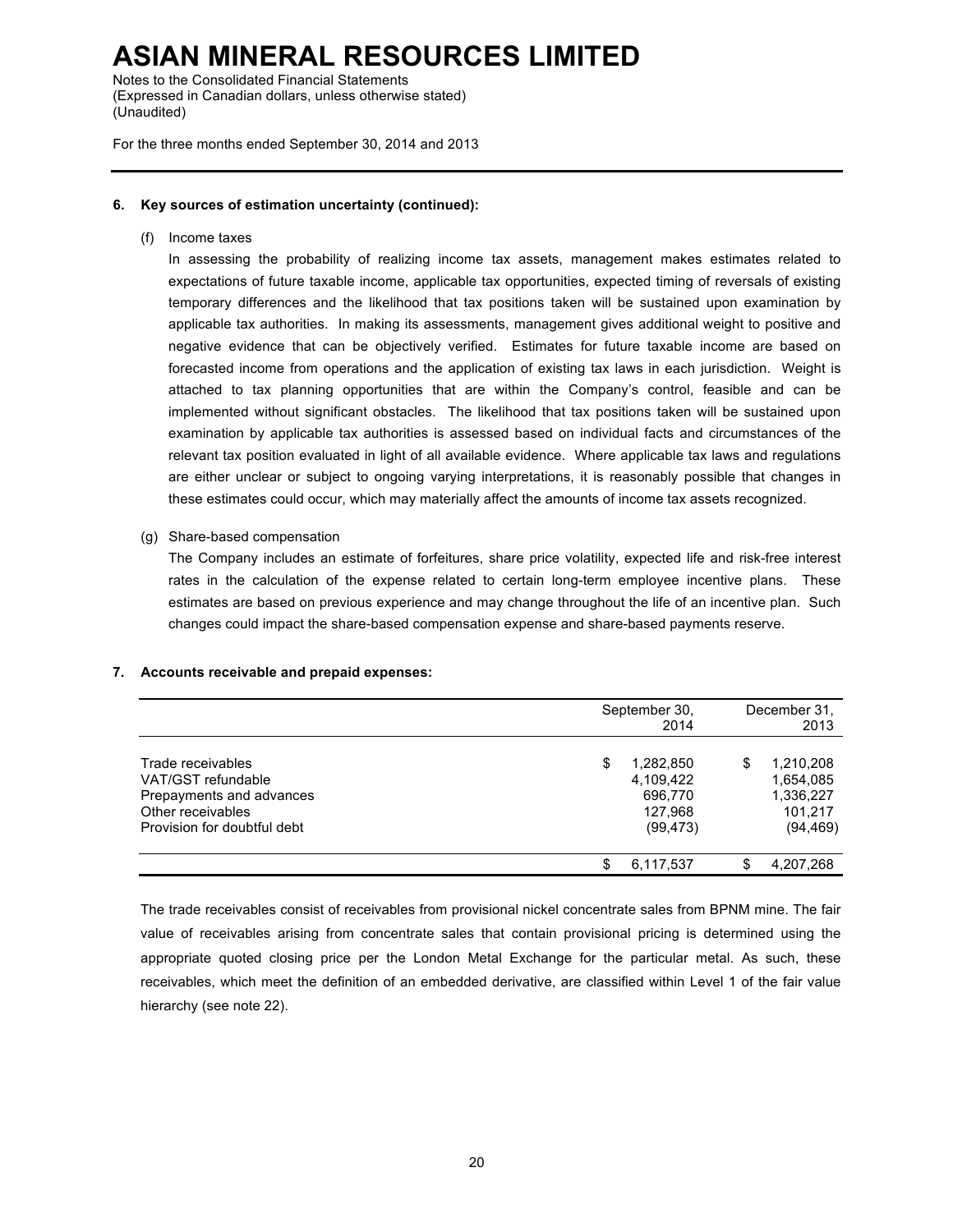Notes to the Consolidated Financial Statements (Expressed in Canadian dollars, unless otherwise stated) (Unaudited)

For the three months ended September 30, 2014 and 2013

#### **6. Key sources of estimation uncertainty (continued):**

(f) Income taxes

In assessing the probability of realizing income tax assets, management makes estimates related to expectations of future taxable income, applicable tax opportunities, expected timing of reversals of existing temporary differences and the likelihood that tax positions taken will be sustained upon examination by applicable tax authorities. In making its assessments, management gives additional weight to positive and negative evidence that can be objectively verified. Estimates for future taxable income are based on forecasted income from operations and the application of existing tax laws in each jurisdiction. Weight is attached to tax planning opportunities that are within the Company's control, feasible and can be implemented without significant obstacles. The likelihood that tax positions taken will be sustained upon examination by applicable tax authorities is assessed based on individual facts and circumstances of the relevant tax position evaluated in light of all available evidence. Where applicable tax laws and regulations are either unclear or subject to ongoing varying interpretations, it is reasonably possible that changes in these estimates could occur, which may materially affect the amounts of income tax assets recognized.

(g) Share-based compensation

The Company includes an estimate of forfeitures, share price volatility, expected life and risk-free interest rates in the calculation of the expense related to certain long-term employee incentive plans. These estimates are based on previous experience and may change throughout the life of an incentive plan. Such changes could impact the share-based compensation expense and share-based payments reserve.

#### **7. Accounts receivable and prepaid expenses:**

|                                                                                                                         | September 30,<br>2014                                           |    | December 31,<br>2013                                        |
|-------------------------------------------------------------------------------------------------------------------------|-----------------------------------------------------------------|----|-------------------------------------------------------------|
| Trade receivables<br>VAT/GST refundable<br>Prepayments and advances<br>Other receivables<br>Provision for doubtful debt | \$<br>1,282,850<br>4,109,422<br>696,770<br>127.968<br>(99, 473) | S  | 1,210,208<br>1,654,085<br>1,336,227<br>101.217<br>(94, 469) |
|                                                                                                                         | 6.117.537                                                       | \$ | 4,207,268                                                   |

The trade receivables consist of receivables from provisional nickel concentrate sales from BPNM mine. The fair value of receivables arising from concentrate sales that contain provisional pricing is determined using the appropriate quoted closing price per the London Metal Exchange for the particular metal. As such, these receivables, which meet the definition of an embedded derivative, are classified within Level 1 of the fair value hierarchy (see note 22).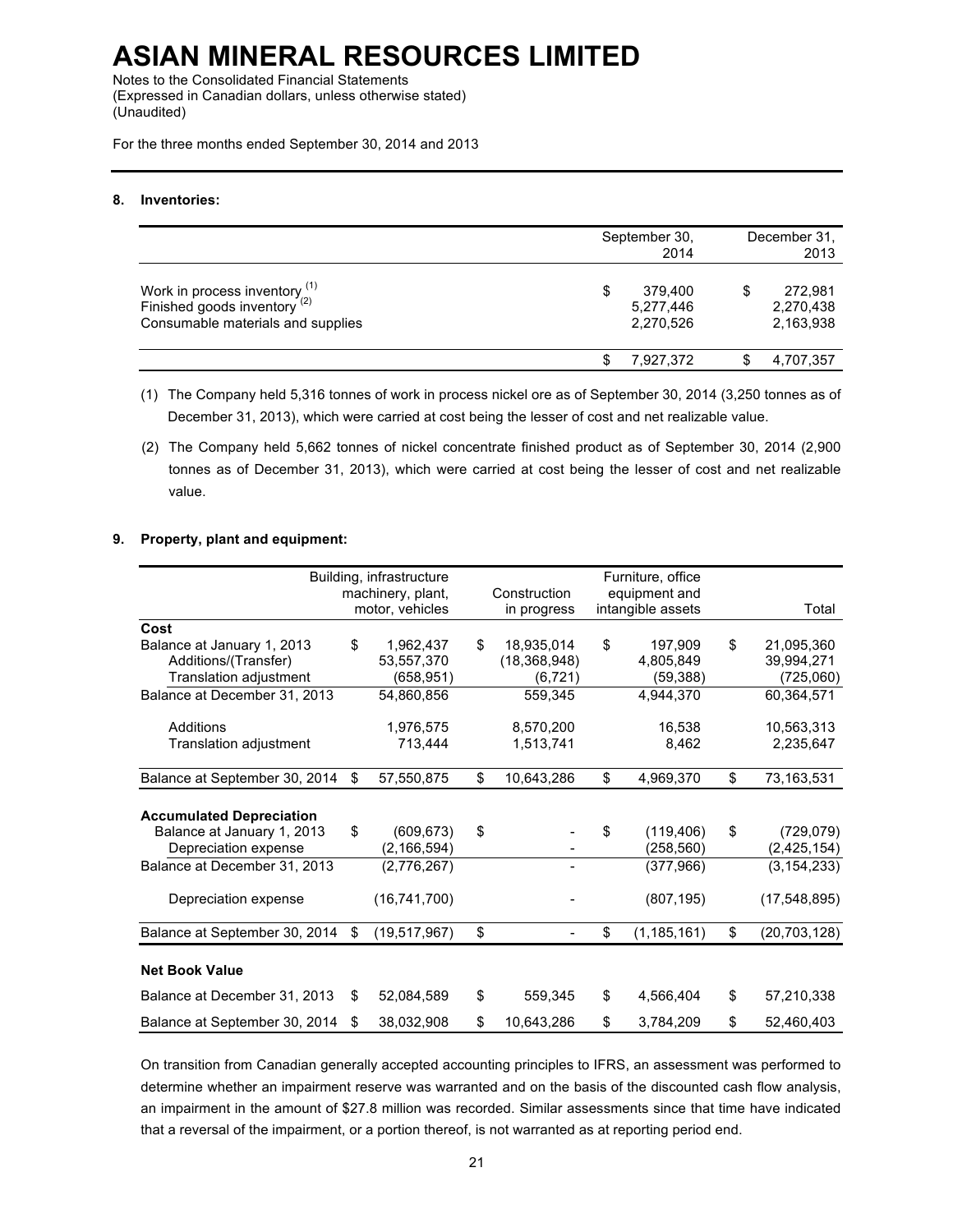Notes to the Consolidated Financial Statements (Expressed in Canadian dollars, unless otherwise stated) (Unaudited)

For the three months ended September 30, 2014 and 2013

#### **8. Inventories:**

|                                                                                                        | September 30,<br>2014                  |   | December 31,<br>2013              |
|--------------------------------------------------------------------------------------------------------|----------------------------------------|---|-----------------------------------|
| Work in process inventory $(1)$<br>Finished goods inventory $(2)$<br>Consumable materials and supplies | 379,400<br>S<br>5,277,446<br>2,270,526 | S | 272,981<br>2,270,438<br>2,163,938 |
|                                                                                                        | 7.927.372                              |   | 4,707,357                         |

(1) The Company held 5,316 tonnes of work in process nickel ore as of September 30, 2014 (3,250 tonnes as of December 31, 2013), which were carried at cost being the lesser of cost and net realizable value.

(2) The Company held 5,662 tonnes of nickel concentrate finished product as of September 30, 2014 (2,900 tonnes as of December 31, 2013), which were carried at cost being the lesser of cost and net realizable value.

#### **9. Property, plant and equipment:**

|                                 |    | Building, infrastructure |                  | Furniture, office   |                      |
|---------------------------------|----|--------------------------|------------------|---------------------|----------------------|
|                                 |    | machinery, plant,        | Construction     | equipment and       |                      |
|                                 |    | motor, vehicles          | in progress      | intangible assets   | Total                |
| Cost                            |    |                          |                  |                     |                      |
| Balance at January 1, 2013      | \$ | 1,962,437                | \$<br>18,935,014 | \$<br>197,909       | \$<br>21,095,360     |
| Additions/(Transfer)            |    | 53,557,370               | (18, 368, 948)   | 4,805,849           | 39,994,271           |
| Translation adjustment          |    | (658, 951)               | (6, 721)         | (59, 388)           | (725,060)            |
| Balance at December 31, 2013    |    | 54,860,856               | 559,345          | 4,944,370           | 60,364,571           |
| Additions                       |    | 1,976,575                | 8,570,200        | 16,538              | 10,563,313           |
| Translation adjustment          |    | 713,444                  | 1,513,741        | 8,462               | 2,235,647            |
| Balance at September 30, 2014   | \$ | 57,550,875               | \$<br>10,643,286 | \$<br>4,969,370     | \$<br>73,163,531     |
|                                 |    |                          |                  |                     |                      |
| <b>Accumulated Depreciation</b> |    |                          |                  |                     |                      |
| Balance at January 1, 2013      | \$ | (609, 673)               | \$               | \$<br>(119, 406)    | \$<br>(729, 079)     |
| Depreciation expense            |    | (2, 166, 594)            |                  | (258, 560)          | (2, 425, 154)        |
| Balance at December 31, 2013    |    | (2,776,267)              |                  | (377, 966)          | (3, 154, 233)        |
| Depreciation expense            |    | (16,741,700)             |                  | (807, 195)          | (17, 548, 895)       |
|                                 |    |                          |                  |                     |                      |
| Balance at September 30, 2014   | \$ | (19, 517, 967)           | \$               | \$<br>(1, 185, 161) | \$<br>(20, 703, 128) |
| <b>Net Book Value</b>           |    |                          |                  |                     |                      |
| Balance at December 31, 2013    | S  | 52,084,589               | \$<br>559,345    | \$<br>4,566,404     | \$<br>57,210,338     |
| Balance at September 30, 2014   | S  | 38,032,908               | \$<br>10,643,286 | \$<br>3,784,209     | \$<br>52,460,403     |

On transition from Canadian generally accepted accounting principles to IFRS, an assessment was performed to determine whether an impairment reserve was warranted and on the basis of the discounted cash flow analysis, an impairment in the amount of \$27.8 million was recorded. Similar assessments since that time have indicated that a reversal of the impairment, or a portion thereof, is not warranted as at reporting period end.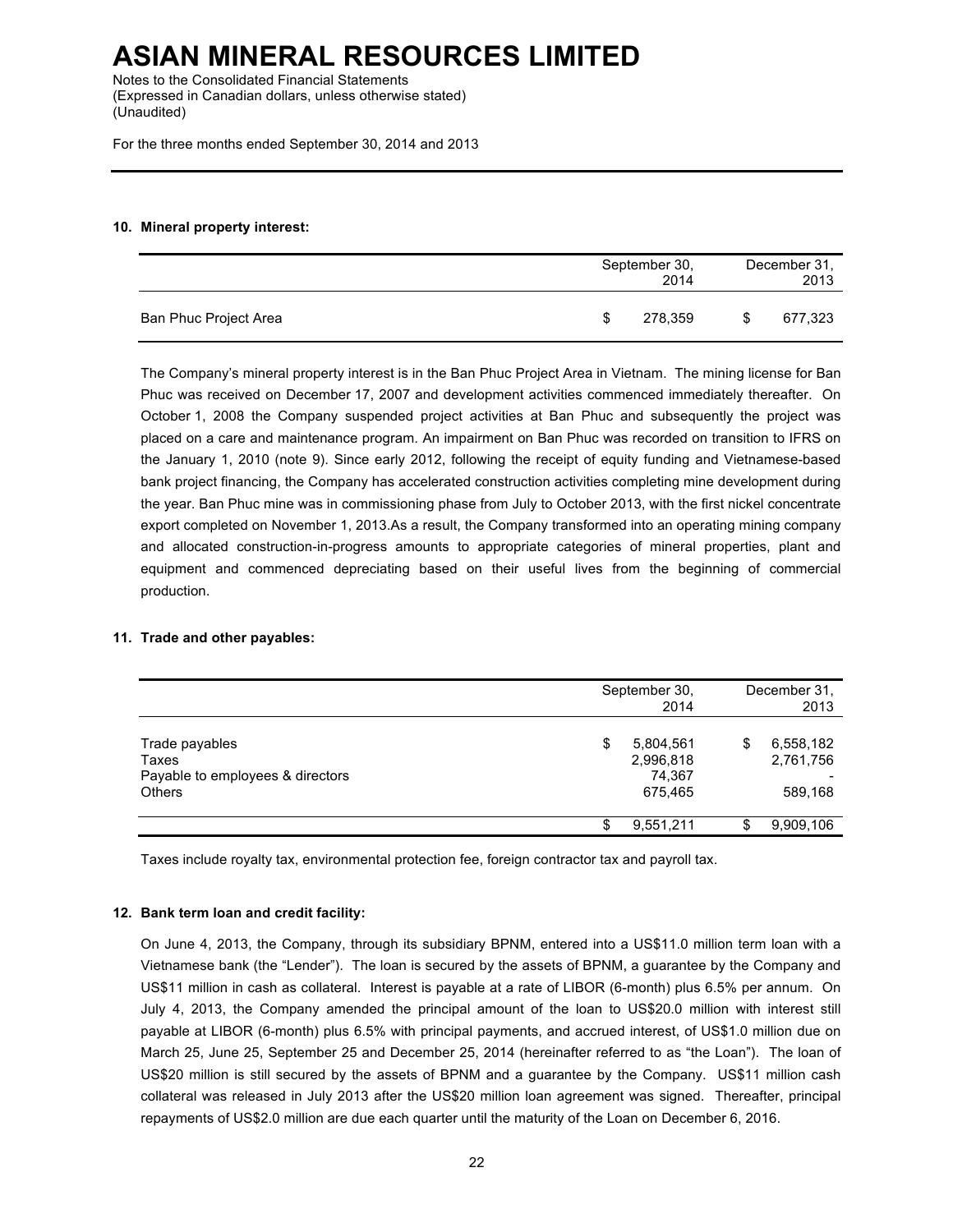Notes to the Consolidated Financial Statements (Expressed in Canadian dollars, unless otherwise stated) (Unaudited)

For the three months ended September 30, 2014 and 2013

#### **10. Mineral property interest:**

|                       |     | September 30,<br>2014 |   | December 31,<br>2013 |
|-----------------------|-----|-----------------------|---|----------------------|
| Ban Phuc Project Area | \$. | 278,359               | S | 677,323              |

The Company's mineral property interest is in the Ban Phuc Project Area in Vietnam. The mining license for Ban Phuc was received on December 17, 2007 and development activities commenced immediately thereafter. On October 1, 2008 the Company suspended project activities at Ban Phuc and subsequently the project was placed on a care and maintenance program. An impairment on Ban Phuc was recorded on transition to IFRS on the January 1, 2010 (note 9). Since early 2012, following the receipt of equity funding and Vietnamese-based bank project financing, the Company has accelerated construction activities completing mine development during the year. Ban Phuc mine was in commissioning phase from July to October 2013, with the first nickel concentrate export completed on November 1, 2013.As a result, the Company transformed into an operating mining company and allocated construction-in-progress amounts to appropriate categories of mineral properties, plant and equipment and commenced depreciating based on their useful lives from the beginning of commercial production.

#### **11. Trade and other payables:**

|                                                                              |   | September 30,<br>2014                       |   | December 31,<br>2013              |
|------------------------------------------------------------------------------|---|---------------------------------------------|---|-----------------------------------|
| Trade payables<br>Taxes<br>Payable to employees & directors<br><b>Others</b> | S | 5,804,561<br>2,996,818<br>74,367<br>675,465 | S | 6,558,182<br>2,761,756<br>589,168 |
|                                                                              |   | 9,551,211                                   | S | 9,909,106                         |

Taxes include royalty tax, environmental protection fee, foreign contractor tax and payroll tax.

#### **12. Bank term loan and credit facility:**

On June 4, 2013, the Company, through its subsidiary BPNM, entered into a US\$11.0 million term loan with a Vietnamese bank (the "Lender"). The loan is secured by the assets of BPNM, a guarantee by the Company and US\$11 million in cash as collateral. Interest is payable at a rate of LIBOR (6-month) plus 6.5% per annum. On July 4, 2013, the Company amended the principal amount of the loan to US\$20.0 million with interest still payable at LIBOR (6-month) plus 6.5% with principal payments, and accrued interest, of US\$1.0 million due on March 25, June 25, September 25 and December 25, 2014 (hereinafter referred to as "the Loan"). The loan of US\$20 million is still secured by the assets of BPNM and a guarantee by the Company. US\$11 million cash collateral was released in July 2013 after the US\$20 million loan agreement was signed. Thereafter, principal repayments of US\$2.0 million are due each quarter until the maturity of the Loan on December 6, 2016.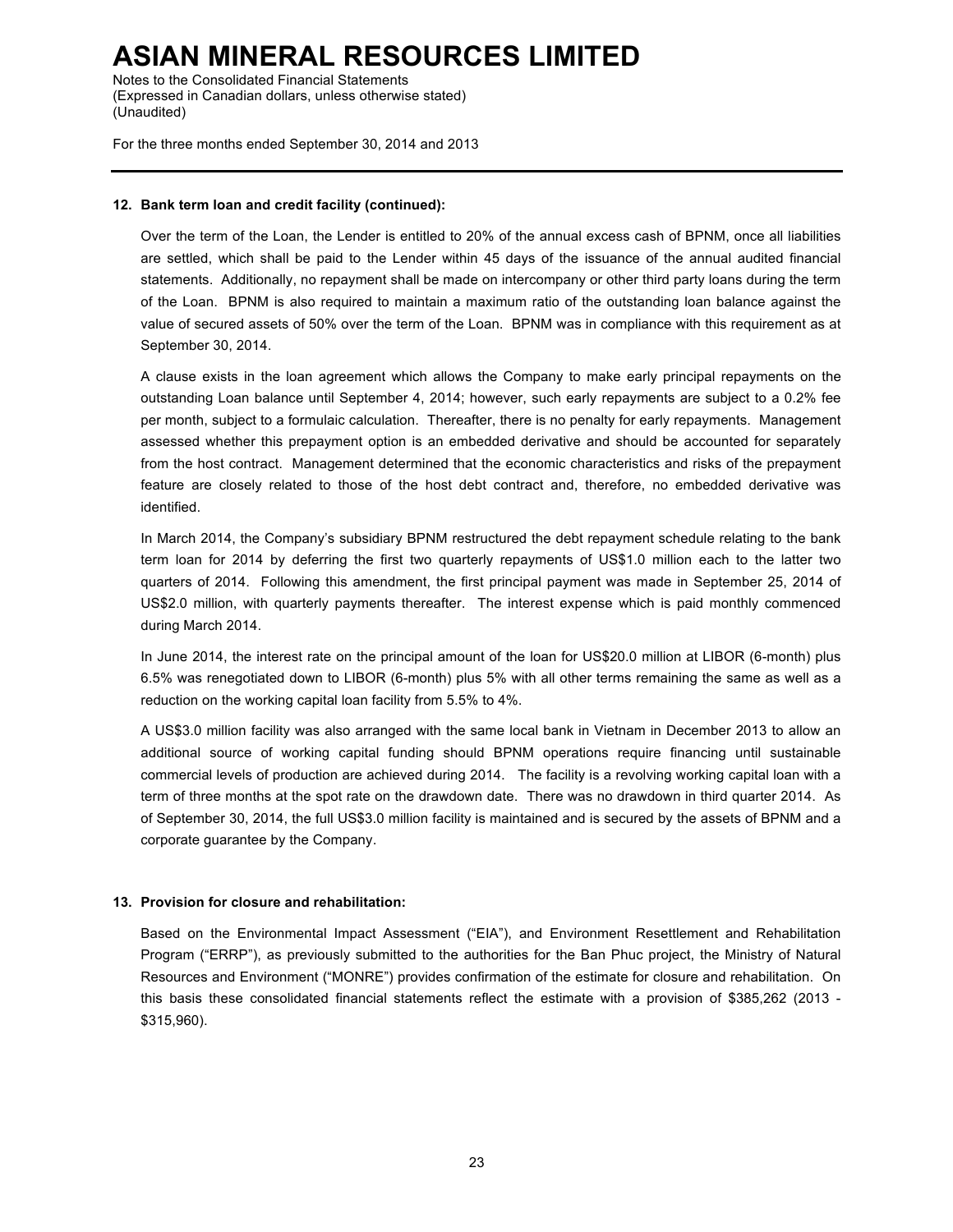Notes to the Consolidated Financial Statements (Expressed in Canadian dollars, unless otherwise stated) (Unaudited)

For the three months ended September 30, 2014 and 2013

#### **12. Bank term loan and credit facility (continued):**

Over the term of the Loan, the Lender is entitled to 20% of the annual excess cash of BPNM, once all liabilities are settled, which shall be paid to the Lender within 45 days of the issuance of the annual audited financial statements. Additionally, no repayment shall be made on intercompany or other third party loans during the term of the Loan. BPNM is also required to maintain a maximum ratio of the outstanding loan balance against the value of secured assets of 50% over the term of the Loan. BPNM was in compliance with this requirement as at September 30, 2014.

A clause exists in the loan agreement which allows the Company to make early principal repayments on the outstanding Loan balance until September 4, 2014; however, such early repayments are subject to a 0.2% fee per month, subject to a formulaic calculation. Thereafter, there is no penalty for early repayments. Management assessed whether this prepayment option is an embedded derivative and should be accounted for separately from the host contract. Management determined that the economic characteristics and risks of the prepayment feature are closely related to those of the host debt contract and, therefore, no embedded derivative was identified.

In March 2014, the Company's subsidiary BPNM restructured the debt repayment schedule relating to the bank term loan for 2014 by deferring the first two quarterly repayments of US\$1.0 million each to the latter two quarters of 2014. Following this amendment, the first principal payment was made in September 25, 2014 of US\$2.0 million, with quarterly payments thereafter. The interest expense which is paid monthly commenced during March 2014.

In June 2014, the interest rate on the principal amount of the loan for US\$20.0 million at LIBOR (6-month) plus 6.5% was renegotiated down to LIBOR (6-month) plus 5% with all other terms remaining the same as well as a reduction on the working capital loan facility from 5.5% to 4%.

A US\$3.0 million facility was also arranged with the same local bank in Vietnam in December 2013 to allow an additional source of working capital funding should BPNM operations require financing until sustainable commercial levels of production are achieved during 2014. The facility is a revolving working capital loan with a term of three months at the spot rate on the drawdown date. There was no drawdown in third quarter 2014. As of September 30, 2014, the full US\$3.0 million facility is maintained and is secured by the assets of BPNM and a corporate guarantee by the Company.

#### **13. Provision for closure and rehabilitation:**

Based on the Environmental Impact Assessment ("EIA"), and Environment Resettlement and Rehabilitation Program ("ERRP"), as previously submitted to the authorities for the Ban Phuc project, the Ministry of Natural Resources and Environment ("MONRE") provides confirmation of the estimate for closure and rehabilitation. On this basis these consolidated financial statements reflect the estimate with a provision of \$385,262 (2013 - \$315,960).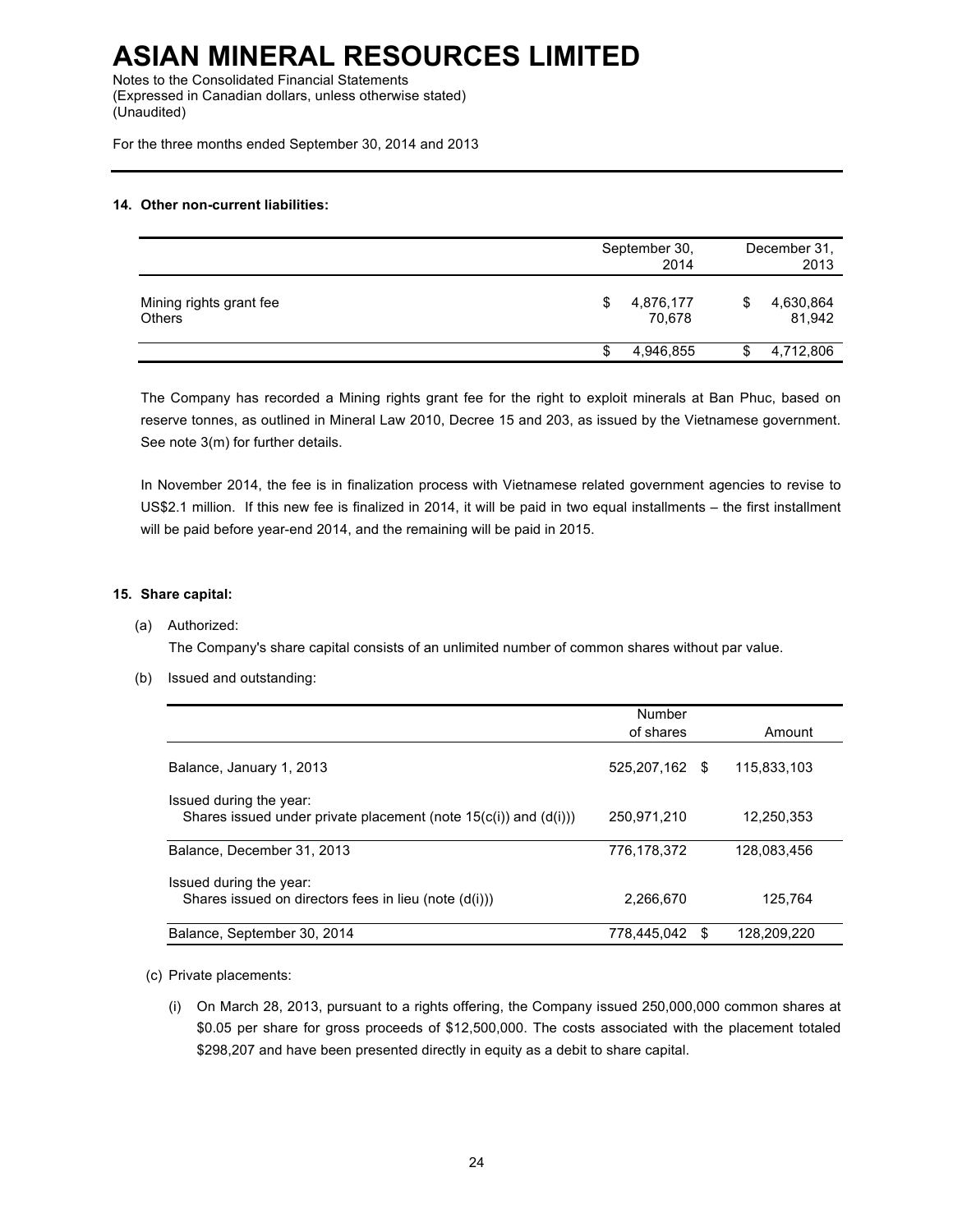Notes to the Consolidated Financial Statements (Expressed in Canadian dollars, unless otherwise stated) (Unaudited)

For the three months ended September 30, 2014 and 2013

#### **14. Other non-current liabilities:**

|                                          | September 30,<br>2014 |    | December 31.<br>2013 |
|------------------------------------------|-----------------------|----|----------------------|
| Mining rights grant fee<br><b>Others</b> | 4,876,177<br>70.678   | \$ | 4,630,864<br>81,942  |
|                                          | 4,946,855             | S  | 4,712,806            |

The Company has recorded a Mining rights grant fee for the right to exploit minerals at Ban Phuc, based on reserve tonnes, as outlined in Mineral Law 2010, Decree 15 and 203, as issued by the Vietnamese government. See note 3(m) for further details.

In November 2014, the fee is in finalization process with Vietnamese related government agencies to revise to US\$2.1 million. If this new fee is finalized in 2014, it will be paid in two equal installments – the first installment will be paid before year-end 2014, and the remaining will be paid in 2015.

#### **15. Share capital:**

#### (a) Authorized:

The Company's share capital consists of an unlimited number of common shares without par value.

#### (b) Issued and outstanding:

|                                                                                                   | Number         |    |             |
|---------------------------------------------------------------------------------------------------|----------------|----|-------------|
|                                                                                                   | of shares      |    | Amount      |
| Balance, January 1, 2013                                                                          | 525,207,162 \$ |    | 115.833.103 |
| Issued during the year:<br>Shares issued under private placement (note $15(c(i))$ and $(d(i)))$ ) | 250,971,210    |    | 12.250.353  |
| Balance, December 31, 2013                                                                        | 776.178.372    |    | 128.083.456 |
| Issued during the year:<br>Shares issued on directors fees in lieu (note (d(i)))                  | 2,266,670      |    | 125.764     |
| Balance, September 30, 2014                                                                       | 778.445.042    | S. | 128.209.220 |

(c) Private placements:

(i) On March 28, 2013, pursuant to a rights offering, the Company issued 250,000,000 common shares at \$0.05 per share for gross proceeds of \$12,500,000. The costs associated with the placement totaled \$298,207 and have been presented directly in equity as a debit to share capital.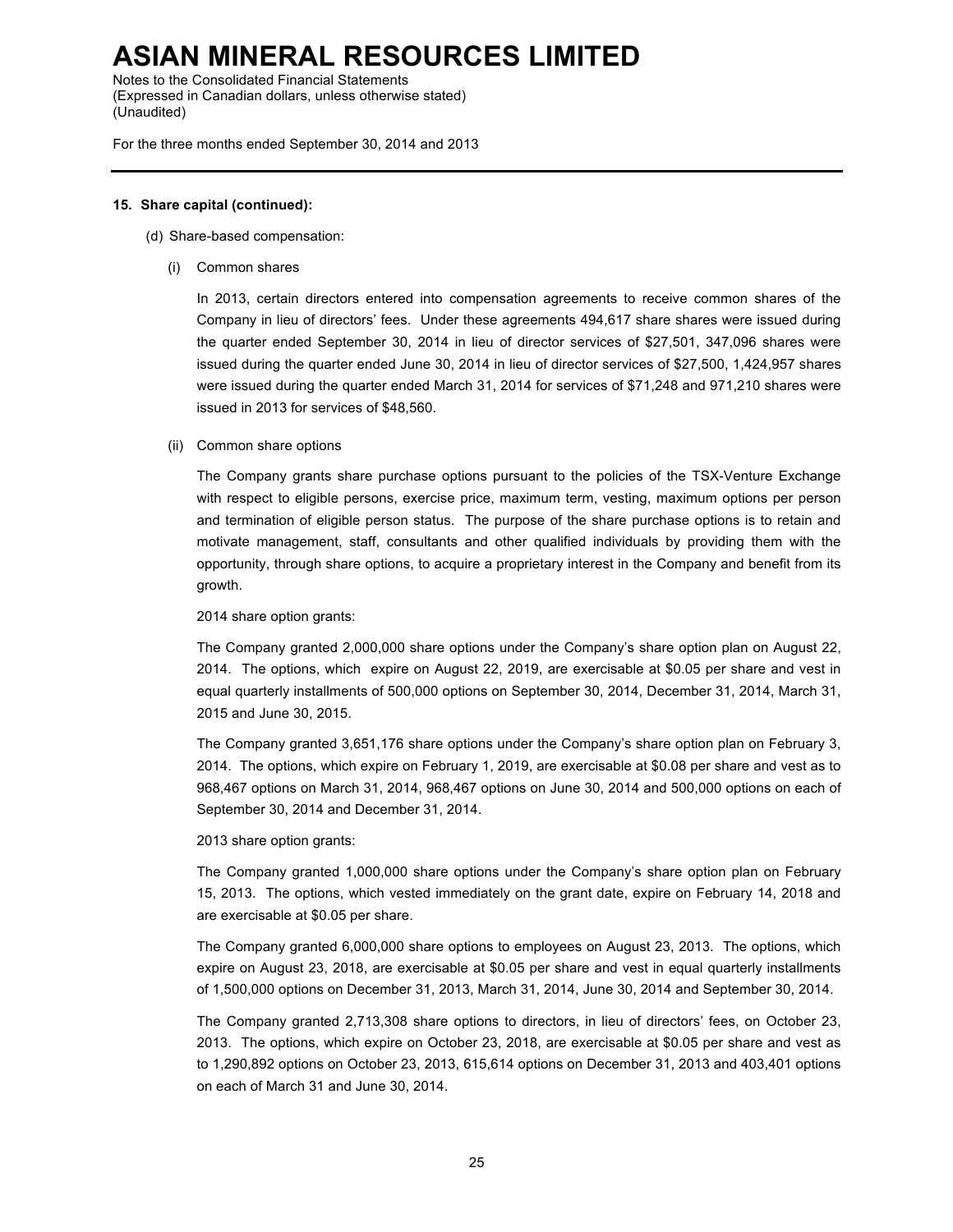Notes to the Consolidated Financial Statements (Expressed in Canadian dollars, unless otherwise stated) (Unaudited)

For the three months ended September 30, 2014 and 2013

#### **15. Share capital (continued):**

- (d) Share-based compensation:
	- (i) Common shares

In 2013, certain directors entered into compensation agreements to receive common shares of the Company in lieu of directors' fees. Under these agreements 494,617 share shares were issued during the quarter ended September 30, 2014 in lieu of director services of \$27,501, 347,096 shares were issued during the quarter ended June 30, 2014 in lieu of director services of \$27,500, 1,424,957 shares were issued during the quarter ended March 31, 2014 for services of \$71,248 and 971,210 shares were issued in 2013 for services of \$48,560.

#### (ii) Common share options

The Company grants share purchase options pursuant to the policies of the TSX-Venture Exchange with respect to eligible persons, exercise price, maximum term, vesting, maximum options per person and termination of eligible person status. The purpose of the share purchase options is to retain and motivate management, staff, consultants and other qualified individuals by providing them with the opportunity, through share options, to acquire a proprietary interest in the Company and benefit from its growth.

2014 share option grants:

The Company granted 2,000,000 share options under the Company's share option plan on August 22, 2014. The options, which expire on August 22, 2019, are exercisable at \$0.05 per share and vest in equal quarterly installments of 500,000 options on September 30, 2014, December 31, 2014, March 31, 2015 and June 30, 2015.

The Company granted 3,651,176 share options under the Company's share option plan on February 3, 2014. The options, which expire on February 1, 2019, are exercisable at \$0.08 per share and vest as to 968,467 options on March 31, 2014, 968,467 options on June 30, 2014 and 500,000 options on each of September 30, 2014 and December 31, 2014.

2013 share option grants:

The Company granted 1,000,000 share options under the Company's share option plan on February 15, 2013. The options, which vested immediately on the grant date, expire on February 14, 2018 and are exercisable at \$0.05 per share.

The Company granted 6,000,000 share options to employees on August 23, 2013. The options, which expire on August 23, 2018, are exercisable at \$0.05 per share and vest in equal quarterly installments of 1,500,000 options on December 31, 2013, March 31, 2014, June 30, 2014 and September 30, 2014.

The Company granted 2,713,308 share options to directors, in lieu of directors' fees, on October 23, 2013. The options, which expire on October 23, 2018, are exercisable at \$0.05 per share and vest as to 1,290,892 options on October 23, 2013, 615,614 options on December 31, 2013 and 403,401 options on each of March 31 and June 30, 2014.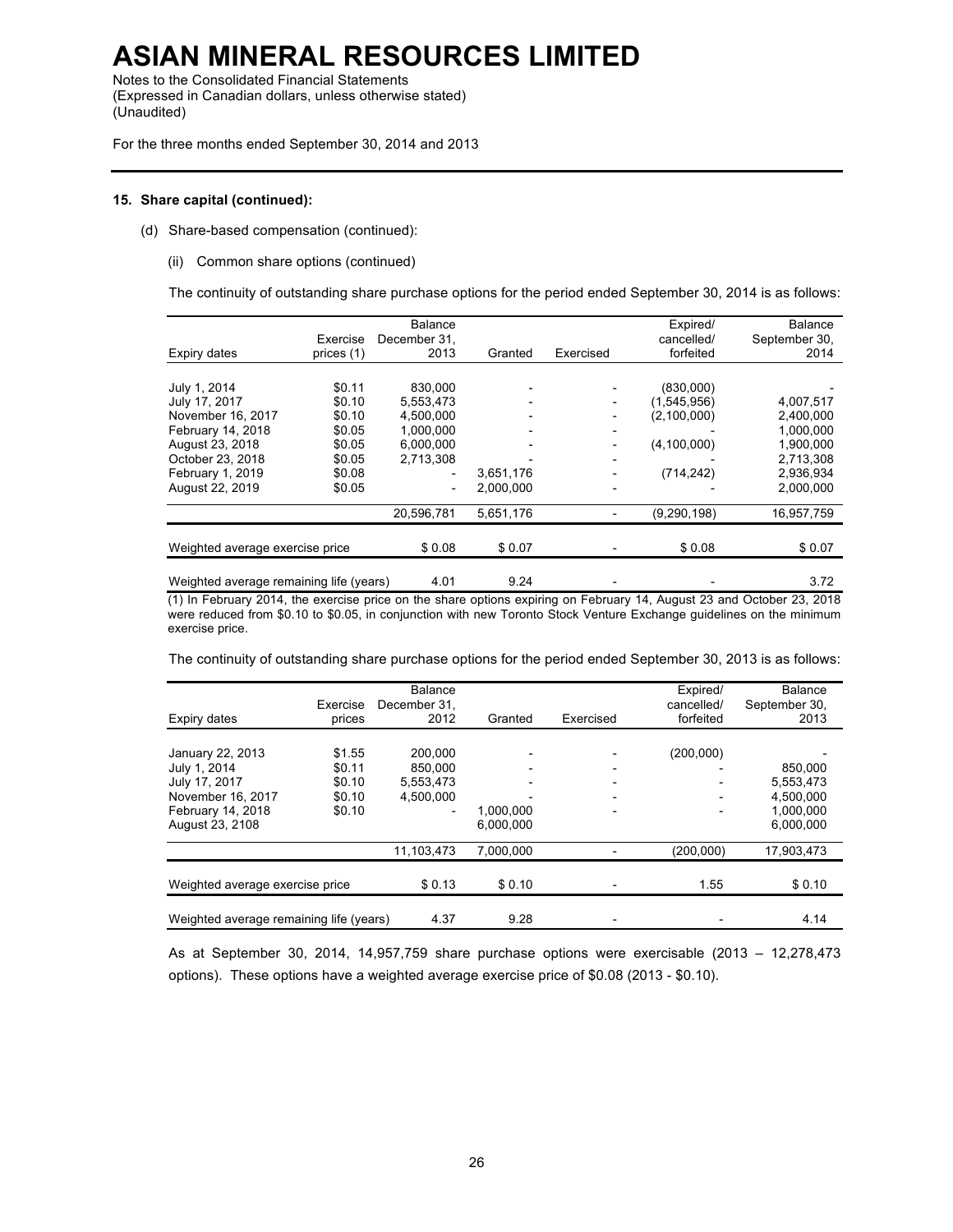Notes to the Consolidated Financial Statements (Expressed in Canadian dollars, unless otherwise stated) (Unaudited)

For the three months ended September 30, 2014 and 2013

#### **15. Share capital (continued):**

- (d) Share-based compensation (continued):
	- (ii) Common share options (continued)

The continuity of outstanding share purchase options for the period ended September 30, 2014 is as follows:

| Expiry dates                                                                                                                                          | Exercise<br>prices (1)                                                       | <b>Balance</b><br>December 31,<br>2013                                                               | Granted                | Exercised                                                                                                    | Expired/<br>cancelled/<br>forfeited                                    | <b>Balance</b><br>September 30,<br>2014                                                 |
|-------------------------------------------------------------------------------------------------------------------------------------------------------|------------------------------------------------------------------------------|------------------------------------------------------------------------------------------------------|------------------------|--------------------------------------------------------------------------------------------------------------|------------------------------------------------------------------------|-----------------------------------------------------------------------------------------|
| July 1, 2014<br>July 17, 2017<br>November 16, 2017<br>February 14, 2018<br>August 23, 2018<br>October 23, 2018<br>February 1, 2019<br>August 22, 2019 | \$0.11<br>\$0.10<br>\$0.10<br>\$0.05<br>\$0.05<br>\$0.05<br>\$0.08<br>\$0.05 | 830,000<br>5,553,473<br>4.500.000<br>1.000.000<br>6.000.000<br>2.713.308<br>$\overline{\phantom{a}}$ | 3,651,176<br>2.000.000 | $\overline{\phantom{a}}$<br>$\overline{\phantom{a}}$<br>$\overline{\phantom{a}}$<br>$\overline{\phantom{a}}$ | (830,000)<br>(1,545,956)<br>(2,100,000)<br>(4, 100, 000)<br>(714, 242) | 4,007,517<br>2,400,000<br>1,000,000<br>1,900,000<br>2,713,308<br>2,936,934<br>2,000,000 |
| Weighted average exercise price                                                                                                                       |                                                                              | 20,596,781<br>\$0.08                                                                                 | 5,651,176<br>\$0.07    |                                                                                                              | (9, 290, 198)<br>\$0.08                                                | 16,957,759<br>\$0.07                                                                    |
| Weighted average remaining life (years)                                                                                                               |                                                                              | 4.01                                                                                                 | 9.24                   |                                                                                                              |                                                                        | 3.72                                                                                    |

(1) In February 2014, the exercise price on the share options expiring on February 14, August 23 and October 23, 2018 were reduced from \$0.10 to \$0.05, in conjunction with new Toronto Stock Venture Exchange guidelines on the minimum exercise price.

The continuity of outstanding share purchase options for the period ended September 30, 2013 is as follows:

| Expiry dates                            | Exercise<br>prices | Balance<br>December 31.<br>2012 | Granted   | Exercised                | Expired/<br>cancelled/<br>forfeited | Balance<br>September 30,<br>2013 |
|-----------------------------------------|--------------------|---------------------------------|-----------|--------------------------|-------------------------------------|----------------------------------|
|                                         |                    |                                 |           |                          |                                     |                                  |
| January 22, 2013<br>July 1, 2014        | \$1.55<br>\$0.11   | 200.000<br>850,000              |           |                          | (200, 000)                          | 850.000                          |
| July 17, 2017                           | \$0.10             | 5,553,473                       |           |                          |                                     | 5,553,473                        |
| November 16, 2017                       | \$0.10             | 4.500.000                       |           | $\overline{\phantom{0}}$ |                                     | 4.500.000                        |
| February 14, 2018                       | \$0.10             |                                 | 1.000.000 |                          |                                     | 1,000,000                        |
| August 23, 2108                         |                    |                                 | 6.000.000 |                          |                                     | 6.000.000                        |
|                                         |                    | 11,103,473                      | 7.000.000 |                          | (200,000)                           | 17,903,473                       |
| Weighted average exercise price         |                    | \$0.13                          | \$0.10    |                          | 1.55                                | \$0.10                           |
| Weighted average remaining life (years) |                    | 4.37                            | 9.28      |                          |                                     | 4.14                             |

As at September 30, 2014, 14,957,759 share purchase options were exercisable (2013 – 12,278,473 options). These options have a weighted average exercise price of \$0.08 (2013 - \$0.10).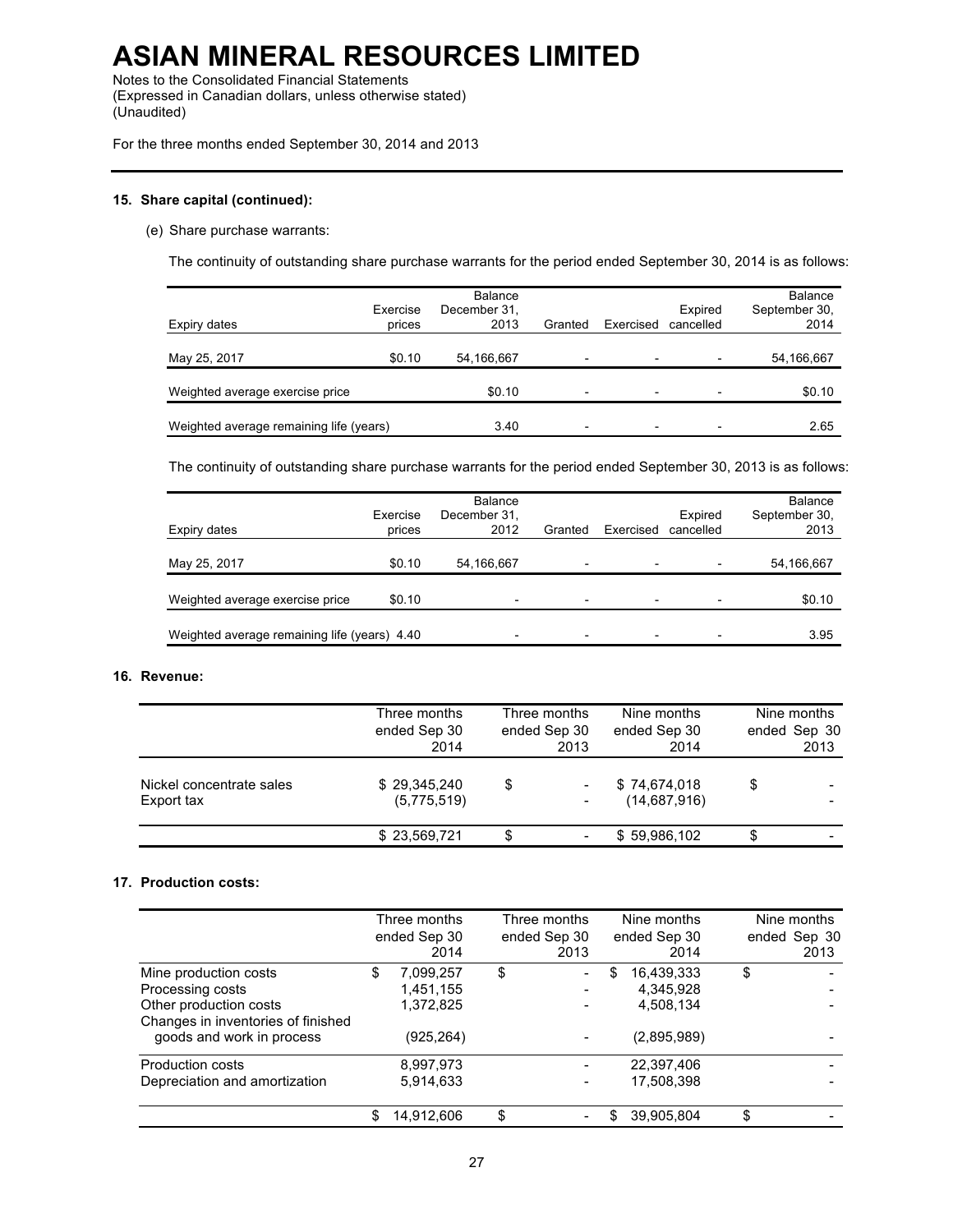Notes to the Consolidated Financial Statements (Expressed in Canadian dollars, unless otherwise stated) (Unaudited)

For the three months ended September 30, 2014 and 2013

#### **15. Share capital (continued):**

(e) Share purchase warrants:

The continuity of outstanding share purchase warrants for the period ended September 30, 2014 is as follows:

| Expiry dates                            | Exercise<br>prices | Balance<br>December 31,<br>2013 | Granted                  | Exercised | Expired<br>cancelled | <b>Balance</b><br>September 30,<br>2014 |
|-----------------------------------------|--------------------|---------------------------------|--------------------------|-----------|----------------------|-----------------------------------------|
| May 25, 2017                            | \$0.10             | 54,166,667                      | $\overline{\phantom{a}}$ |           |                      | 54,166,667                              |
| Weighted average exercise price         |                    | \$0.10                          | $\overline{\phantom{a}}$ |           |                      | \$0.10                                  |
| Weighted average remaining life (years) |                    | 3.40                            | $\overline{\phantom{0}}$ |           |                      | 2.65                                    |

The continuity of outstanding share purchase warrants for the period ended September 30, 2013 is as follows:

| Expiry dates                                 | Exercise<br>prices | <b>Balance</b><br>December 31,<br>2012 | Granted                  | Exercised | Expired<br>cancelled | <b>Balance</b><br>September 30,<br>2013 |
|----------------------------------------------|--------------------|----------------------------------------|--------------------------|-----------|----------------------|-----------------------------------------|
| May 25, 2017                                 | \$0.10             | 54,166,667                             | $\overline{\phantom{a}}$ |           |                      | 54,166,667                              |
| Weighted average exercise price              | \$0.10             | $\overline{\phantom{0}}$               | $\overline{\phantom{a}}$ |           |                      | \$0.10                                  |
| Weighted average remaining life (years) 4.40 |                    |                                        | $\overline{\phantom{0}}$ |           |                      | 3.95                                    |

#### **16. Revenue:**

|                                        | Three months<br>ended Sep 30<br>2014 | Three months<br>ended Sep 30<br>2013                      | Nine months<br>ended Sep 30<br>2014 | Nine months<br>ended Sep 30<br>2013 |
|----------------------------------------|--------------------------------------|-----------------------------------------------------------|-------------------------------------|-------------------------------------|
| Nickel concentrate sales<br>Export tax | \$29.345.240<br>(5,775,519)          | S<br>$\overline{\phantom{0}}$<br>$\overline{\phantom{0}}$ | \$74.674.018<br>(14,687,916)        | \$                                  |
|                                        | \$23,569,721                         | S.<br>-                                                   | \$59,986,102                        | \$<br>-                             |

#### **17. Production costs:**

|                                                                 | Three months<br>ended Sep 30<br>2014 | Three months<br>ended Sep 30<br>2013 | Nine months<br>ended Sep 30<br>2014 | Nine months<br>ended Sep 30<br>2013 |
|-----------------------------------------------------------------|--------------------------------------|--------------------------------------|-------------------------------------|-------------------------------------|
| Mine production costs                                           | 7,099,257                            | \$<br>$\overline{\phantom{a}}$       | \$<br>16,439,333                    | \$                                  |
| Processing costs                                                | 1,451,155                            | $\overline{\phantom{a}}$             | 4,345,928                           |                                     |
| Other production costs                                          | 1,372,825                            |                                      | 4,508,134                           |                                     |
| Changes in inventories of finished<br>goods and work in process | (925,264)                            | -                                    | (2,895,989)                         |                                     |
| Production costs                                                | 8,997,973                            |                                      | 22,397,406                          |                                     |
| Depreciation and amortization                                   | 5,914,633                            |                                      | 17,508,398                          |                                     |
|                                                                 | 14,912,606                           | \$<br>-                              | 39,905,804                          | \$                                  |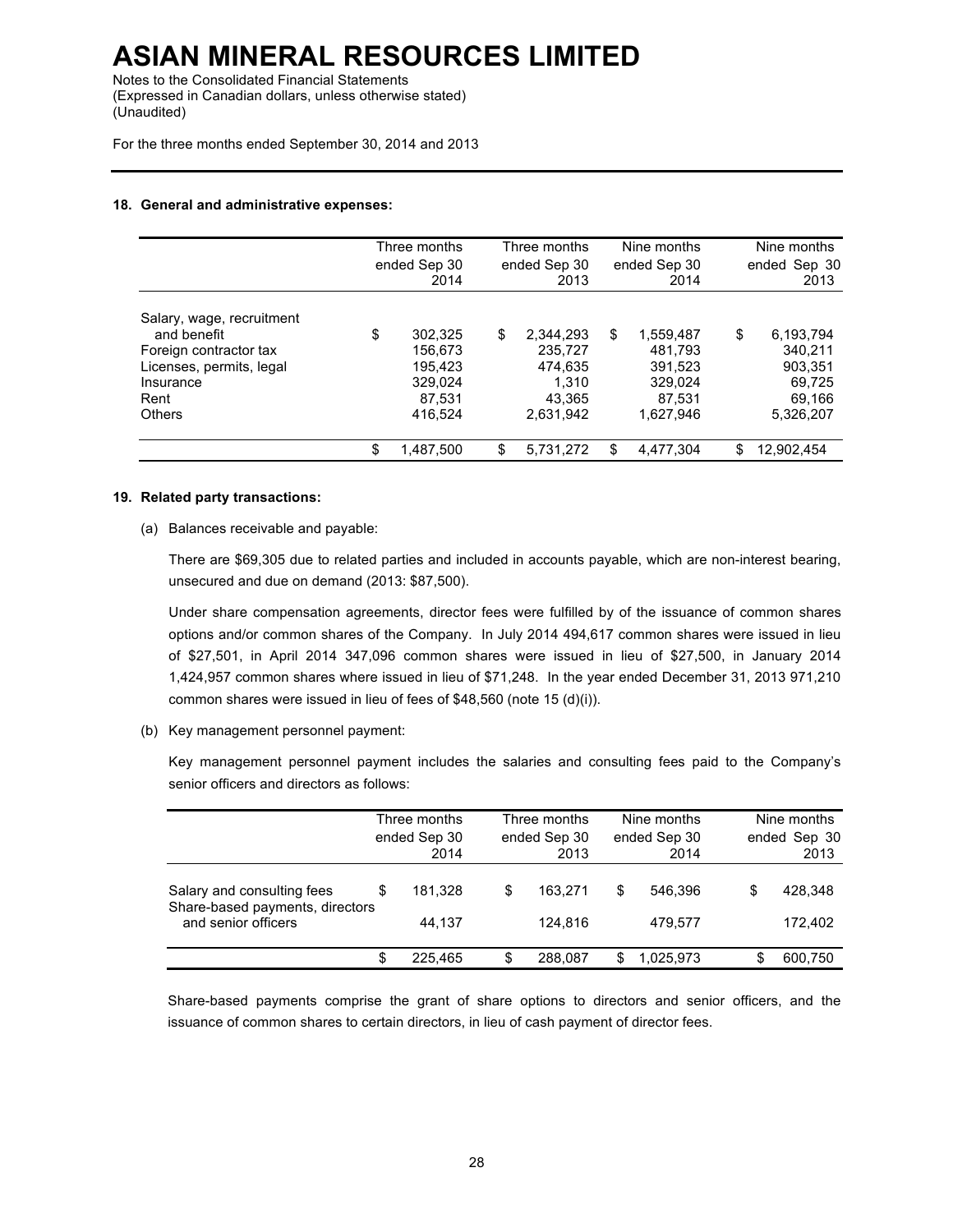Notes to the Consolidated Financial Statements (Expressed in Canadian dollars, unless otherwise stated) (Unaudited)

For the three months ended September 30, 2014 and 2013

#### **18. General and administrative expenses:**

|                           | Three months<br>ended Sep 30<br>2014 | Three months<br>ended Sep 30<br>2013 | Nine months<br>ended Sep 30<br>2014 | Nine months<br>ended Sep 30<br>2013 |
|---------------------------|--------------------------------------|--------------------------------------|-------------------------------------|-------------------------------------|
| Salary, wage, recruitment |                                      |                                      |                                     |                                     |
| and benefit               | \$<br>302,325                        | \$<br>2,344,293                      | \$<br>1,559,487                     | \$<br>6,193,794                     |
| Foreign contractor tax    | 156,673                              | 235.727                              | 481.793                             | 340.211                             |
| Licenses, permits, legal  | 195.423                              | 474.635                              | 391.523                             | 903.351                             |
| Insurance                 | 329,024                              | 1.310                                | 329,024                             | 69.725                              |
| Rent                      | 87.531                               | 43.365                               | 87.531                              | 69,166                              |
| <b>Others</b>             | 416,524                              | 2,631,942                            | 1,627,946                           | 5,326,207                           |
|                           | \$<br>1,487,500                      | \$<br>5,731,272                      | \$<br>4,477,304                     | \$<br>12,902,454                    |

#### **19. Related party transactions:**

(a) Balances receivable and payable:

There are \$69,305 due to related parties and included in accounts payable, which are non-interest bearing, unsecured and due on demand (2013: \$87,500).

Under share compensation agreements, director fees were fulfilled by of the issuance of common shares options and/or common shares of the Company. In July 2014 494,617 common shares were issued in lieu of \$27,501, in April 2014 347,096 common shares were issued in lieu of \$27,500, in January 2014 1,424,957 common shares where issued in lieu of \$71,248. In the year ended December 31, 2013 971,210 common shares were issued in lieu of fees of \$48,560 (note 15 (d)(i)).

(b) Key management personnel payment:

Key management personnel payment includes the salaries and consulting fees paid to the Company's senior officers and directors as follows:

|                                                        |   | Three months<br>ended Sep 30<br>2014 |   | Three months<br>ended Sep 30<br>2013 |    | Nine months<br>ended Sep 30<br>2014 |   | Nine months<br>ended Sep 30<br>2013 |
|--------------------------------------------------------|---|--------------------------------------|---|--------------------------------------|----|-------------------------------------|---|-------------------------------------|
| Salary and consulting fees                             | S | 181.328                              | S | 163.271                              | \$ | 546.396                             | S | 428,348                             |
| Share-based payments, directors<br>and senior officers |   | 44.137                               |   | 124.816                              |    | 479.577                             |   | 172.402                             |
|                                                        | S | 225.465                              | S | 288,087                              | S  | 1.025.973                           |   | 600,750                             |

Share-based payments comprise the grant of share options to directors and senior officers, and the issuance of common shares to certain directors, in lieu of cash payment of director fees.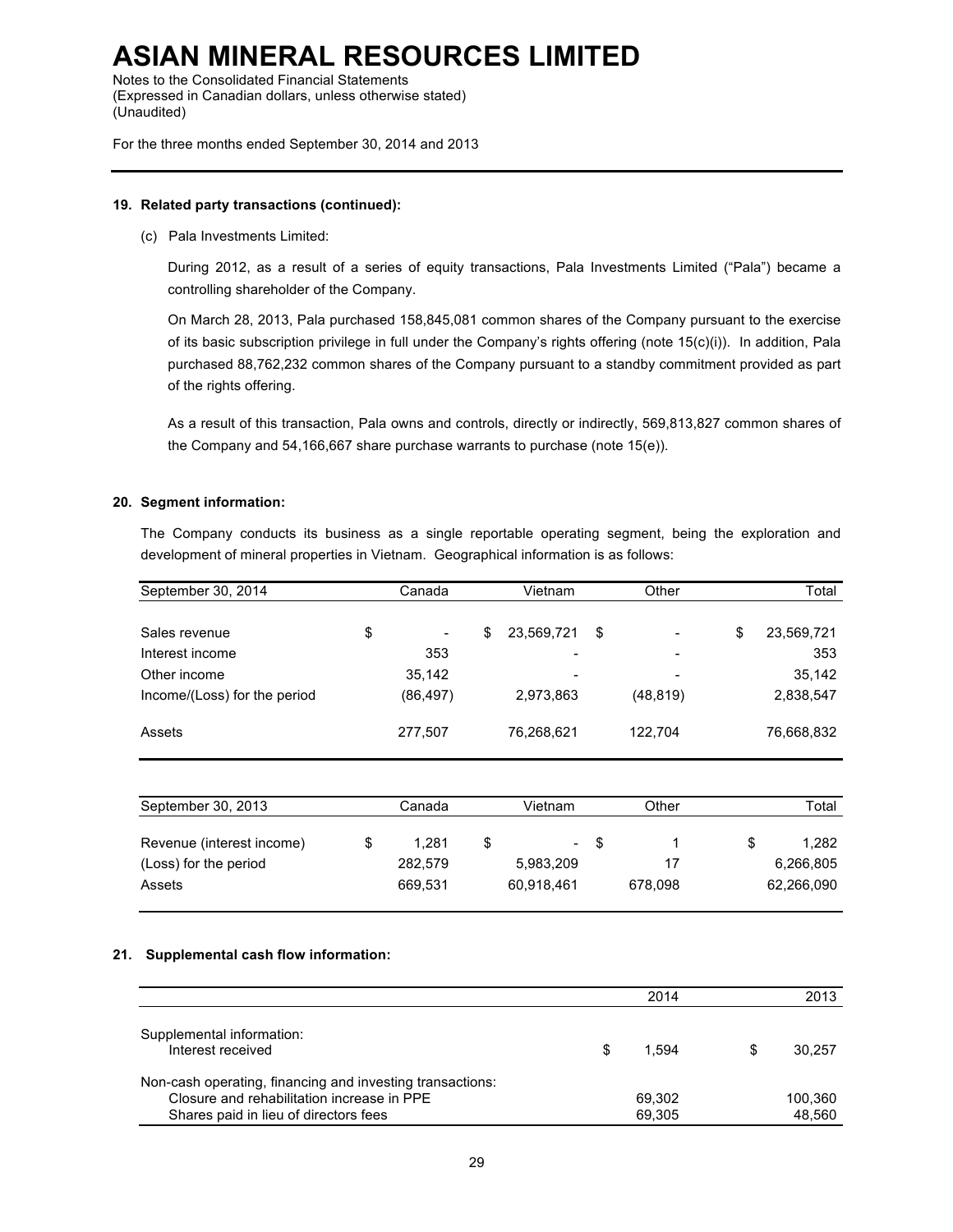Notes to the Consolidated Financial Statements (Expressed in Canadian dollars, unless otherwise stated) (Unaudited)

For the three months ended September 30, 2014 and 2013

#### **19. Related party transactions (continued):**

(c) Pala Investments Limited:

During 2012, as a result of a series of equity transactions, Pala Investments Limited ("Pala") became a controlling shareholder of the Company.

On March 28, 2013, Pala purchased 158,845,081 common shares of the Company pursuant to the exercise of its basic subscription privilege in full under the Company's rights offering (note 15(c)(i)). In addition, Pala purchased 88,762,232 common shares of the Company pursuant to a standby commitment provided as part of the rights offering.

As a result of this transaction, Pala owns and controls, directly or indirectly, 569,813,827 common shares of the Company and 54,166,667 share purchase warrants to purchase (note 15(e)).

#### **20. Segment information:**

The Company conducts its business as a single reportable operating segment, being the exploration and development of mineral properties in Vietnam. Geographical information is as follows:

| September 30, 2014           | Canada                         |   | Vietnam                  |   | Other                    |   | Total      |
|------------------------------|--------------------------------|---|--------------------------|---|--------------------------|---|------------|
|                              |                                |   |                          |   |                          |   |            |
| Sales revenue                | \$<br>$\overline{\phantom{a}}$ | S | 23,569,721               | S |                          | S | 23,569,721 |
| Interest income              | 353                            |   | $\overline{\phantom{a}}$ |   | $\overline{\phantom{0}}$ |   | 353        |
| Other income                 | 35,142                         |   | -                        |   | $\overline{\phantom{0}}$ |   | 35,142     |
| Income/(Loss) for the period | (86, 497)                      |   | 2,973,863                |   | (48, 819)                |   | 2,838,547  |
|                              |                                |   |                          |   |                          |   |            |
| Assets                       | 277,507                        |   | 76,268,621               |   | 122.704                  |   | 76,668,832 |

| September 30, 2013                                           | Canada                      | Vietnam |                                           | Other | Total         |                                  |
|--------------------------------------------------------------|-----------------------------|---------|-------------------------------------------|-------|---------------|----------------------------------|
| Revenue (interest income)<br>(Loss) for the period<br>Assets | 1.281<br>282.579<br>669.531 |         | $\blacksquare$<br>5.983.209<br>60.918.461 | -S    | 17<br>678.098 | 1.282<br>6,266,805<br>62,266,090 |

#### **21. Supplemental cash flow information:**

|                                                                                                                                                  |   | 2014             | 2013              |
|--------------------------------------------------------------------------------------------------------------------------------------------------|---|------------------|-------------------|
| Supplemental information:<br>Interest received                                                                                                   | S | 1.594            | 30.257            |
| Non-cash operating, financing and investing transactions:<br>Closure and rehabilitation increase in PPE<br>Shares paid in lieu of directors fees |   | 69.302<br>69.305 | 100.360<br>48.560 |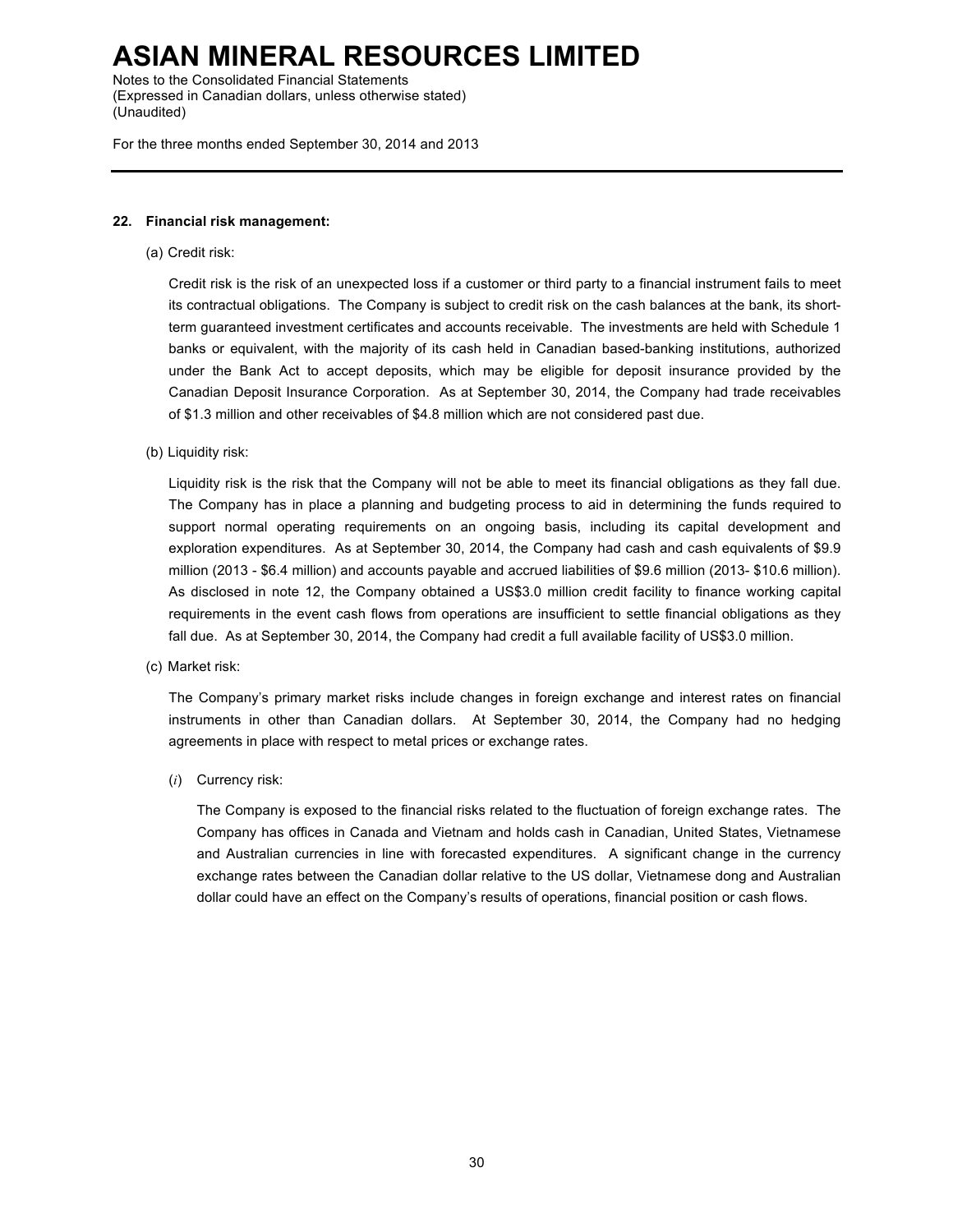Notes to the Consolidated Financial Statements (Expressed in Canadian dollars, unless otherwise stated) (Unaudited)

For the three months ended September 30, 2014 and 2013

#### **22. Financial risk management:**

(a) Credit risk:

Credit risk is the risk of an unexpected loss if a customer or third party to a financial instrument fails to meet its contractual obligations. The Company is subject to credit risk on the cash balances at the bank, its shortterm guaranteed investment certificates and accounts receivable. The investments are held with Schedule 1 banks or equivalent, with the majority of its cash held in Canadian based-banking institutions, authorized under the Bank Act to accept deposits, which may be eligible for deposit insurance provided by the Canadian Deposit Insurance Corporation. As at September 30, 2014, the Company had trade receivables of \$1.3 million and other receivables of \$4.8 million which are not considered past due.

(b) Liquidity risk:

Liquidity risk is the risk that the Company will not be able to meet its financial obligations as they fall due. The Company has in place a planning and budgeting process to aid in determining the funds required to support normal operating requirements on an ongoing basis, including its capital development and exploration expenditures. As at September 30, 2014, the Company had cash and cash equivalents of \$9.9 million (2013 - \$6.4 million) and accounts payable and accrued liabilities of \$9.6 million (2013- \$10.6 million). As disclosed in note 12, the Company obtained a US\$3.0 million credit facility to finance working capital requirements in the event cash flows from operations are insufficient to settle financial obligations as they fall due. As at September 30, 2014, the Company had credit a full available facility of US\$3.0 million.

(c) Market risk:

The Company's primary market risks include changes in foreign exchange and interest rates on financial instruments in other than Canadian dollars. At September 30, 2014, the Company had no hedging agreements in place with respect to metal prices or exchange rates.

(*i*) Currency risk:

The Company is exposed to the financial risks related to the fluctuation of foreign exchange rates. The Company has offices in Canada and Vietnam and holds cash in Canadian, United States, Vietnamese and Australian currencies in line with forecasted expenditures. A significant change in the currency exchange rates between the Canadian dollar relative to the US dollar, Vietnamese dong and Australian dollar could have an effect on the Company's results of operations, financial position or cash flows.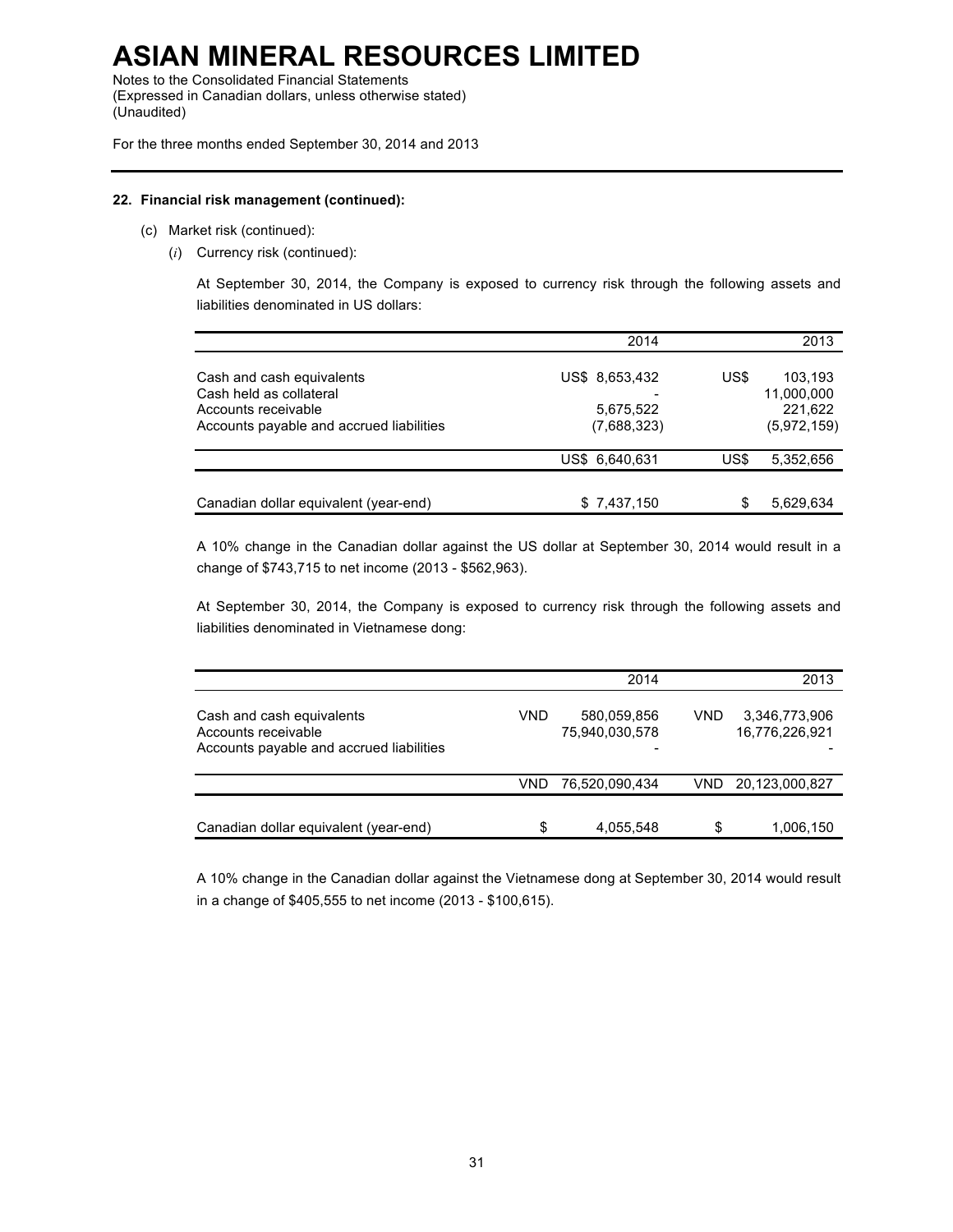Notes to the Consolidated Financial Statements (Expressed in Canadian dollars, unless otherwise stated) (Unaudited)

For the three months ended September 30, 2014 and 2013

#### **22. Financial risk management (continued):**

- (c) Market risk (continued):
	- (*i*) Currency risk (continued):

At September 30, 2014, the Company is exposed to currency risk through the following assets and liabilities denominated in US dollars:

|                                                                                                                         | 2014                                       |      | 2013                                            |
|-------------------------------------------------------------------------------------------------------------------------|--------------------------------------------|------|-------------------------------------------------|
| Cash and cash equivalents<br>Cash held as collateral<br>Accounts receivable<br>Accounts payable and accrued liabilities | US\$ 8,653,432<br>5,675,522<br>(7,688,323) | US\$ | 103,193<br>11,000,000<br>221.622<br>(5,972,159) |
|                                                                                                                         | US\$ 6,640,631                             | US\$ | 5,352,656                                       |
| Canadian dollar equivalent (year-end)                                                                                   | \$7,437,150                                |      | 5,629,634                                       |

A 10% change in the Canadian dollar against the US dollar at September 30, 2014 would result in a change of \$743,715 to net income (2013 - \$562,963).

At September 30, 2014, the Company is exposed to currency risk through the following assets and liabilities denominated in Vietnamese dong:

|                                                                                              |     | 2014                          |      | 2013                            |
|----------------------------------------------------------------------------------------------|-----|-------------------------------|------|---------------------------------|
| Cash and cash equivalents<br>Accounts receivable<br>Accounts payable and accrued liabilities | VND | 580,059,856<br>75,940,030,578 | VND. | 3,346,773,906<br>16,776,226,921 |
|                                                                                              | VND | 76,520,090,434                | VND. | 20,123,000,827                  |
| Canadian dollar equivalent (year-end)                                                        | \$  | 4,055,548                     | \$   | 1,006,150                       |

A 10% change in the Canadian dollar against the Vietnamese dong at September 30, 2014 would result in a change of \$405,555 to net income (2013 - \$100,615).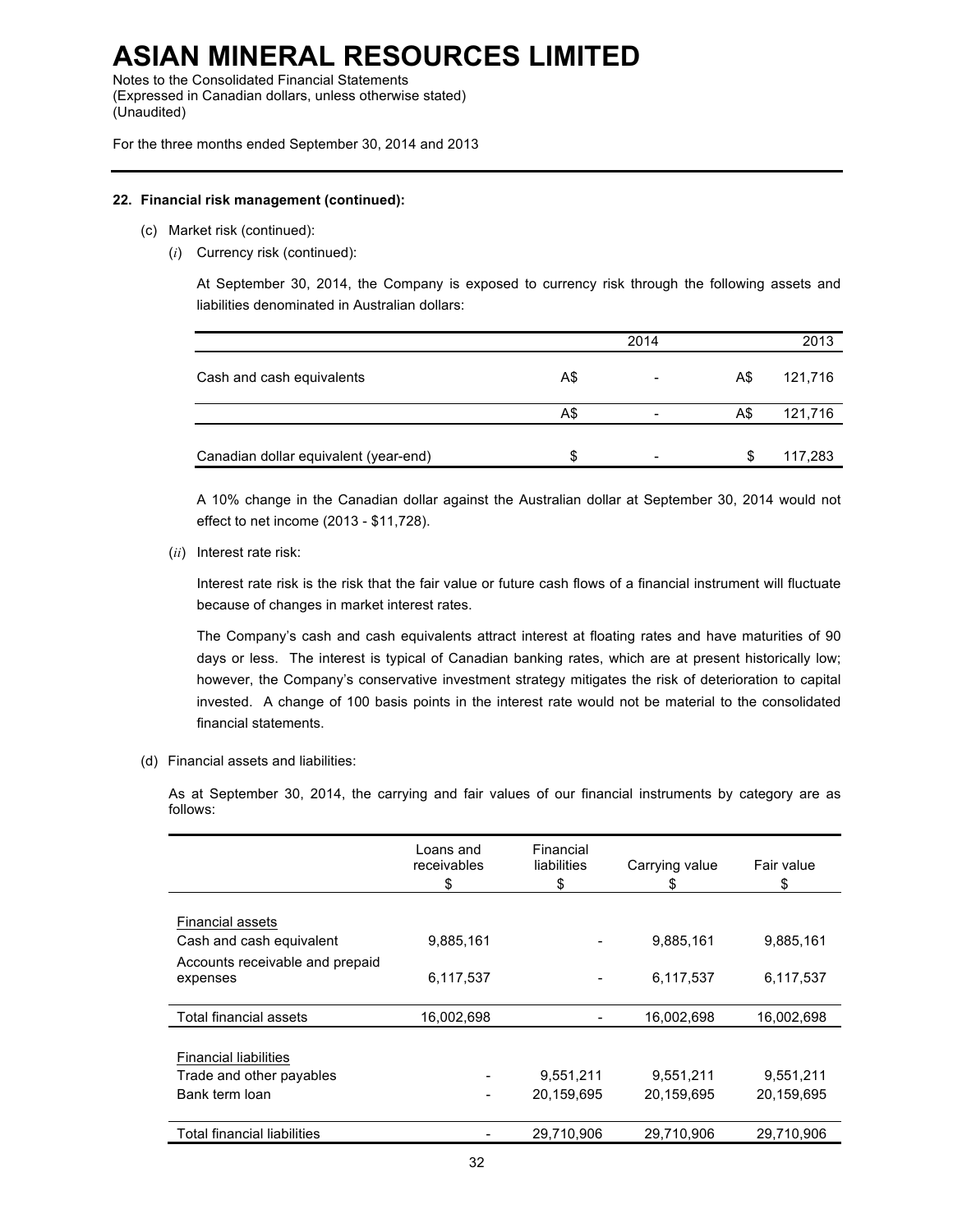Notes to the Consolidated Financial Statements (Expressed in Canadian dollars, unless otherwise stated) (Unaudited)

For the three months ended September 30, 2014 and 2013

#### **22. Financial risk management (continued):**

- (c) Market risk (continued):
	- (*i*) Currency risk (continued):

At September 30, 2014, the Company is exposed to currency risk through the following assets and liabilities denominated in Australian dollars:

|                                       |     | 2014                     |     | 2013    |
|---------------------------------------|-----|--------------------------|-----|---------|
| Cash and cash equivalents             | A\$ | $\overline{\phantom{0}}$ | A\$ | 121,716 |
|                                       | A\$ | $\overline{\phantom{0}}$ | A\$ | 121,716 |
| Canadian dollar equivalent (year-end) | \$. |                          | S   | 117,283 |

A 10% change in the Canadian dollar against the Australian dollar at September 30, 2014 would not effect to net income (2013 - \$11,728).

(*ii*) Interest rate risk:

Interest rate risk is the risk that the fair value or future cash flows of a financial instrument will fluctuate because of changes in market interest rates.

The Company's cash and cash equivalents attract interest at floating rates and have maturities of 90 days or less. The interest is typical of Canadian banking rates, which are at present historically low; however, the Company's conservative investment strategy mitigates the risk of deterioration to capital invested. A change of 100 basis points in the interest rate would not be material to the consolidated financial statements.

(d) Financial assets and liabilities:

As at September 30, 2014, the carrying and fair values of our financial instruments by category are as follows:

|                                    | Loans and<br>receivables<br>\$ | Financial<br>liabilities<br>\$ | Carrying value<br>\$ | Fair value<br>\$ |
|------------------------------------|--------------------------------|--------------------------------|----------------------|------------------|
|                                    |                                |                                |                      |                  |
| <b>Financial assets</b>            |                                |                                |                      |                  |
| Cash and cash equivalent           | 9,885,161                      |                                | 9,885,161            | 9,885,161        |
| Accounts receivable and prepaid    |                                |                                |                      |                  |
| expenses                           | 6,117,537                      |                                | 6,117,537            | 6,117,537        |
|                                    |                                |                                |                      |                  |
| Total financial assets             | 16,002,698                     |                                | 16,002,698           | 16,002,698       |
|                                    |                                |                                |                      |                  |
| <b>Financial liabilities</b>       |                                |                                |                      |                  |
| Trade and other payables           |                                | 9,551,211                      | 9,551,211            | 9,551,211        |
| Bank term loan                     |                                | 20,159,695                     | 20,159,695           | 20,159,695       |
|                                    |                                |                                |                      |                  |
| <b>Total financial liabilities</b> |                                | 29,710,906                     | 29,710,906           | 29.710.906       |
|                                    |                                |                                |                      |                  |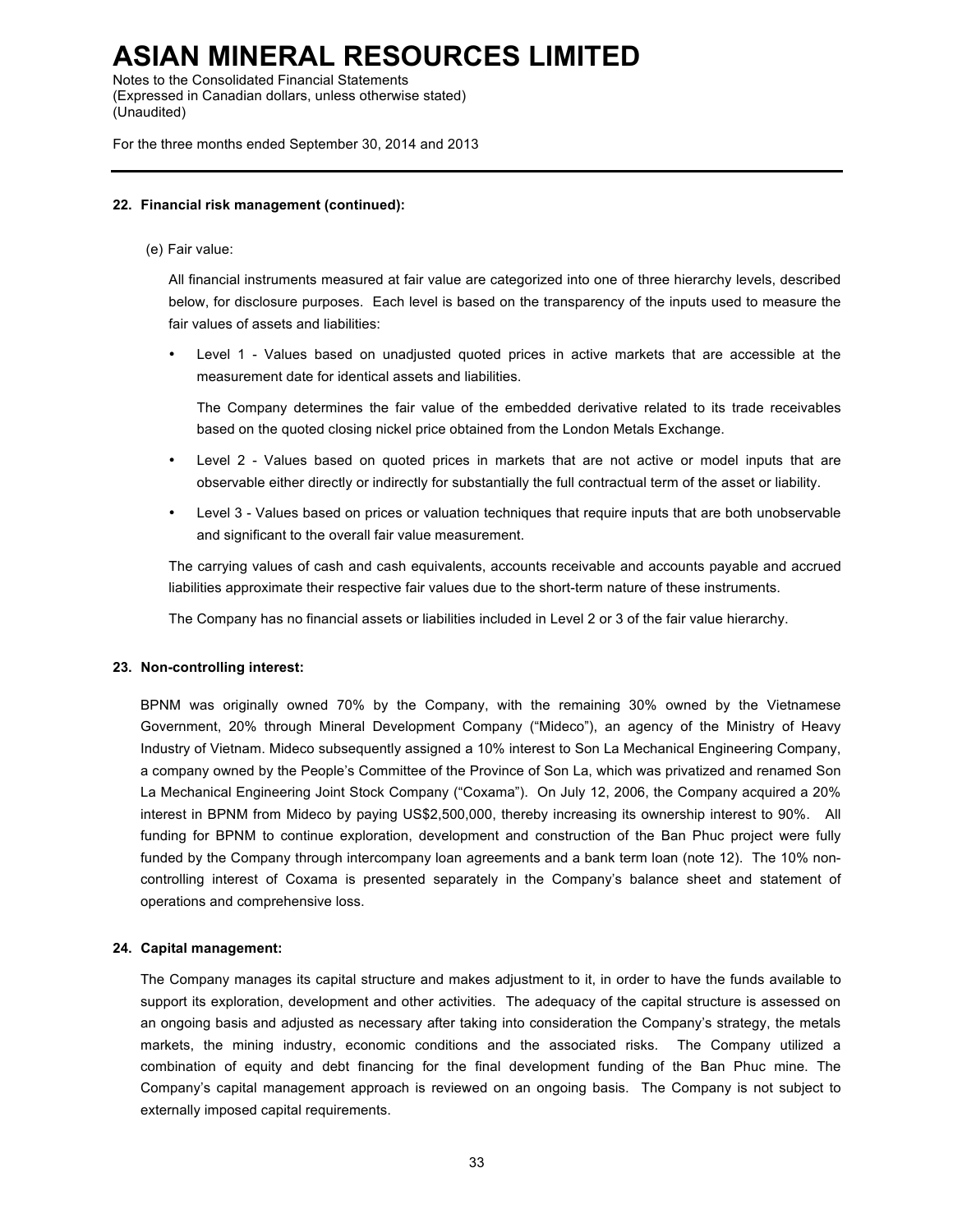Notes to the Consolidated Financial Statements (Expressed in Canadian dollars, unless otherwise stated) (Unaudited)

For the three months ended September 30, 2014 and 2013

#### **22. Financial risk management (continued):**

#### (e) Fair value:

All financial instruments measured at fair value are categorized into one of three hierarchy levels, described below, for disclosure purposes. Each level is based on the transparency of the inputs used to measure the fair values of assets and liabilities:

• Level 1 - Values based on unadjusted quoted prices in active markets that are accessible at the measurement date for identical assets and liabilities.

The Company determines the fair value of the embedded derivative related to its trade receivables based on the quoted closing nickel price obtained from the London Metals Exchange.

- Level 2 Values based on quoted prices in markets that are not active or model inputs that are observable either directly or indirectly for substantially the full contractual term of the asset or liability.
- Level 3 Values based on prices or valuation techniques that require inputs that are both unobservable and significant to the overall fair value measurement.

The carrying values of cash and cash equivalents, accounts receivable and accounts payable and accrued liabilities approximate their respective fair values due to the short-term nature of these instruments.

The Company has no financial assets or liabilities included in Level 2 or 3 of the fair value hierarchy.

#### **23. Non-controlling interest:**

BPNM was originally owned 70% by the Company, with the remaining 30% owned by the Vietnamese Government, 20% through Mineral Development Company ("Mideco"), an agency of the Ministry of Heavy Industry of Vietnam. Mideco subsequently assigned a 10% interest to Son La Mechanical Engineering Company, a company owned by the People's Committee of the Province of Son La, which was privatized and renamed Son La Mechanical Engineering Joint Stock Company ("Coxama"). On July 12, 2006, the Company acquired a 20% interest in BPNM from Mideco by paying US\$2,500,000, thereby increasing its ownership interest to 90%. All funding for BPNM to continue exploration, development and construction of the Ban Phuc project were fully funded by the Company through intercompany loan agreements and a bank term loan (note 12). The 10% noncontrolling interest of Coxama is presented separately in the Company's balance sheet and statement of operations and comprehensive loss.

#### **24. Capital management:**

The Company manages its capital structure and makes adjustment to it, in order to have the funds available to support its exploration, development and other activities. The adequacy of the capital structure is assessed on an ongoing basis and adjusted as necessary after taking into consideration the Company's strategy, the metals markets, the mining industry, economic conditions and the associated risks. The Company utilized a combination of equity and debt financing for the final development funding of the Ban Phuc mine. The Company's capital management approach is reviewed on an ongoing basis. The Company is not subject to externally imposed capital requirements.